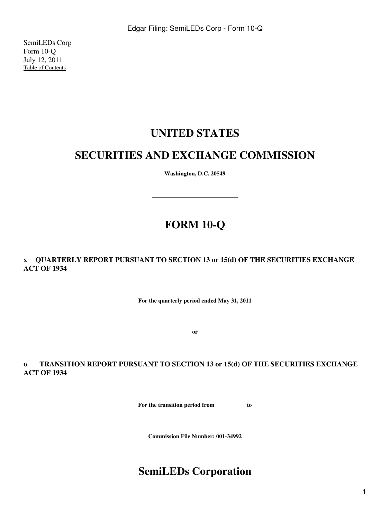SemiLEDs Corp Form 10-Q July 12, 2011 [Table of Contents](#page-3-0)

# **UNITED STATES**

# **SECURITIES AND EXCHANGE COMMISSION**

**Washington, D.C. 20549**

# **FORM 10-Q**

**x QUARTERLY REPORT PURSUANT TO SECTION 13 or 15(d) OF THE SECURITIES EXCHANGE ACT OF 1934**

**For the quarterly period ended May 31, 2011**

**or**

**o TRANSITION REPORT PURSUANT TO SECTION 13 or 15(d) OF THE SECURITIES EXCHANGE ACT OF 1934**

**For the transition period from to**

**Commission File Number: 001-34992**

# **SemiLEDs Corporation**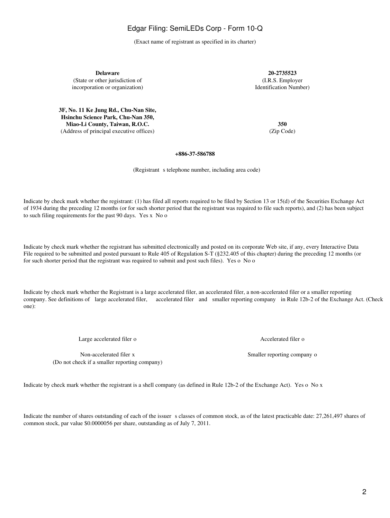2

# Edgar Filing: SemiLEDs Corp - Form 10-Q

(Exact name of registrant as specified in its charter)

**Delaware 20-2735523** (State or other jurisdiction of (I.R.S. Employer incorporation or organization) and the state of the state of the Identification Number) Identification Number

**3F, No. 11 Ke Jung Rd., Chu-Nan Site, Hsinchu Science Park, Chu-Nan 350, Miao-Li County, Taiwan, R.O.C. 350** (Address of principal executive offices) (Zip Code)

**+886-37-586788**

(Registrant s telephone number, including area code)

Indicate by check mark whether the registrant: (1) has filed all reports required to be filed by Section 13 or 15(d) of the Securities Exchange Act of 1934 during the preceding 12 months (or for such shorter period that the registrant was required to file such reports), and (2) has been subject to such filing requirements for the past 90 days. Yes x No o

Indicate by check mark whether the registrant has submitted electronically and posted on its corporate Web site, if any, every Interactive Data File required to be submitted and posted pursuant to Rule 405 of Regulation S-T (§232.405 of this chapter) during the preceding 12 months (or for such shorter period that the registrant was required to submit and post such files). Yes o No o

Indicate by check mark whether the Registrant is a large accelerated filer, an accelerated filer, a non-accelerated filer or a smaller reporting company. See definitions of large accelerated filer, accelerated filer and smaller reporting company in Rule 12b-2 of the Exchange Act. (Check one):

Large accelerated filer o Accelerated filer o

Non-accelerated filer x Smaller reporting company on Smaller reporting company on Smaller reporting company on Smaller reporting company on  $\mathbb{R}^n$ (Do not check if a smaller reporting company)

Indicate by check mark whether the registrant is a shell company (as defined in Rule 12b-2 of the Exchange Act). Yes o No x

Indicate the number of shares outstanding of each of the issuer s classes of common stock, as of the latest practicable date: 27,261,497 shares of common stock, par value \$0.0000056 per share, outstanding as of July 7, 2011.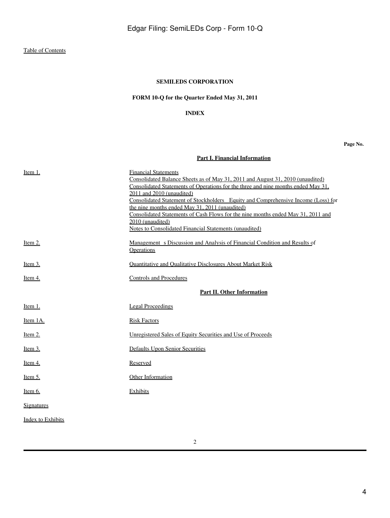# **FORM 10-Q for the Quarter Ended May 31, 2011**

### **INDEX**

#### **Page No.**

# **[Part I. Financial Information](#page-4-0)**

<span id="page-3-0"></span>

| Item 1.                  | <b>Financial Statements</b>                                                       |
|--------------------------|-----------------------------------------------------------------------------------|
|                          | Consolidated Balance Sheets as of May 31, 2011 and August 31, 2010 (unaudited)    |
|                          | Consolidated Statements of Operations for the three and nine months ended May 31, |
|                          | 2011 and 2010 (unaudited)                                                         |
|                          | Consolidated Statement of Stockholders Equity and Comprehensive Income (Loss) for |
|                          | the nine months ended May 31, 2011 (unaudited)                                    |
|                          | Consolidated Statements of Cash Flows for the nine months ended May 31, 2011 and  |
|                          | 2010 (unaudited)                                                                  |
|                          | Notes to Consolidated Financial Statements (unaudited)                            |
| Item 2.                  | Management s Discussion and Analysis of Financial Condition and Results of        |
|                          | Operations                                                                        |
| Item $3$ .               | <b>Quantitative and Qualitative Disclosures About Market Risk</b>                 |
|                          |                                                                                   |
| Item 4.                  | <b>Controls and Procedures</b>                                                    |
|                          | <b>Part II. Other Information</b>                                                 |
|                          |                                                                                   |
| Item 1.                  | <b>Legal Proceedings</b>                                                          |
| Item 1A.                 | <b>Risk Factors</b>                                                               |
| Item $2$ .               | Unregistered Sales of Equity Securities and Use of Proceeds                       |
|                          |                                                                                   |
| <u>Item 3.</u>           | Defaults Upon Senior Securities                                                   |
| Item 4.                  | Reserved                                                                          |
| Item $5$ .               | Other Information                                                                 |
| <u>Item 6.</u>           | Exhibits                                                                          |
| Signatures               |                                                                                   |
| <b>Index to Exhibits</b> |                                                                                   |
|                          |                                                                                   |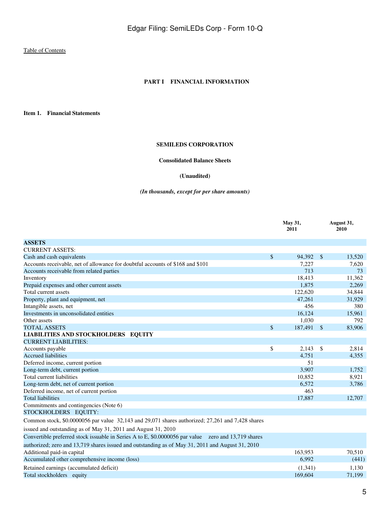#### **PART I FINANCIAL INFORMATION**

<span id="page-4-2"></span><span id="page-4-1"></span><span id="page-4-0"></span>**Item 1. Financial Statements**

#### **SEMILEDS CORPORATION**

#### **Consolidated Balance Sheets**

#### **(Unaudited)**

#### *(In thousands, except for per share amounts)*

|                                                                                                     |             | May 31,<br>2011 |               | August 31,<br>2010 |
|-----------------------------------------------------------------------------------------------------|-------------|-----------------|---------------|--------------------|
| <b>ASSETS</b>                                                                                       |             |                 |               |                    |
| <b>CURRENT ASSETS:</b>                                                                              |             |                 |               |                    |
| Cash and cash equivalents                                                                           | \$          | 94,392          | $\mathbb{S}$  | 13,520             |
| Accounts receivable, net of allowance for doubtful accounts of \$168 and \$101                      |             | 7,227           |               | 7,620              |
| Accounts receivable from related parties                                                            |             | 713             |               | 73                 |
| Inventory                                                                                           |             | 18,413          |               | 11,362             |
| Prepaid expenses and other current assets                                                           |             | 1.875           |               | 2,269              |
| Total current assets                                                                                |             | 122,620         |               | 34,844             |
| Property, plant and equipment, net                                                                  |             | 47.261          |               | 31,929             |
| Intangible assets, net                                                                              |             | 456             |               | 380                |
| Investments in unconsolidated entities                                                              |             | 16,124          |               | 15,961             |
| Other assets                                                                                        |             | 1,030           |               | 792                |
| <b>TOTAL ASSETS</b>                                                                                 | $\sqrt{\ }$ | 187,491         | $\mathcal{S}$ | 83,906             |
| <b>LIABILITIES AND STOCKHOLDERS EQUITY</b>                                                          |             |                 |               |                    |
| <b>CURRENT LIABILITIES:</b>                                                                         |             |                 |               |                    |
| Accounts payable                                                                                    | \$          | 2.143           | $\mathbb{S}$  | 2,814              |
| <b>Accrued liabilities</b>                                                                          |             | 4.751           |               | 4,355              |
| Deferred income, current portion                                                                    |             | 51              |               |                    |
| Long-term debt, current portion                                                                     |             | 3,907           |               | 1,752              |
| Total current liabilities                                                                           |             | 10,852          |               | 8,921              |
| Long-term debt, net of current portion                                                              |             | 6.572           |               | 3,786              |
| Deferred income, net of current portion                                                             |             | 463             |               |                    |
| <b>Total liabilities</b>                                                                            |             | 17,887          |               | 12,707             |
| Commitments and contingencies (Note 6)                                                              |             |                 |               |                    |
| STOCKHOLDERS EQUITY:                                                                                |             |                 |               |                    |
| Common stock, \$0.0000056 par value 32,143 and 29,071 shares authorized; 27,261 and 7,428 shares    |             |                 |               |                    |
| issued and outstanding as of May 31, 2011 and August 31, 2010                                       |             |                 |               |                    |
| Convertible preferred stock issuable in Series A to E, \$0.0000056 par value zero and 13,719 shares |             |                 |               |                    |
| authorized; zero and 13,719 shares issued and outstanding as of May 31, 2011 and August 31, 2010    |             |                 |               |                    |
| Additional paid-in capital                                                                          |             | 163,953         |               | 70,510             |
| Accumulated other comprehensive income (loss)                                                       |             | 6.992           |               | (441)              |
| Retained earnings (accumulated deficit)                                                             |             | (1,341)         |               | 1,130              |
| Total stockholders equity                                                                           |             | 169,604         |               | 71,199             |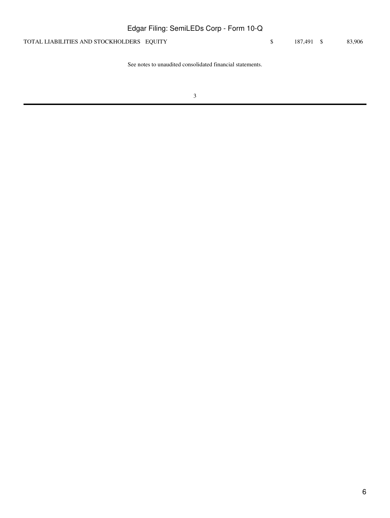| Edgar Filing: SemiLEDs Corp - Form 10-Q   |            |        |
|-------------------------------------------|------------|--------|
| TOTAL LIABILITIES AND STOCKHOLDERS EQUITY | 187.491 \$ | 83,906 |
|                                           |            |        |

See notes to unaudited consolidated financial statements.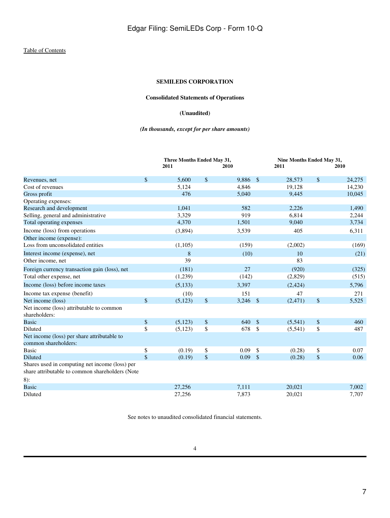# **Consolidated Statements of Operations**

#### **(Unaudited)**

#### *(In thousands, except for per share amounts)*

<span id="page-6-0"></span>

|                                                                     |                    | Three Months Ended May 31, |              |       |               | Nine Months Ended May 31, |                           |        |  |
|---------------------------------------------------------------------|--------------------|----------------------------|--------------|-------|---------------|---------------------------|---------------------------|--------|--|
|                                                                     |                    | 2011                       |              | 2010  |               | 2011                      |                           | 2010   |  |
| Revenues, net                                                       | $\mathbf{\hat{S}}$ | 5,600                      | \$           | 9,886 | $\mathbb{S}$  | 28,573                    | $\boldsymbol{\mathsf{S}}$ | 24,275 |  |
| Cost of revenues                                                    |                    | 5,124                      |              | 4,846 |               | 19,128                    |                           | 14,230 |  |
| Gross profit                                                        |                    | 476                        |              | 5,040 |               | 9,445                     |                           | 10,045 |  |
| Operating expenses:                                                 |                    |                            |              |       |               |                           |                           |        |  |
| Research and development                                            |                    | 1,041                      |              | 582   |               | 2,226                     |                           | 1,490  |  |
| Selling, general and administrative                                 |                    | 3,329                      |              | 919   |               | 6,814                     |                           | 2,244  |  |
| Total operating expenses                                            |                    | 4,370                      |              | 1,501 |               | 9,040                     |                           | 3,734  |  |
| Income (loss) from operations                                       |                    | (3,894)                    |              | 3,539 |               | 405                       |                           | 6,311  |  |
| Other income (expense):                                             |                    |                            |              |       |               |                           |                           |        |  |
| Loss from unconsolidated entities                                   |                    | (1,105)                    |              | (159) |               | (2,002)                   |                           | (169)  |  |
| Interest income (expense), net                                      |                    | 8                          |              | (10)  |               | 10 <sup>10</sup>          |                           | (21)   |  |
| Other income, net                                                   |                    | 39                         |              |       |               | 83                        |                           |        |  |
| Foreign currency transaction gain (loss), net                       |                    | (181)                      |              | 27    |               | (920)                     |                           | (325)  |  |
| Total other expense, net                                            |                    | (1,239)                    |              | (142) |               | (2,829)                   |                           | (515)  |  |
| Income (loss) before income taxes                                   |                    | (5,133)                    |              | 3,397 |               | (2, 424)                  |                           | 5,796  |  |
| Income tax expense (benefit)                                        |                    | (10)                       |              | 151   |               | 47                        |                           | 271    |  |
| Net income (loss)                                                   | $\mathbf{\hat{S}}$ | (5, 123)                   | \$           | 3,246 | $\sqrt{5}$    | (2, 471)                  | $\$$                      | 5,525  |  |
| Net income (loss) attributable to common<br>shareholders:           |                    |                            |              |       |               |                           |                           |        |  |
| <b>Basic</b>                                                        | $\boldsymbol{\$}$  | (5,123)                    | $\mathbb{S}$ | 640   | $\sqrt{5}$    | (5,541)                   | $\$$                      | 460    |  |
| Diluted                                                             | \$                 | (5, 123)                   | \$           | 678   | $\mathcal{S}$ | (5,541)                   | \$                        | 487    |  |
| Net income (loss) per share attributable to<br>common shareholders: |                    |                            |              |       |               |                           |                           |        |  |
| <b>Basic</b>                                                        | \$                 | (0.19)                     | \$           | 0.09  | $\mathbb{S}$  | (0.28)                    | \$                        | 0.07   |  |
| Diluted                                                             | \$                 | (0.19)                     | \$           | 0.09  | $\sqrt{2}$    | (0.28)                    | $\boldsymbol{\$}$         | 0.06   |  |
| Shares used in computing net income (loss) per                      |                    |                            |              |       |               |                           |                           |        |  |
| share attributable to common shareholders (Note                     |                    |                            |              |       |               |                           |                           |        |  |
| $8)$ :                                                              |                    |                            |              |       |               |                           |                           |        |  |
| <b>Basic</b>                                                        |                    | 27,256                     |              | 7,111 |               | 20,021                    |                           | 7,002  |  |
| Diluted                                                             |                    | 27,256                     |              | 7,873 |               | 20,021                    |                           | 7,707  |  |

See notes to unaudited consolidated financial statements.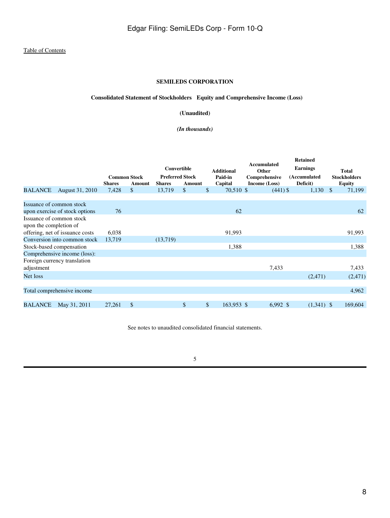# **Consolidated Statement of Stockholders Equity and Comprehensive Income (Loss)**

#### **(Unaudited)**

#### *(In thousands)*

<span id="page-7-0"></span>

|                        |                                 |               |                                      |               | Convertible                      | <b>Additional</b>  | Accumulated<br>Other           | <b>Retained</b><br><b>Earnings</b> |               | <b>Total</b>                         |
|------------------------|---------------------------------|---------------|--------------------------------------|---------------|----------------------------------|--------------------|--------------------------------|------------------------------------|---------------|--------------------------------------|
|                        |                                 | <b>Shares</b> | <b>Common Stock</b><br><b>Amount</b> | <b>Shares</b> | <b>Preferred Stock</b><br>Amount | Paid-in<br>Capital | Comprehensive<br>Income (Loss) | (Accumulated<br>Deficit)           |               | <b>Stockholders</b><br><b>Equity</b> |
| <b>BALANCE</b>         | August 31, 2010                 | 7,428         | $\mathbb{S}$                         | 13,719        | \$                               | \$<br>70,510 \$    | $(441)$ \$                     | 1,130                              | <sup>\$</sup> | 71,199                               |
|                        |                                 |               |                                      |               |                                  |                    |                                |                                    |               |                                      |
|                        | Issuance of common stock        |               |                                      |               |                                  |                    |                                |                                    |               |                                      |
|                        | upon exercise of stock options  | 76            |                                      |               |                                  | 62                 |                                |                                    |               | 62                                   |
| upon the completion of | Issuance of common stock        |               |                                      |               |                                  |                    |                                |                                    |               |                                      |
|                        | offering, net of issuance costs | 6,038         |                                      |               |                                  | 91,993             |                                |                                    |               | 91,993                               |
|                        | Conversion into common stock    | 13,719        |                                      | (13,719)      |                                  |                    |                                |                                    |               |                                      |
|                        | Stock-based compensation        |               |                                      |               |                                  | 1,388              |                                |                                    |               | 1,388                                |
|                        | Comprehensive income (loss):    |               |                                      |               |                                  |                    |                                |                                    |               |                                      |
|                        | Foreign currency translation    |               |                                      |               |                                  |                    | 7,433                          |                                    |               | 7,433                                |
| adjustment             |                                 |               |                                      |               |                                  |                    |                                |                                    |               |                                      |
| Net loss               |                                 |               |                                      |               |                                  |                    |                                | (2,471)                            |               | (2,471)                              |
|                        |                                 |               |                                      |               |                                  |                    |                                |                                    |               |                                      |
|                        | Total comprehensive income      |               |                                      |               |                                  |                    |                                |                                    |               | 4,962                                |
|                        |                                 |               |                                      |               |                                  |                    |                                |                                    |               |                                      |
| <b>BALANCE</b>         | May 31, 2011                    | 27,261        | \$                                   |               | \$                               | \$<br>163,953 \$   | $6,992$ \$                     | $(1,341)$ \$                       |               | 169,604                              |

See notes to unaudited consolidated financial statements.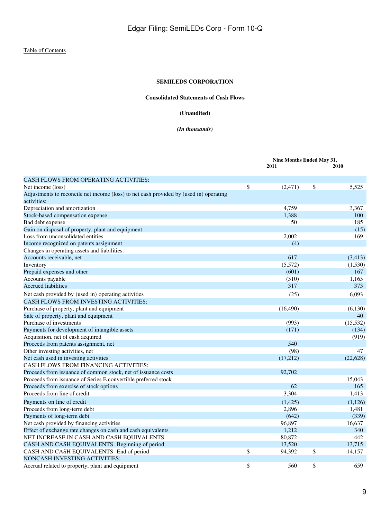# **Consolidated Statements of Cash Flows**

#### **(Unaudited)**

#### *(In thousands)*

<span id="page-8-0"></span>

|                                                                                        | Nine Months Ended May 31, |    |           |
|----------------------------------------------------------------------------------------|---------------------------|----|-----------|
|                                                                                        | 2011                      |    | 2010      |
| <b>CASH FLOWS FROM OPERATING ACTIVITIES:</b>                                           |                           |    |           |
| Net income (loss)                                                                      | \$<br>(2, 471)            | \$ | 5,525     |
| Adjustments to reconcile net income (loss) to net cash provided by (used in) operating |                           |    |           |
| activities:                                                                            |                           |    |           |
| Depreciation and amortization                                                          | 4,759                     |    | 3,367     |
| Stock-based compensation expense                                                       | 1,388                     |    | 100       |
| Bad debt expense                                                                       | 50                        |    | 185       |
| Gain on disposal of property, plant and equipment                                      |                           |    | (15)      |
| Loss from unconsolidated entities                                                      | 2,002                     |    | 169       |
| Income recognized on patents assignment                                                | (4)                       |    |           |
| Changes in operating assets and liabilities:                                           |                           |    |           |
| Accounts receivable, net                                                               | 617                       |    | (3,413)   |
| Inventory                                                                              | (5,572)                   |    | (1,530)   |
| Prepaid expenses and other                                                             | (601)                     |    | 167       |
| Accounts payable                                                                       | (510)                     |    | 1,165     |
| <b>Accrued liabilities</b>                                                             | 317                       |    | 373       |
| Net cash provided by (used in) operating activities                                    | (25)                      |    | 6,093     |
| CASH FLOWS FROM INVESTING ACTIVITIES:                                                  |                           |    |           |
| Purchase of property, plant and equipment                                              | (16, 490)                 |    | (6, 130)  |
| Sale of property, plant and equipment                                                  |                           |    | 40        |
| Purchase of investments                                                                | (993)                     |    | (15, 532) |
| Payments for development of intangible assets                                          | (171)                     |    | (134)     |
| Acquisition, net of cash acquired                                                      |                           |    | (919)     |
| Proceeds from patents assignment, net                                                  | 540                       |    |           |
| Other investing activities, net                                                        | (98)                      |    | 47        |
| Net cash used in investing activities                                                  | (17,212)                  |    | (22, 628) |
| <b>CASH FLOWS FROM FINANCING ACTIVITIES:</b>                                           |                           |    |           |
| Proceeds from issuance of common stock, net of issuance costs                          | 92,702                    |    |           |
| Proceeds from issuance of Series E convertible preferred stock                         |                           |    | 15,043    |
| Proceeds from exercise of stock options                                                | 62                        |    | 165       |
| Proceeds from line of credit                                                           | 3,304                     |    | 1,413     |
| Payments on line of credit                                                             | (1,425)                   |    | (1, 126)  |
| Proceeds from long-term debt                                                           | 2,896                     |    | 1,481     |
| Payments of long-term debt                                                             | (642)                     |    | (339)     |
| Net cash provided by financing activities                                              | 96,897                    |    | 16,637    |
| Effect of exchange rate changes on cash and cash equivalents                           | 1,212                     |    | 340       |
| NET INCREASE IN CASH AND CASH EQUIVALENTS                                              | 80,872                    |    | 442       |
| CASH AND CASH EQUIVALENTS Beginning of period                                          | 13,520                    |    | 13,715    |
| CASH AND CASH EQUIVALENTS End of period                                                | \$<br>94,392              | \$ | 14,157    |
| NONCASH INVESTING ACTIVITIES:                                                          |                           |    |           |
| Accrual related to property, plant and equipment                                       | \$<br>560                 | \$ | 659       |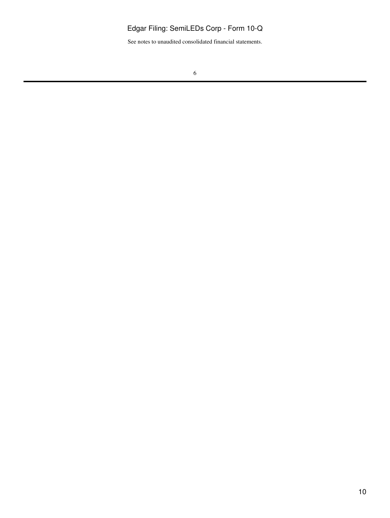See notes to unaudited consolidated financial statements.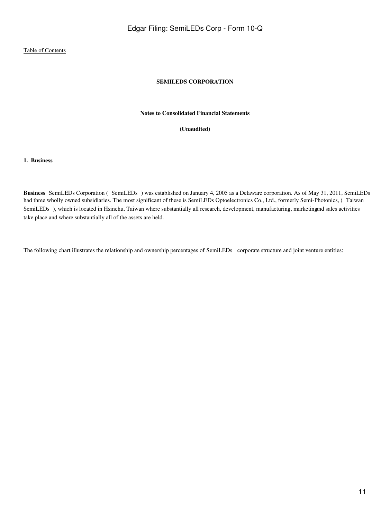# **SEMILEDS CORPORATION**

#### **Notes to Consolidated Financial Statements**

**(Unaudited)**

<span id="page-10-0"></span>**1. Business**

**Business** SemiLEDs Corporation (SemiLEDs) was established on January 4, 2005 as a Delaware corporation. As of May 31, 2011, SemiLEDs had three wholly owned subsidiaries. The most significant of these is SemiLEDs Optoelectronics Co., Ltd., formerly Semi-Photonics, (Taiwan SemiLEDs), which is located in Hsinchu, Taiwan where substantially all research, development, manufacturing, marketingand sales activities take place and where substantially all of the assets are held.

The following chart illustrates the relationship and ownership percentages of SemiLEDs corporate structure and joint venture entities: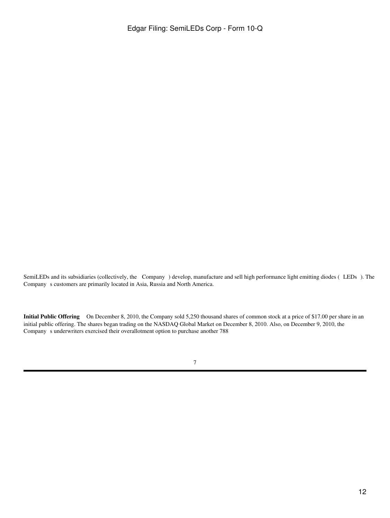SemiLEDs and its subsidiaries (collectively, the Company) develop, manufacture and sell high performance light emitting diodes (LEDs). The Company s customers are primarily located in Asia, Russia and North America.

**Initial Public Offering** On December 8, 2010, the Company sold 5,250 thousand shares of common stock at a price of \$17.00 per share in an initial public offering. The shares began trading on the NASDAQ Global Market on December 8, 2010. Also, on December 9, 2010, the Company s underwriters exercised their overallotment option to purchase another 788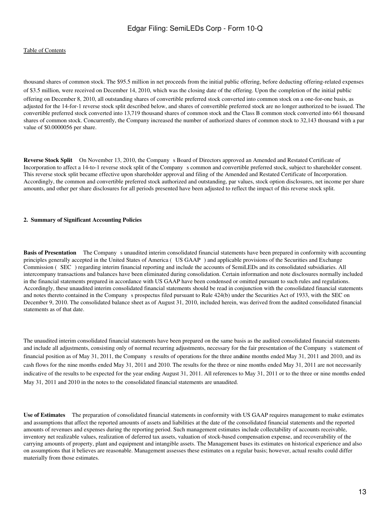thousand shares of common stock. The \$95.5 million in net proceeds from the initial public offering, before deducting offering-related expenses of \$3.5 million, were received on December 14, 2010, which was the closing date of the offering. Upon the completion of the initial public

offering on December 8, 2010, all outstanding shares of convertible preferred stock converted into common stock on a one-for-one basis, as adjusted for the 14-for-1 reverse stock split described below, and shares of convertible preferred stock are no longer authorized to be issued. The convertible preferred stock converted into 13,719 thousand shares of common stock and the Class B common stock converted into 661 thousand shares of common stock. Concurrently, the Company increased the number of authorized shares of common stock to 32,143 thousand with a par value of \$0.0000056 per share.

**Reverse Stock Split** On November 13, 2010, the Company s Board of Directors approved an Amended and Restated Certificate of Incorporation to affect a 14-to-1 reverse stock split of the Companys common and convertible preferred stock, subject to shareholder consent. This reverse stock split became effective upon shareholder approval and filing of the Amended and Restated Certificate of Incorporation. Accordingly, the common and convertible preferred stock authorized and outstanding, par values, stock option disclosures, net income per share amounts, and other per share disclosures for all periods presented have been adjusted to reflect the impact of this reverse stock split.

#### **2. Summary of Significant Accounting Policies**

**Basis of Presentation** The Company s unaudited interim consolidated financial statements have been prepared in conformity with accounting principles generally accepted in the United States of America (US GAAP) and applicable provisions of the Securities and Exchange Commission (SEC) regarding interim financial reporting and include the accounts of SemiLEDs and its consolidated subsidiaries. All intercompany transactions and balances have been eliminated during consolidation. Certain information and note disclosures normally included in the financial statements prepared in accordance with US GAAP have been condensed or omitted pursuant to such rules and regulations. Accordingly, these unaudited interim consolidated financial statements should be read in conjunction with the consolidated financial statements and notes thereto contained in the Company s prospectus filed pursuant to Rule 424(b) under the Securities Act of 1933, with the SEC on December 9, 2010. The consolidated balance sheet as of August 31, 2010, included herein, was derived from the audited consolidated financial statements as of that date.

The unaudited interim consolidated financial statements have been prepared on the same basis as the audited consolidated financial statements and include all adjustments, consisting only of normal recurring adjustments, necessary for the fair presentation of the Companys statement of financial position as of May 31, 2011, the Company s results of operations for the three and ine months ended May 31, 2011 and 2010, and its cash flows for the nine months ended May 31, 2011 and 2010. The results for the three or nine months ended May 31, 2011 are not necessarily indicative of the results to be expected for the year ending August 31, 2011. All references to May 31, 2011 or to the three or nine months ended May 31, 2011 and 2010 in the notes to the consolidated financial statements are unaudited.

**Use of Estimates** The preparation of consolidated financial statements in conformity with US GAAP requires management to make estimates and assumptions that affect the reported amounts of assets and liabilities at the date of the consolidated financial statements and the reported amounts of revenues and expenses during the reporting period. Such management estimates include collectability of accounts receivable, inventory net realizable values, realization of deferred tax assets, valuation of stock-based compensation expense, and recoverability of the carrying amounts of property, plant and equipment and intangible assets. The Management bases its estimates on historical experience and also on assumptions that it believes are reasonable. Management assesses these estimates on a regular basis; however, actual results could differ materially from those estimates.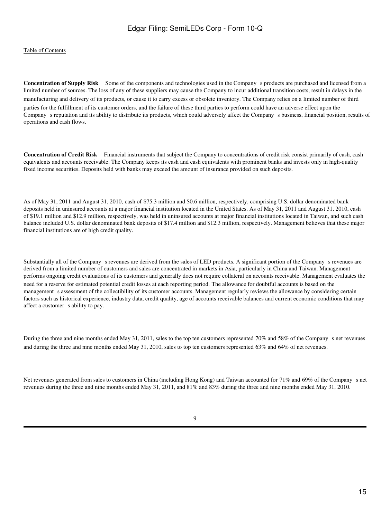**Concentration of Supply Risk** Some of the components and technologies used in the Company s products are purchased and licensed from a limited number of sources. The loss of any of these suppliers may cause the Company to incur additional transition costs, result in delays in the manufacturing and delivery of its products, or cause it to carry excess or obsolete inventory. The Company relies on a limited number of third parties for the fulfillment of its customer orders, and the failure of these third parties to perform could have an adverse effect upon the Companys reputation and its ability to distribute its products, which could adversely affect the Companys business, financial position, results of operations and cash flows.

**Concentration of Credit Risk** Financial instruments that subject the Company to concentrations of credit risk consist primarily of cash, cash equivalents and accounts receivable. The Company keeps its cash and cash equivalents with prominent banks and invests only in high-quality fixed income securities. Deposits held with banks may exceed the amount of insurance provided on such deposits.

As of May 31, 2011 and August 31, 2010, cash of \$75.3 million and \$0.6 million, respectively, comprising U.S. dollar denominated bank deposits held in uninsured accounts at a major financial institution located in the United States. As of May 31, 2011 and August 31, 2010, cash of \$19.1 million and \$12.9 million, respectively, was held in uninsured accounts at major financial institutions located in Taiwan, and such cash balance included U.S. dollar denominated bank deposits of \$17.4 million and \$12.3 million, respectively. Management believes that these major financial institutions are of high credit quality.

Substantially all of the Company s revenues are derived from the sales of LED products. A significant portion of the Company s revenues are derived from a limited number of customers and sales are concentrated in markets in Asia, particularly in China and Taiwan. Management performs ongoing credit evaluations of its customers and generally does not require collateral on accounts receivable. Management evaluates the need for a reserve for estimated potential credit losses at each reporting period. The allowance for doubtful accounts is based on the management s assessment of the collectibility of its customer accounts. Management regularly reviews the allowance by considering certain factors such as historical experience, industry data, credit quality, age of accounts receivable balances and current economic conditions that may affect a customer s ability to pay.

During the three and nine months ended May 31, 2011, sales to the top ten customers represented 70% and 58% of the Company s net revenues and during the three and nine months ended May 31, 2010, sales to top ten customers represented 63% and 64% of net revenues.

Net revenues generated from sales to customers in China (including Hong Kong) and Taiwan accounted for 71% and 69% of the Company s net revenues during the three and nine months ended May 31, 2011, and 81% and 83% during the three and nine months ended May 31, 2010.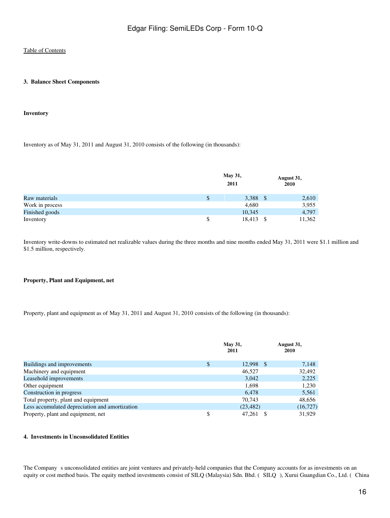#### **3. Balance Sheet Components**

#### **Inventory**

Inventory as of May 31, 2011 and August 31, 2010 consists of the following (in thousands):

|                 | May 31,<br>2011 |      | August 31,<br>2010 |
|-----------------|-----------------|------|--------------------|
| Raw materials   | 3,388           |      | 2,610              |
| Work in process | 4,680           |      | 3,955              |
| Finished goods  | 10,345          |      | 4,797              |
| Inventory       | 18,413          | - \$ | 11,362             |

Inventory write-downs to estimated net realizable values during the three months and nine months ended May 31, 2011 were \$1.1 million and \$1.5 million, respectively.

#### **Property, Plant and Equipment, net**

Property, plant and equipment as of May 31, 2011 and August 31, 2010 consists of the following (in thousands):

|                                                | <b>May 31,</b><br>2011 | August 31,<br>2010 |
|------------------------------------------------|------------------------|--------------------|
| Buildings and improvements                     | \$<br>12,998           | 7,148<br>- \$      |
| Machinery and equipment                        | 46.527                 | 32,492             |
| Leasehold improvements                         | 3,042                  | 2,225              |
| Other equipment                                | 1,698                  | 1,230              |
| Construction in progress                       | 6,478                  | 5,561              |
| Total property, plant and equipment            | 70.743                 | 48,656             |
| Less accumulated depreciation and amortization | (23, 482)              | (16, 727)          |
| Property, plant and equipment, net             | 47.261                 | 31.929             |

#### **4. Investments in Unconsolidated Entities**

The Company s unconsolidated entities are joint ventures and privately-held companies that the Company accounts for as investments on an equity or cost method basis. The equity method investments consist of SILQ (Malaysia) Sdn. Bhd. (SILQ), Xurui Guangdian Co., Ltd. (China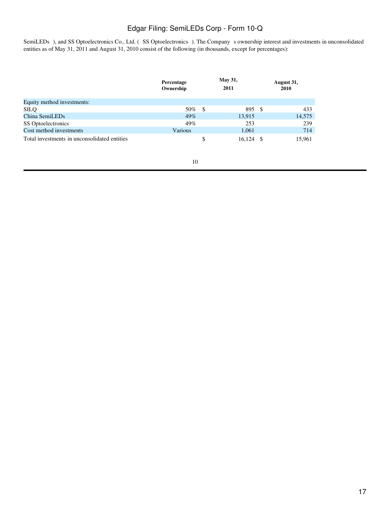SemiLEDs ), and SS Optoelectronics Co., Ltd. (SS Optoelectronics ). The Company s ownership interest and investments in unconsolidated entities as of May 31, 2011 and August 31, 2010 consist of the following (in thousands, except for percentages):

|                                              | Percentage<br>Ownership | <b>May 31,</b><br>2011 |        | August 31,<br>2010 |
|----------------------------------------------|-------------------------|------------------------|--------|--------------------|
| Equity method investments:                   |                         |                        |        |                    |
| <b>SILQ</b>                                  | 50%                     | -S                     | 895 \$ | 433                |
| China SemiLEDs                               | 49%                     |                        | 13,915 | 14,575             |
| SS Optoelectronics                           | 49%                     |                        | 253    | 239                |
| Cost method investments                      | Various                 |                        | 1,061  | 714                |
| Total investments in unconsolidated entities |                         | \$                     | 16.124 | 15.961             |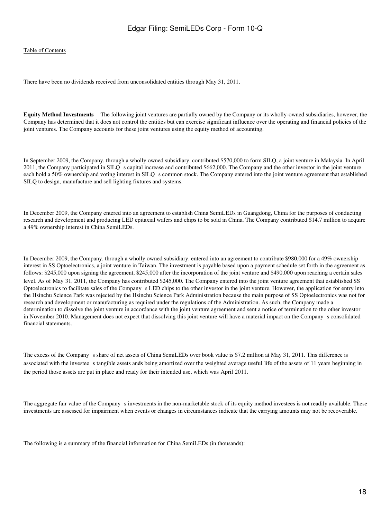#### [Table of Contents](#page-3-0)

There have been no dividends received from unconsolidated entities through May 31, 2011.

**Equity Method Investments** The following joint ventures are partially owned by the Company or its wholly-owned subsidiaries, however, the Company has determined that it does not control the entities but can exercise significant influence over the operating and financial policies of the joint ventures. The Company accounts for these joint ventures using the equity method of accounting.

In September 2009, the Company, through a wholly owned subsidiary, contributed \$570,000 to form SILQ, a joint venture in Malaysia. In April 2011, the Company participated in SILO s capital increase and contributed \$662,000. The Company and the other investor in the joint venture each hold a 50% ownership and voting interest in SILQ s common stock. The Company entered into the joint venture agreement that established SILQ to design, manufacture and sell lighting fixtures and systems.

In December 2009, the Company entered into an agreement to establish China SemiLEDs in Guangdong, China for the purposes of conducting research and development and producing LED epitaxial wafers and chips to be sold in China. The Company contributed \$14.7 million to acquire a 49% ownership interest in China SemiLEDs.

In December 2009, the Company, through a wholly owned subsidiary, entered into an agreement to contribute \$980,000 for a 49% ownership interest in SS Optoelectronics, a joint venture in Taiwan. The investment is payable based upon a payment schedule set forth in the agreement as follows: \$245,000 upon signing the agreement, \$245,000 after the incorporation of the joint venture and \$490,000 upon reaching a certain sales level. As of May 31, 2011, the Company has contributed \$245,000. The Company entered into the joint venture agreement that established SS Optoelectronics to facilitate sales of the Companys LED chips to the other investor in the joint venture. However, the application for entry into the Hsinchu Science Park was rejected by the Hsinchu Science Park Administration because the main purpose of SS Optoelectronics was not for research and development or manufacturing as required under the regulations of the Administration. As such, the Company made a determination to dissolve the joint venture in accordance with the joint venture agreement and sent a notice of termination to the other investor in November 2010. Management does not expect that dissolving this joint venture will have a material impact on the Company s consolidated financial statements.

The excess of the Company s share of net assets of China SemiLEDs over book value is \$7.2 million at May 31, 2011. This difference is associated with the investee s tangible assets ands being amortized over the weighted average useful life of the assets of 11 years beginning in the period those assets are put in place and ready for their intended use, which was April 2011.

The aggregate fair value of the Company s investments in the non-marketable stock of its equity method investees is not readily available. These investments are assessed for impairment when events or changes in circumstances indicate that the carrying amounts may not be recoverable.

The following is a summary of the financial information for China SemiLEDs (in thousands):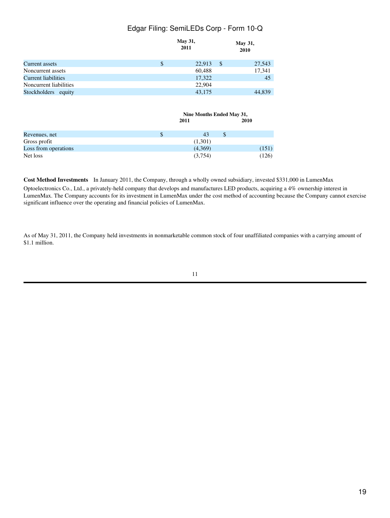|                            |    | <b>May 31,</b><br>2011 | May 31,<br>2010        |  |  |
|----------------------------|----|------------------------|------------------------|--|--|
| Current assets             | \$ | 22,913                 | $\mathbb{S}$<br>27,543 |  |  |
| Noncurrent assets          |    | 60,488                 | 17,341                 |  |  |
| <b>Current liabilities</b> |    | 17,322                 | 45                     |  |  |
| Noncurrent liabilities     |    | 22,904                 |                        |  |  |
| Stockholders equity        |    | 43,175                 | 44,839                 |  |  |
|                            |    |                        |                        |  |  |
|                            |    |                        |                        |  |  |

|                      | Nine Months Ended May 31, |    |       |  |  |
|----------------------|---------------------------|----|-------|--|--|
|                      | 2011                      |    | 2010  |  |  |
|                      |                           |    |       |  |  |
| Revenues, net        | 43                        | \$ |       |  |  |
| Gross profit         | (1,301)                   |    |       |  |  |
| Loss from operations | (4,369)                   |    | (151) |  |  |
| Net loss             | (3,754)                   |    | (126) |  |  |

**Cost Method Investments** In January 2011, the Company, through a wholly owned subsidiary, invested \$331,000 in LumenMax

Optoelectronics Co., Ltd., a privately-held company that develops and manufactures LED products, acquiring a 4% ownership interest in LumenMax. The Company accounts for its investment in LumenMax under the cost method of accounting because the Company cannot exercise significant influence over the operating and financial policies of LumenMax.

Edgar Filing: SemiLEDs Corp - Form 10-Q

As of May 31, 2011, the Company held investments in nonmarketable common stock of four unaffiliated companies with a carrying amount of \$1.1 million.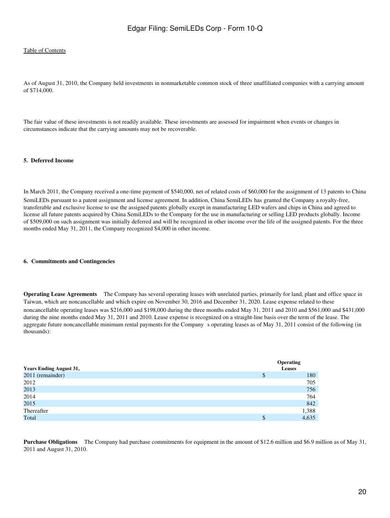As of August 31, 2010, the Company held investments in nonmarketable common stock of three unaffiliated companies with a carrying amount of \$714,000.

The fair value of these investments is not readily available. These investments are assessed for impairment when events or changes in circumstances indicate that the carrying amounts may not be recoverable.

#### **5. Deferred Income**

In March 2011, the Company received a one-time payment of \$540,000, net of related costs of \$60,000 for the assignment of 13 patents to China SemiLEDs pursuant to a patent assignment and license agreement. In addition, China SemiLEDs has granted the Company a royalty-free, transferable and exclusive license to use the assigned patents globally except in manufacturing LED wafers and chips in China and agreed to license all future patents acquired by China SemiLEDs to the Company for the use in manufacturing or selling LED products globally. Income of \$509,000 on such assignment was initially deferred and will be recognized in other income over the life of the assigned patents. For the three months ended May 31, 2011, the Company recognized \$4,000 in other income.

#### **6. Commitments and Contingencies**

**Operating Lease Agreements** The Company has several operating leases with unrelated parties, primarily for land, plant and office space in Taiwan, which are noncancellable and which expire on November 30, 2016 and December 31, 2020. Lease expense related to these noncancellable operating leases was \$216,000 and \$198,000 during the three months ended May 31, 2011 and 2010 and \$561,000 and \$431,000 during the nine months ended May 31, 2011 and 2010. Lease expense is recognized on a straight-line basis over the term of the lease. The aggregate future noncancellable minimum rental payments for the Companys operating leases as of May 31, 2011 consist of the following (in thousands):

| <b>Years Ending August 31,</b> |   | <b>Operating</b><br><b>Leases</b> |
|--------------------------------|---|-----------------------------------|
| 2011 (remainder)               | J | 180                               |
| 2012                           |   | 705                               |
| 2013                           |   | 756                               |
| 2014                           |   | 764                               |
| 2015                           |   | 842                               |
| Thereafter                     |   | 1,388                             |
| Total                          | S | 4,635                             |

**Purchase Obligations** The Company had purchase commitments for equipment in the amount of \$12.6 million and \$6.9 million as of May 31, 2011 and August 31, 2010.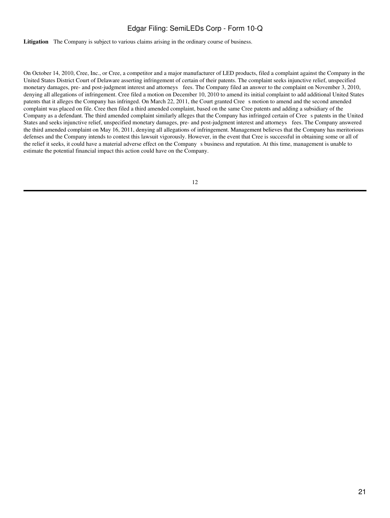**Litigation** The Company is subject to various claims arising in the ordinary course of business.

On October 14, 2010, Cree, Inc., or Cree, a competitor and a major manufacturer of LED products, filed a complaint against the Company in the United States District Court of Delaware asserting infringement of certain of their patents. The complaint seeks injunctive relief, unspecified monetary damages, pre- and post-judgment interest and attorneys fees. The Company filed an answer to the complaint on November 3, 2010, denying all allegations of infringement. Cree filed a motion on December 10, 2010 to amend its initial complaint to add additional United States patents that it alleges the Company has infringed. On March 22, 2011, the Court granted Cree s motion to amend and the second amended complaint was placed on file. Cree then filed a third amended complaint, based on the same Cree patents and adding a subsidiary of the Company as a defendant. The third amended complaint similarly alleges that the Company has infringed certain of Crees patents in the United States and seeks injunctive relief, unspecified monetary damages, pre- and post-judgment interest and attorneys fees. The Company answered the third amended complaint on May 16, 2011, denying all allegations of infringement. Management believes that the Company has meritorious defenses and the Company intends to contest this lawsuit vigorously. However, in the event that Cree is successful in obtaining some or all of the relief it seeks, it could have a material adverse effect on the Companys business and reputation. At this time, management is unable to estimate the potential financial impact this action could have on the Company.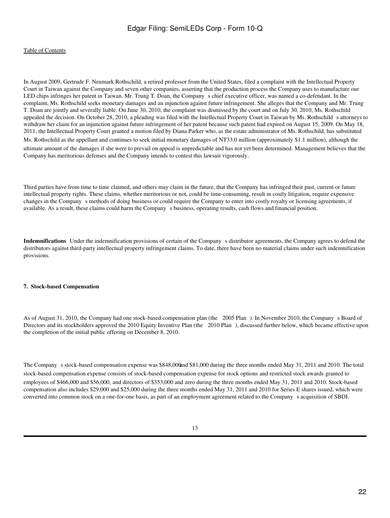In August 2009, Gertrude F. Neumark Rothschild, a retired professor from the United States, filed a complaint with the Intellectual Property Court in Taiwan against the Company and seven other companies, asserting that the production process the Company uses to manufacture our LED chips infringes her patent in Taiwan. Mr. Trung T. Doan, the Company s chief executive officer, was named a co-defendant. In the complaint, Ms. Rothschild seeks monetary damages and an injunction against future infringement. She alleges that the Company and Mr. Trung T. Doan are jointly and severally liable. On June 30, 2010, the complaint was dismissed by the court and on July 30, 2010, Ms. Rothschild appealed the decision. On October 28, 2010, a pleading was filed with the Intellectual Property Court in Taiwan by Ms. Rothschild s attorneys to withdraw her claim for an injunction against future infringement of her patent because such patent had expired on August 15, 2009. On May 18, 2011, the Intellectual Property Court granted a motion filed by Diana Parker who, as the estate administrator of Ms. Rothschild, has substituted Ms. Rothschild as the appellant and continues to seek initial monetary damages of NT33.0 million (approximately \$1.1 million), although the ultimate amount of the damages if she were to prevail on appeal is unpredictable and has not yet been determined. Management believes that the Company has meritorious defenses and the Company intends to contest this lawsuit vigorously.

Third parties have from time to time claimed, and others may claim in the future, that the Company has infringed their past, current or future intellectual property rights. These claims, whether meritorious or not, could be time-consuming, result in costly litigation, require expensive changes in the Company s methods of doing business or could require the Company to enter into costly royalty or licensing agreements, if available. As a result, these claims could harm the Company s business, operating results, cash flows and financial position.

Indemnifications Under the indemnification provisions of certain of the Company s distributor agreements, the Company agrees to defend the distributors against third-party intellectual property infringement claims. To date, there have been no material claims under such indemnification provisions.

#### **7. Stock-based Compensation**

As of August 31, 2010, the Company had one stock-based compensation plan (the 2005 Plan). In November 2010, the Company s Board of Directors and its stockholders approved the 2010 Equity Inventive Plan (the 2010 Plan), discussed further below, which became effective upon the completion of the initial public offering on December 8, 2010.

The Company s stock-based compensation expense was \$848,000 and \$81,000 during the three months ended May 31, 2011 and 2010. The total stock-based compensation expense consists of stock-based compensation expense for stock options and restricted stock awards granted to employees of \$466,000 and \$56,000, and directors of \$353,000 and zero during the three months ended May 31, 2011 and 2010. Stock-based compensation also includes \$29,000 and \$25,000 during the three months ended May 31, 2011 and 2010 for Series E shares issued, which were converted into common stock on a one-for-one basis, as part of an employment agreement related to the Company s acquisition of SBDI.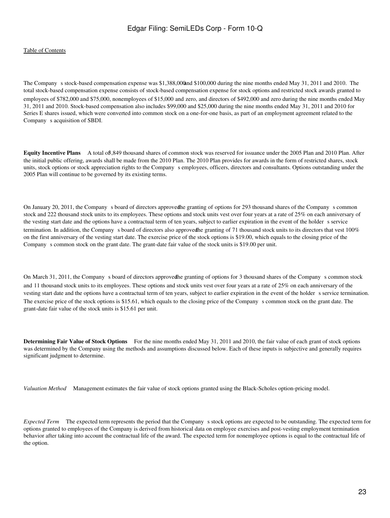#### [Table of Contents](#page-3-0)

The Company s stock-based compensation expense was \$1,388,000and \$100,000 during the nine months ended May 31, 2011 and 2010. The total stock-based compensation expense consists of stock-based compensation expense for stock options and restricted stock awards granted to employees of \$782,000 and \$75,000, nonemployees of \$15,000 and zero, and directors of \$492,000 and zero during the nine months ended May 31, 2011 and 2010. Stock-based compensation also includes \$99,000 and \$25,000 during the nine months ended May 31, 2011 and 2010 for Series E shares issued, which were converted into common stock on a one-for-one basis, as part of an employment agreement related to the Company s acquisition of SBDI.

**Equity Incentive Plans** A total of3,849 thousand shares of common stock was reserved for issuance under the 2005 Plan and 2010 Plan. After the initial public offering, awards shall be made from the 2010 Plan. The 2010 Plan provides for awards in the form of restricted shares, stock units, stock options or stock appreciation rights to the Company s employees, officers, directors and consultants. Options outstanding under the 2005 Plan will continue to be governed by its existing terms.

On January 20, 2011, the Companys board of directors approvedthe granting of options for 293 thousand shares of the Companys common stock and 222 thousand stock units to its employees. These options and stock units vest over four years at a rate of 25% on each anniversary of the vesting start date and the options have a contractual term of ten years, subject to earlier expiration in the event of the holder s service termination. In addition, the Company s board of directors also approved he granting of 71 thousand stock units to its directors that vest 100% on the first anniversary of the vesting start date. The exercise price of the stock options is \$19.00, which equals to the closing price of the Company s common stock on the grant date. The grant-date fair value of the stock units is \$19.00 per unit.

On March 31, 2011, the Company s board of directors approved he granting of options for 3 thousand shares of the Company s common stock and 11 thousand stock units to its employees. These options and stock units vest over four years at a rate of 25% on each anniversary of the vesting start date and the options have a contractual term of ten years, subject to earlier expiration in the event of the holder s service termination. The exercise price of the stock options is \$15.61, which equals to the closing price of the Company s common stock on the grant date. The grant-date fair value of the stock units is \$15.61 per unit.

**Determining Fair Value of Stock Options** For the nine months ended May 31, 2011 and 2010, the fair value of each grant of stock options was determined by the Company using the methods and assumptions discussed below. Each of these inputs is subjective and generally requires significant judgment to determine.

*Valuation Method* Management estimates the fair value of stock options granted using the Black-Scholes option-pricing model.

*Expected Term* The expected term represents the period that the Company s stock options are expected to be outstanding. The expected term for options granted to employees of the Company is derived from historical data on employee exercises and post-vesting employment termination behavior after taking into account the contractual life of the award. The expected term for nonemployee options is equal to the contractual life of the option.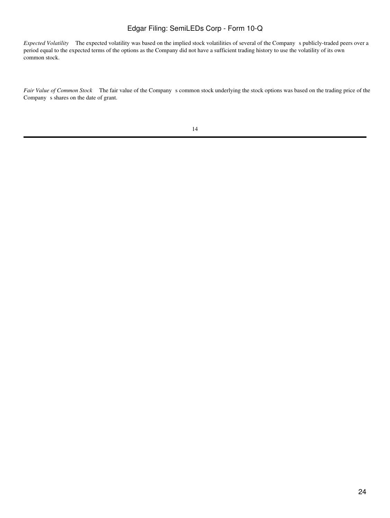*Expected Volatility* The expected volatility was based on the implied stock volatilities of several of the Company s publicly-traded peers over a period equal to the expected terms of the options as the Company did not have a sufficient trading history to use the volatility of its own common stock.

Fair Value of Common Stock The fair value of the Company s common stock underlying the stock options was based on the trading price of the Company s shares on the date of grant.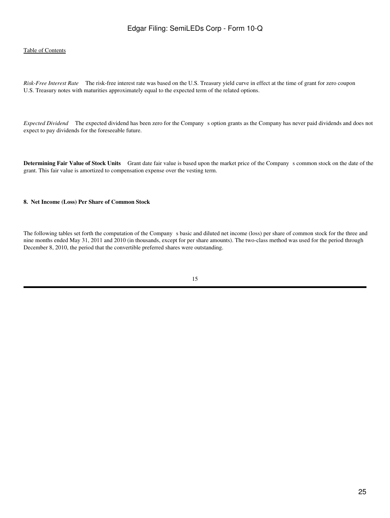#### [Table of Contents](#page-3-0)

*Risk-Free Interest Rate* The risk-free interest rate was based on the U.S. Treasury yield curve in effect at the time of grant for zero coupon U.S. Treasury notes with maturities approximately equal to the expected term of the related options.

*Expected Dividend* The expected dividend has been zero for the Company s option grants as the Company has never paid dividends and does not expect to pay dividends for the foreseeable future.

**Determining Fair Value of Stock Units** Grant date fair value is based upon the market price of the Company s common stock on the date of the grant. This fair value is amortized to compensation expense over the vesting term.

#### **8. Net Income (Loss) Per Share of Common Stock**

The following tables set forth the computation of the Company s basic and diluted net income (loss) per share of common stock for the three and nine months ended May 31, 2011 and 2010 (in thousands, except for per share amounts). The two-class method was used for the period through December 8, 2010, the period that the convertible preferred shares were outstanding.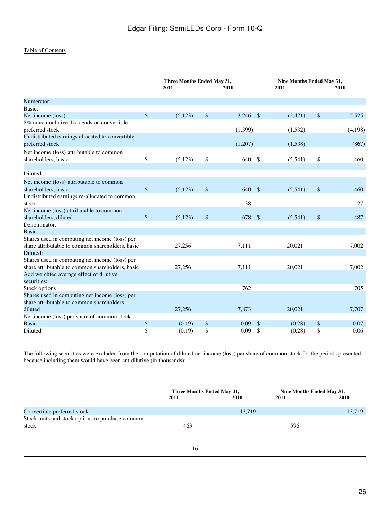|                                                                                                                | Three Months Ended May 31,<br>2011<br>2010 |          | Nine Months Ended May 31,<br>2011 |              | <b>2010</b> |             |
|----------------------------------------------------------------------------------------------------------------|--------------------------------------------|----------|-----------------------------------|--------------|-------------|-------------|
| Numerator:                                                                                                     |                                            |          |                                   |              |             |             |
| Basic:                                                                                                         |                                            |          |                                   |              |             |             |
| Net income (loss)                                                                                              | $\mathbb{S}$                               | (5,123)  | \$<br>$3,246$ \$                  |              | (2,471)     | \$<br>5,525 |
| 8% noncumulative dividends on convertible<br>preferred stock                                                   |                                            |          | (1,399)                           |              | (1,532)     | (4,198)     |
| Undistributed earnings allocated to convertible<br>preferred stock                                             |                                            |          | (1,207)                           |              | (1,538)     | (867)       |
| Net income (loss) attributable to common<br>shareholders, basic                                                | \$                                         | (5, 123) | \$<br>640 \$                      |              | (5,541)     | \$<br>460   |
| Diluted:                                                                                                       |                                            |          |                                   |              |             |             |
| Net income (loss) attributable to common                                                                       |                                            |          |                                   |              |             |             |
| shareholders, basic                                                                                            | $\mathsf{\$}$                              | (5,123)  | \$<br>640 \$                      |              | (5,541)     | \$<br>460   |
| Undistributed earnings re-allocated to common<br>stock                                                         |                                            |          | 38                                |              |             | 27          |
| Net income (loss) attributable to common<br>shareholders, diluted                                              | \$                                         | (5, 123) | \$<br>678 \$                      |              | (5,541)     | \$<br>487   |
| Denominator:                                                                                                   |                                            |          |                                   |              |             |             |
| Basic:                                                                                                         |                                            |          |                                   |              |             |             |
| Shares used in computing net income (loss) per<br>share attributable to common shareholders, basic<br>Diluted: |                                            | 27,256   | 7,111                             |              | 20,021      | 7,002       |
| Shares used in computing net income (loss) per                                                                 |                                            |          |                                   |              |             |             |
| share attributable to common shareholders, basic<br>Add weighted average effect of dilutive<br>securities:     |                                            | 27,256   | 7,111                             |              | 20,021      | 7,002       |
| Stock options                                                                                                  |                                            |          | 762                               |              |             | 705         |
| Shares used in computing net income (loss) per                                                                 |                                            |          |                                   |              |             |             |
| share attributable to common shareholders,                                                                     |                                            |          |                                   |              |             |             |
| diluted                                                                                                        |                                            | 27,256   | 7,873                             |              | 20,021      | 7,707       |
| Net income (loss) per share of common stock:<br><b>Basic</b>                                                   | $\boldsymbol{\$}$                          | (0.19)   | \$<br>0.09                        | $\mathbb{S}$ | (0.28)      | \$<br>0.07  |
| Diluted                                                                                                        | \$                                         | (0.19)   | \$<br>0.09                        | $\mathbb{S}$ | (0.28)      | \$<br>0.06  |

The following securities were excluded from the computation of diluted net income (loss) per share of common stock for the periods presented because including them would have been antidilutive (in thousands):

|                                                           | Three Months Ended May 31, |        | Nine Months Ended May 31, |        |  |
|-----------------------------------------------------------|----------------------------|--------|---------------------------|--------|--|
|                                                           | 2011                       | 2010   | 2011                      | 2010   |  |
| Convertible preferred stock                               |                            | 13,719 |                           | 13,719 |  |
| Stock units and stock options to purchase common<br>stock | 463                        |        | 596                       |        |  |
|                                                           |                            |        |                           |        |  |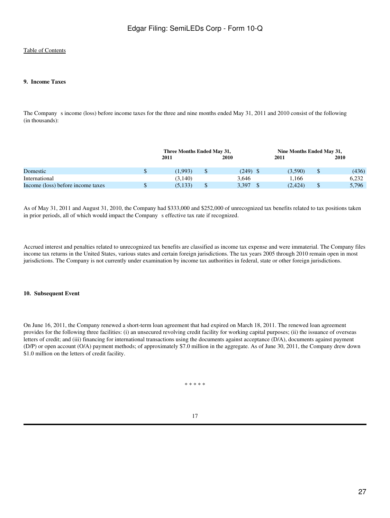#### **9. Income Taxes**

The Company s income (loss) before income taxes for the three and nine months ended May 31, 2011 and 2010 consist of the following (in thousands):

|                                   | Three Months Ended May 31, |  |       |  | Nine Months Ended May 31, |  |       |  |
|-----------------------------------|----------------------------|--|-------|--|---------------------------|--|-------|--|
|                                   | 2011                       |  | 2010  |  | 2011                      |  | 2010  |  |
|                                   |                            |  |       |  |                           |  |       |  |
| Domestic                          | (1.993)                    |  | (249) |  | (3.590)                   |  | (436) |  |
| International                     | (3.140)                    |  | 3.646 |  | .166                      |  | 6.232 |  |
| Income (loss) before income taxes | (5, 133)                   |  | 3.397 |  | (2, 424)                  |  | 5,796 |  |

As of May 31, 2011 and August 31, 2010, the Company had \$333,000 and \$252,000 of unrecognized tax benefits related to tax positions taken in prior periods, all of which would impact the Company s effective tax rate if recognized.

Accrued interest and penalties related to unrecognized tax benefits are classified as income tax expense and were immaterial. The Company files income tax returns in the United States, various states and certain foreign jurisdictions. The tax years 2005 through 2010 remain open in most jurisdictions. The Company is not currently under examination by income tax authorities in federal, state or other foreign jurisdictions.

#### **10. Subsequent Event**

On June 16, 2011, the Company renewed a short-term loan agreement that had expired on March 18, 2011. The renewed loan agreement provides for the following three facilities: (i) an unsecured revolving credit facility for working capital purposes; (ii) the issuance of overseas letters of credit; and (iii) financing for international transactions using the documents against acceptance (D/A), documents against payment (D/P) or open account (O/A) payment methods; of approximately \$7.0 million in the aggregate. As of June 30, 2011, the Company drew down \$1.0 million on the letters of credit facility.

\* \* \* \* \*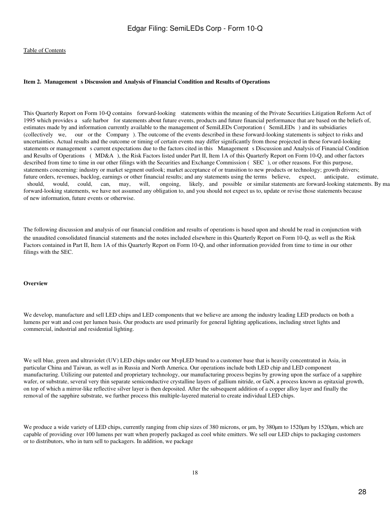#### <span id="page-27-0"></span>Item 2. Management s Discussion and Analysis of Financial Condition and Results of Operations

This Quarterly Report on Form 10-Q contains forward-looking statements within the meaning of the Private Securities Litigation Reform Act of 1995 which provides a safe harbor for statements about future events, products and future financial performance that are based on the beliefs of, estimates made by and information currently available to the management of SemiLEDs Corporation (SemiLEDs) and its subsidiaries (collectively we, our or the Company). The outcome of the events described in these forward-looking statements is subject to risks and uncertainties. Actual results and the outcome or timing of certain events may differ significantly from those projected in these forward-looking statements or management s current expectations due to the factors cited in this Management s Discussion and Analysis of Financial Condition and Results of Operations (MD&A), the Risk Factors listed under Part II, Item 1A of this Quarterly Report on Form 10-Q, and other factors described from time to time in our other filings with the Securities and Exchange Commission (SEC), or other reasons. For this purpose, statements concerning: industry or market segment outlook; market acceptance of or transition to new products or technology; growth drivers; future orders, revenues, backlog, earnings or other financial results; and any statements using the terms believe, expect, anticipate, estimate, should, would, could, can, may, will, ongoing, likely, and possible or similar statements are forward-looking statements. By ma forward-looking statements, we have not assumed any obligation to, and you should not expect us to, update or revise those statements because of new information, future events or otherwise.

The following discussion and analysis of our financial condition and results of operations is based upon and should be read in conjunction with the unaudited consolidated financial statements and the notes included elsewhere in this Quarterly Report on Form 10-Q, as well as the Risk Factors contained in Part II, Item 1A of this Quarterly Report on Form 10-Q, and other information provided from time to time in our other filings with the SEC.

#### **Overview**

We develop, manufacture and sell LED chips and LED components that we believe are among the industry leading LED products on both a lumens per watt and cost per lumen basis. Our products are used primarily for general lighting applications, including street lights and commercial, industrial and residential lighting.

We sell blue, green and ultraviolet (UV) LED chips under our MypLED brand to a customer base that is heavily concentrated in Asia, in particular China and Taiwan, as well as in Russia and North America. Our operations include both LED chip and LED component manufacturing. Utilizing our patented and proprietary technology, our manufacturing process begins by growing upon the surface of a sapphire wafer, or substrate, several very thin separate semiconductive crystalline layers of gallium nitride, or GaN, a process known as epitaxial growth, on top of which a mirror-like reflective silver layer is then deposited. After the subsequent addition of a copper alloy layer and finally the removal of the sapphire substrate, we further process this multiple-layered material to create individual LED chips.

We produce a wide variety of LED chips, currently ranging from chip sizes of 380 microns, or  $\mu$ m, by 380 $\mu$ m to 1520 $\mu$ m by 1520 $\mu$ m, which are capable of providing over 100 lumens per watt when properly packaged as cool white emitters. We sell our LED chips to packaging customers or to distributors, who in turn sell to packagers. In addition, we package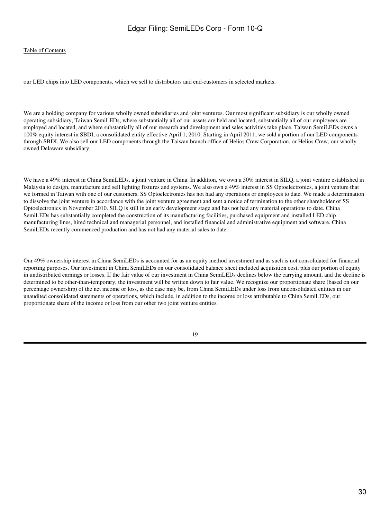our LED chips into LED components, which we sell to distributors and end-customers in selected markets.

We are a holding company for various wholly owned subsidiaries and joint ventures. Our most significant subsidiary is our wholly owned operating subsidiary, Taiwan SemiLEDs, where substantially all of our assets are held and located, substantially all of our employees are employed and located, and where substantially all of our research and development and sales activities take place. Taiwan SemiLEDs owns a 100% equity interest in SBDI, a consolidated entity effective April 1, 2010. Starting in April 2011, we sold a portion of our LED components through SBDI. We also sell our LED components through the Taiwan branch office of Helios Crew Corporation, or Helios Crew, our wholly owned Delaware subsidiary.

We have a 49% interest in China SemiLEDs, a joint venture in China. In addition, we own a 50% interest in SILQ, a joint venture established in Malaysia to design, manufacture and sell lighting fixtures and systems. We also own a 49% interest in SS Optoelectronics, a joint venture that we formed in Taiwan with one of our customers. SS Optoelectronics has not had any operations or employees to date. We made a determination to dissolve the joint venture in accordance with the joint venture agreement and sent a notice of termination to the other shareholder of SS Optoelectronics in November 2010. SILQ is still in an early development stage and has not had any material operations to date. China SemiLEDs has substantially completed the construction of its manufacturing facilities, purchased equipment and installed LED chip manufacturing lines, hired technical and managerial personnel, and installed financial and administrative equipment and software. China SemiLEDs recently commenced production and has not had any material sales to date.

Our 49% ownership interest in China SemiLEDs is accounted for as an equity method investment and as such is not consolidated for financial reporting purposes. Our investment in China SemiLEDs on our consolidated balance sheet included acquisition cost, plus our portion of equity in undistributed earnings or losses. If the fair value of our investment in China SemiLEDs declines below the carrying amount, and the decline is determined to be other-than-temporary, the investment will be written down to fair value. We recognize our proportionate share (based on our percentage ownership) of the net income or loss, as the case may be, from China SemiLEDs under loss from unconsolidated entities in our unaudited consolidated statements of operations, which include, in addition to the income or loss attributable to China SemiLEDs, our proportionate share of the income or loss from our other two joint venture entities.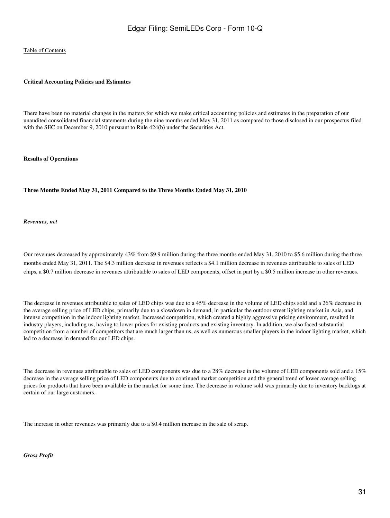#### **Critical Accounting Policies and Estimates**

There have been no material changes in the matters for which we make critical accounting policies and estimates in the preparation of our unaudited consolidated financial statements during the nine months ended May 31, 2011 as compared to those disclosed in our prospectus filed with the SEC on December 9, 2010 pursuant to Rule 424(b) under the Securities Act.

#### **Results of Operations**

#### **Three Months Ended May 31, 2011 Compared to the Three Months Ended May 31, 2010**

#### *Revenues, net*

Our revenues decreased by approximately 43% from \$9.9 million during the three months ended May 31, 2010 to \$5.6 million during the three months ended May 31, 2011. The \$4.3 million decrease in revenues reflects a \$4.1 million decrease in revenues attributable to sales of LED chips, a \$0.7 million decrease in revenues attributable to sales of LED components, offset in part by a \$0.5 million increase in other revenues.

The decrease in revenues attributable to sales of LED chips was due to a 45% decrease in the volume of LED chips sold and a 26% decrease in the average selling price of LED chips, primarily due to a slowdown in demand, in particular the outdoor street lighting market in Asia, and intense competition in the indoor lighting market. Increased competition, which created a highly aggressive pricing environment, resulted in industry players, including us, having to lower prices for existing products and existing inventory. In addition, we also faced substantial competition from a number of competitors that are much larger than us, as well as numerous smaller players in the indoor lighting market, which led to a decrease in demand for our LED chips.

The decrease in revenues attributable to sales of LED components was due to a 28% decrease in the volume of LED components sold and a 15% decrease in the average selling price of LED components due to continued market competition and the general trend of lower average selling prices for products that have been available in the market for some time. The decrease in volume sold was primarily due to inventory backlogs at certain of our large customers.

The increase in other revenues was primarily due to a \$0.4 million increase in the sale of scrap.

#### *Gross Profit*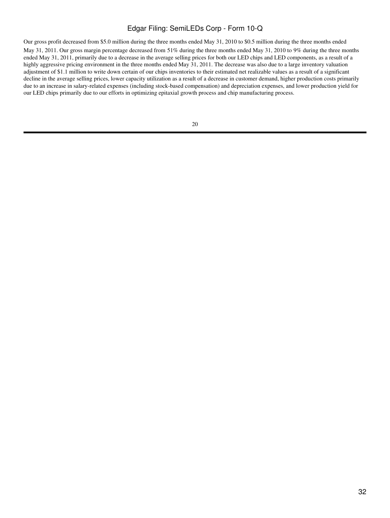Our gross profit decreased from \$5.0 million during the three months ended May 31, 2010 to \$0.5 million during the three months ended May 31, 2011. Our gross margin percentage decreased from 51% during the three months ended May 31, 2010 to 9% during the three months ended May 31, 2011, primarily due to a decrease in the average selling prices for both our LED chips and LED components, as a result of a highly aggressive pricing environment in the three months ended May 31, 2011. The decrease was also due to a large inventory valuation adjustment of \$1.1 million to write down certain of our chips inventories to their estimated net realizable values as a result of a significant decline in the average selling prices, lower capacity utilization as a result of a decrease in customer demand, higher production costs primarily due to an increase in salary-related expenses (including stock-based compensation) and depreciation expenses, and lower production yield for our LED chips primarily due to our efforts in optimizing epitaxial growth process and chip manufacturing process.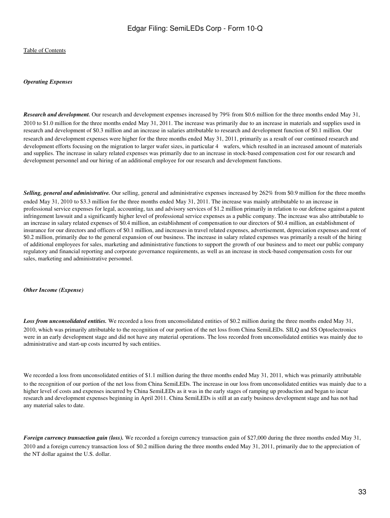#### *Operating Expenses*

*Research and development.* Our research and development expenses increased by 79% from \$0.6 million for the three months ended May 31, 2010 to \$1.0 million for the three months ended May 31, 2011. The increase was primarily due to an increase in materials and supplies used in research and development of \$0.3 million and an increase in salaries attributable to research and development function of \$0.1 million. Our research and development expenses were higher for the three months ended May 31, 2011, primarily as a result of our continued research and development efforts focusing on the migration to larger wafer sizes, in particular 4 wafers, which resulted in an increased amount of materials and supplies. The increase in salary related expenses was primarily due to an increase in stock-based compensation cost for our research and development personnel and our hiring of an additional employee for our research and development functions.

*Selling, general and administrative.* Our selling, general and administrative expenses increased by 262% from \$0.9 million for the three months ended May 31, 2010 to \$3.3 million for the three months ended May 31, 2011. The increase was mainly attributable to an increase in professional service expenses for legal, accounting, tax and advisory services of \$1.2 million primarily in relation to our defense against a patent infringement lawsuit and a significantly higher level of professional service expenses as a public company. The increase was also attributable to an increase in salary related expenses of \$0.4 million, an establishment of compensation to our directors of \$0.4 million, an establishment of insurance for our directors and officers of \$0.1 million, and increases in travel related expenses, advertisement, depreciation expenses and rent of \$0.2 million, primarily due to the general expansion of our business. The increase in salary related expenses was primarily a result of the hiring of additional employees for sales, marketing and administrative functions to support the growth of our business and to meet our public company regulatory and financial reporting and corporate governance requirements, as well as an increase in stock-based compensation costs for our sales, marketing and administrative personnel.

#### *Other Income (Expense)*

*Loss from unconsolidated entities.* We recorded a loss from unconsolidated entities of \$0.2 million during the three months ended May 31, 2010, which was primarily attributable to the recognition of our portion of the net loss from China SemiLEDs. SILQ and SS Optoelectronics were in an early development stage and did not have any material operations. The loss recorded from unconsolidated entities was mainly due to administrative and start-up costs incurred by such entities.

We recorded a loss from unconsolidated entities of \$1.1 million during the three months ended May 31, 2011, which was primarily attributable to the recognition of our portion of the net loss from China SemiLEDs. The increase in our loss from unconsolidated entities was mainly due to a higher level of costs and expenses incurred by China SemiLEDs as it was in the early stages of ramping up production and began to incur research and development expenses beginning in April 2011. China SemiLEDs is still at an early business development stage and has not had any material sales to date.

*Foreign currency transaction gain (loss)*. We recorded a foreign currency transaction gain of \$27,000 during the three months ended May 31, 2010 and a foreign currency transaction loss of \$0.2 million during the three months ended May 31, 2011, primarily due to the appreciation of the NT dollar against the U.S. dollar.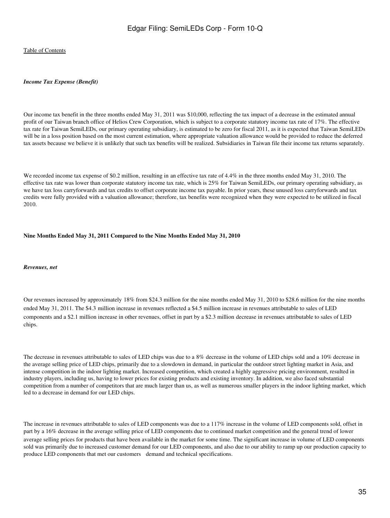#### *Income Tax Expense (Benefit)*

Our income tax benefit in the three months ended May 31, 2011 was \$10,000, reflecting the tax impact of a decrease in the estimated annual profit of our Taiwan branch office of Helios Crew Corporation, which is subject to a corporate statutory income tax rate of 17%. The effective tax rate for Taiwan SemiLEDs, our primary operating subsidiary, is estimated to be zero for fiscal 2011, as it is expected that Taiwan SemiLEDs will be in a loss position based on the most current estimation, where appropriate valuation allowance would be provided to reduce the deferred tax assets because we believe it is unlikely that such tax benefits will be realized. Subsidiaries in Taiwan file their income tax returns separately.

We recorded income tax expense of \$0.2 million, resulting in an effective tax rate of 4.4% in the three months ended May 31, 2010. The effective tax rate was lower than corporate statutory income tax rate, which is 25% for Taiwan SemiLEDs, our primary operating subsidiary, as we have tax loss carryforwards and tax credits to offset corporate income tax payable. In prior years, these unused loss carryforwards and tax credits were fully provided with a valuation allowance; therefore, tax benefits were recognized when they were expected to be utilized in fiscal 2010.

#### **Nine Months Ended May 31, 2011 Compared to the Nine Months Ended May 31, 2010**

#### *Revenues, net*

Our revenues increased by approximately 18% from \$24.3 million for the nine months ended May 31, 2010 to \$28.6 million for the nine months ended May 31, 2011. The \$4.3 million increase in revenues reflected a \$4.5 million increase in revenues attributable to sales of LED components and a \$2.1 million increase in other revenues, offset in part by a \$2.3 million decrease in revenues attributable to sales of LED chips.

The decrease in revenues attributable to sales of LED chips was due to a 8% decrease in the volume of LED chips sold and a 10% decrease in the average selling price of LED chips, primarily due to a slowdown in demand, in particular the outdoor street lighting market in Asia, and intense competition in the indoor lighting market. Increased competition, which created a highly aggressive pricing environment, resulted in industry players, including us, having to lower prices for existing products and existing inventory. In addition, we also faced substantial competition from a number of competitors that are much larger than us, as well as numerous smaller players in the indoor lighting market, which led to a decrease in demand for our LED chips.

The increase in revenues attributable to sales of LED components was due to a 117% increase in the volume of LED components sold, offset in part by a 16% decrease in the average selling price of LED components due to continued market competition and the general trend of lower average selling prices for products that have been available in the market for some time. The significant increase in volume of LED components sold was primarily due to increased customer demand for our LED components, and also due to our ability to ramp up our production capacity to produce LED components that met our customers demand and technical specifications.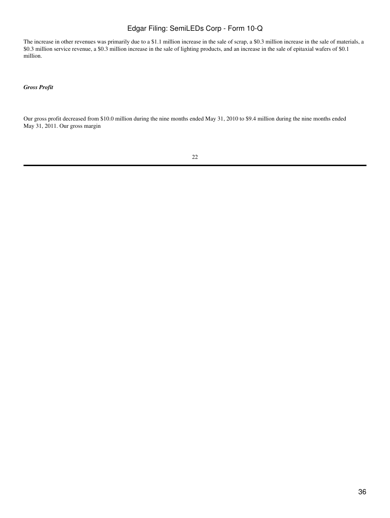The increase in other revenues was primarily due to a \$1.1 million increase in the sale of scrap, a \$0.3 million increase in the sale of materials, a \$0.3 million service revenue, a \$0.3 million increase in the sale of lighting products, and an increase in the sale of epitaxial wafers of \$0.1 million.

*Gross Profit*

Our gross profit decreased from \$10.0 million during the nine months ended May 31, 2010 to \$9.4 million during the nine months ended May 31, 2011. Our gross margin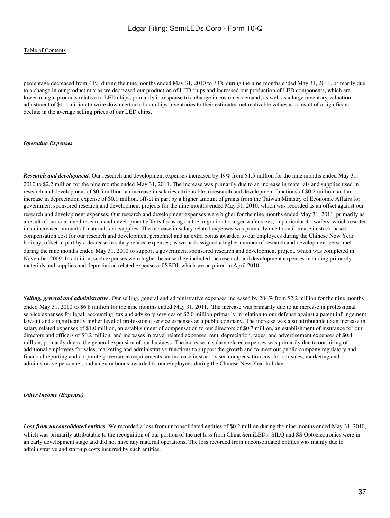#### [Table of Contents](#page-3-0)

percentage decreased from 41% during the nine months ended May 31, 2010 to 33% during the nine months ended May 31, 2011, primarily due to a change in our product mix as we decreased our production of LED chips and increased our production of LED components, which are lower-margin products relative to LED chips, primarily in response to a change in customer demand, as well as a large inventory valuation adjustment of \$1.1 million to write down certain of our chips inventories to their estimated net realizable values as a result of a significant decline in the average selling prices of our LED chips.

#### *Operating Expenses*

*Research and development.* Our research and development expenses increased by 49% from \$1.5 million for the nine months ended May 31, 2010 to \$2.2 million for the nine months ended May 31, 2011. The increase was primarily due to an increase in materials and supplies used in research and development of \$0.5 million, an increase in salaries attributable to research and development functions of \$0.2 million, and an increase in depreciation expense of \$0.1 million, offset in part by a higher amount of grants from the Taiwan Ministry of Economic Affairs for government sponsored research and development projects for the nine months ended May 31, 2010, which was recorded as an offset against our research and development expenses. Our research and development expenses were higher for the nine months ended May 31, 2011, primarily as a result of our continued research and development efforts focusing on the migration to larger wafer sizes, in particular 4 wafers, which resulted in an increased amount of materials and supplies. The increase in salary related expenses was primarily due to an increase in stock-based compensation cost for our research and development personnel and an extra bonus awarded to our employees during the Chinese New Year holiday, offset in part by a decrease in salary related expenses, as we had assigned a higher number of research and development personnel during the nine months ended May 31, 2010 to support a government sponsored research and development project, which was completed in November 2009. In addition, such expenses were higher because they included the research and development expenses including primarily materials and supplies and depreciation related expenses of SBDI, which we acquired in April 2010.

*Selling, general and administrative.* Our selling, general and administrative expenses increased by 204% from \$2.2 million for the nine months ended May 31, 2010 to \$6.8 million for the nine months ended May 31, 2011. The increase was primarily due to an increase in professional service expenses for legal, accounting, tax and advisory services of \$2.0 million primarily in relation to our defense against a patent infringement lawsuit and a significantly higher level of professional service expenses as a public company. The increase was also attributable to an increase in salary related expenses of \$1.0 million, an establishment of compensation to our directors of \$0.7 million, an establishment of insurance for our directors and officers of \$0.2 million, and increases in travel related expenses, rent, depreciation, taxes, and advertisement expenses of \$0.4 million, primarily due to the general expansion of our business. The increase in salary related expenses was primarily due to our hiring of additional employees for sales, marketing and administrative functions to support the growth and to meet our public company regulatory and financial reporting and corporate governance requirements, an increase in stock-based compensation cost for our sales, marketing and administrative personnel, and an extra bonus awarded to our employees during the Chinese New Year holiday.

*Other Income (Expense)*

*Loss from unconsolidated entities.* We recorded a loss from unconsolidated entities of \$0.2 million during the nine months ended May 31, 2010, which was primarily attributable to the recognition of our portion of the net loss from China SemiLEDs. SILQ and SS Optoelectronics were in an early development stage and did not have any material operations. The loss recorded from unconsolidated entities was mainly due to administrative and start-up costs incurred by such entities.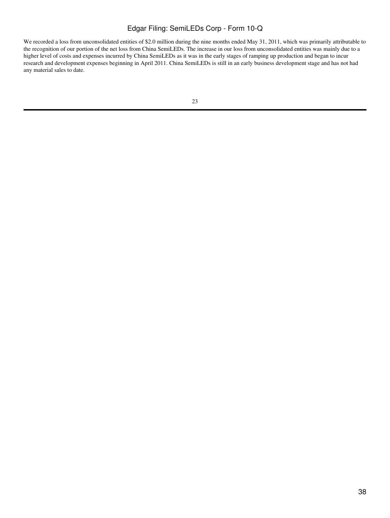We recorded a loss from unconsolidated entities of \$2.0 million during the nine months ended May 31, 2011, which was primarily attributable to the recognition of our portion of the net loss from China SemiLEDs. The increase in our loss from unconsolidated entities was mainly due to a higher level of costs and expenses incurred by China SemiLEDs as it was in the early stages of ramping up production and began to incur research and development expenses beginning in April 2011. China SemiLEDs is still in an early business development stage and has not had any material sales to date.

| v | ۰,<br>٩ |  |
|---|---------|--|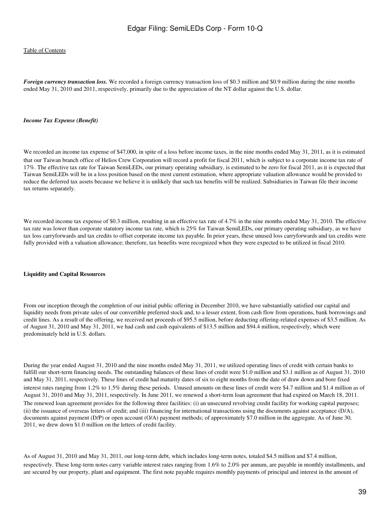#### [Table of Contents](#page-3-0)

*Foreign currency transaction loss.* We recorded a foreign currency transaction loss of \$0.3 million and \$0.9 million during the nine months ended May 31, 2010 and 2011, respectively, primarily due to the appreciation of the NT dollar against the U.S. dollar.

#### *Income Tax Expense (Benefit)*

We recorded an income tax expense of \$47,000, in spite of a loss before income taxes, in the nine months ended May 31, 2011, as it is estimated that our Taiwan branch office of Helios Crew Corporation will record a profit for fiscal 2011, which is subject to a corporate income tax rate of 17%. The effective tax rate for Taiwan SemiLEDs, our primary operating subsidiary, is estimated to be zero for fiscal 2011, as it is expected that Taiwan SemiLEDs will be in a loss position based on the most current estimation, where appropriate valuation allowance would be provided to reduce the deferred tax assets because we believe it is unlikely that such tax benefits will be realized. Subsidiaries in Taiwan file their income tax returns separately.

We recorded income tax expense of \$0.3 million, resulting in an effective tax rate of 4.7% in the nine months ended May 31, 2010. The effective tax rate was lower than corporate statutory income tax rate, which is 25% for Taiwan SemiLEDs, our primary operating subsidiary, as we have tax loss carryforwards and tax credits to offset corporate income tax payable. In prior years, these unused loss carryforwards and tax credits were fully provided with a valuation allowance; therefore, tax benefits were recognized when they were expected to be utilized in fiscal 2010.

#### **Liquidity and Capital Resources**

From our inception through the completion of our initial public offering in December 2010, we have substantially satisfied our capital and liquidity needs from private sales of our convertible preferred stock and, to a lesser extent, from cash flow from operations, bank borrowings and credit lines. As a result of the offering, we received net proceeds of \$95.5 million, before deducting offering-related expenses of \$3.5 million. As of August 31, 2010 and May 31, 2011, we had cash and cash equivalents of \$13.5 million and \$94.4 million, respectively, which were predominately held in U.S. dollars.

During the year ended August 31, 2010 and the nine months ended May 31, 2011, we utilized operating lines of credit with certain banks to fulfill our short-term financing needs. The outstanding balances of these lines of credit were \$1.0 million and \$3.1 million as of August 31, 2010 and May 31, 2011, respectively. These lines of credit had maturity dates of six to eight months from the date of draw down and bore fixed interest rates ranging from 1.2% to 1.5% during these periods. Unused amounts on these lines of credit were \$4.7 million and \$1.4 million as of August 31, 2010 and May 31, 2011, respectively. In June 2011, we renewed a short-term loan agreement that had expired on March 18, 2011. The renewed loan agreement provides for the following three facilities: (i) an unsecured revolving credit facility for working capital purposes; (ii) the issuance of overseas letters of credit; and (iii) financing for international transactions using the documents against acceptance (D/A), documents against payment (D/P) or open account (O/A) payment methods; of approximately \$7.0 million in the aggregate. As of June 30, 2011, we drew down \$1.0 million on the letters of credit facility.

As of August 31, 2010 and May 31, 2011, our long-term debt, which includes long-term notes, totaled \$4.5 million and \$7.4 million, respectively. These long-term notes carry variable interest rates ranging from 1.6% to 2.0% per annum, are payable in monthly installments, and are secured by our property, plant and equipment. The first note payable requires monthly payments of principal and interest in the amount of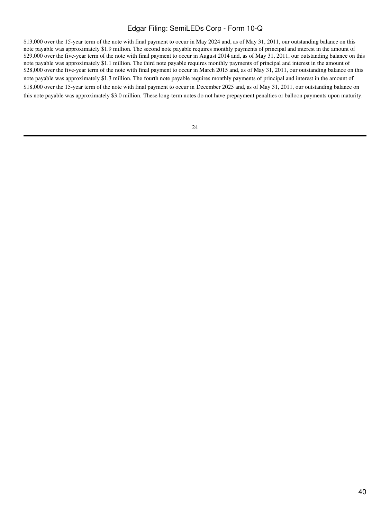\$13,000 over the 15-year term of the note with final payment to occur in May 2024 and, as of May 31, 2011, our outstanding balance on this note payable was approximately \$1.9 million. The second note payable requires monthly payments of principal and interest in the amount of \$29,000 over the five-year term of the note with final payment to occur in August 2014 and, as of May 31, 2011, our outstanding balance on this note payable was approximately \$1.1 million. The third note payable requires monthly payments of principal and interest in the amount of \$28,000 over the five-year term of the note with final payment to occur in March 2015 and, as of May 31, 2011, our outstanding balance on this note payable was approximately \$1.3 million. The fourth note payable requires monthly payments of principal and interest in the amount of \$18,000 over the 15-year term of the note with final payment to occur in December 2025 and, as of May 31, 2011, our outstanding balance on this note payable was approximately \$3.0 million. These long-term notes do not have prepayment penalties or balloon payments upon maturity.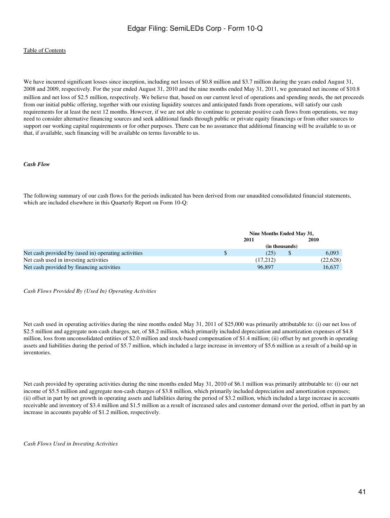We have incurred significant losses since inception, including net losses of \$0.8 million and \$3.7 million during the years ended August 31, 2008 and 2009, respectively. For the year ended August 31, 2010 and the nine months ended May 31, 2011, we generated net income of \$10.8 million and net loss of \$2.5 million, respectively. We believe that, based on our current level of operations and spending needs, the net proceeds from our initial public offering, together with our existing liquidity sources and anticipated funds from operations, will satisfy our cash requirements for at least the next 12 months. However, if we are not able to continue to generate positive cash flows from operations, we may need to consider alternative financing sources and seek additional funds through public or private equity financings or from other sources to support our working capital requirements or for other purposes. There can be no assurance that additional financing will be available to us or that, if available, such financing will be available on terms favorable to us.

#### *Cash Flow*

The following summary of our cash flows for the periods indicated has been derived from our unaudited consolidated financial statements, which are included elsewhere in this Quarterly Report on Form 10-Q:

|                                                     | Nine Months Ended May 31, |  |           |  |
|-----------------------------------------------------|---------------------------|--|-----------|--|
|                                                     | 2011                      |  | 2010      |  |
|                                                     | (in thousands)            |  |           |  |
| Net cash provided by (used in) operating activities | (25)                      |  | 6.093     |  |
| Net cash used in investing activities               | (17,212)                  |  | (22, 628) |  |
| Net cash provided by financing activities           | 96.897                    |  | 16.637    |  |

#### *Cash Flows Provided By (Used In) Operating Activities*

Net cash used in operating activities during the nine months ended May 31, 2011 of \$25,000 was primarily attributable to: (i) our net loss of \$2.5 million and aggregate non-cash charges, net, of \$8.2 million, which primarily included depreciation and amortization expenses of \$4.8 million, loss from unconsolidated entities of \$2.0 million and stock-based compensation of \$1.4 million; (ii) offset by net growth in operating assets and liabilities during the period of \$5.7 million, which included a large increase in inventory of \$5.6 million as a result of a build-up in inventories.

Net cash provided by operating activities during the nine months ended May 31, 2010 of \$6.1 million was primarily attributable to: (i) our net income of \$5.5 million and aggregate non-cash charges of \$3.8 million, which primarily included depreciation and amortization expenses; (ii) offset in part by net growth in operating assets and liabilities during the period of \$3.2 million, which included a large increase in accounts receivable and inventory of \$3.4 million and \$1.5 million as a result of increased sales and customer demand over the period, offset in part by an increase in accounts payable of \$1.2 million, respectively.

*Cash Flows Used in Investing Activities*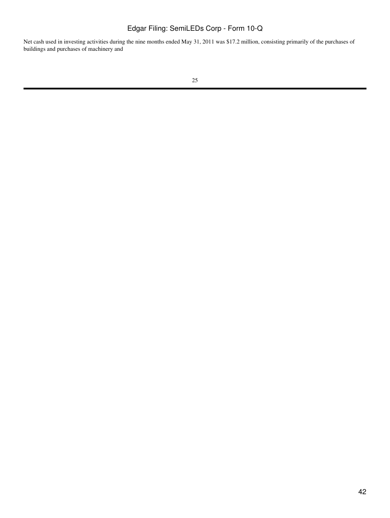Net cash used in investing activities during the nine months ended May 31, 2011 was \$17.2 million, consisting primarily of the purchases of buildings and purchases of machinery and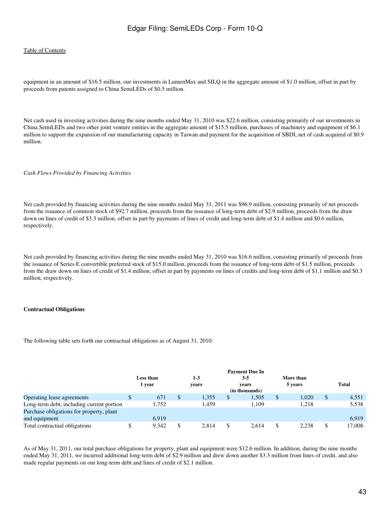#### [Table of Contents](#page-3-0)

equipment in an amount of \$16.5 million, our investments in LumenMax and SILQ in the aggregate amount of \$1.0 million, offset in part by proceeds from patents assigned to China SemiLEDs of \$0.5 million.

Net cash used in investing activities during the nine months ended May 31, 2010 was \$22.6 million, consisting primarily of our investments in China SemiLEDs and two other joint venture entities in the aggregate amount of \$15.5 million, purchases of machinery and equipment of \$6.1 million to support the expansion of our manufacturing capacity in Taiwan and payment for the acquisition of SBDI, net of cash acquired of \$0.9 million.

*Cash Flows Provided by Financing Activities*

Net cash provided by financing activities during the nine months ended May 31, 2011 was \$96.9 million, consisting primarily of net proceeds from the issuance of common stock of \$92.7 million, proceeds from the issuance of long-term debt of \$2.9 million, proceeds from the draw down on lines of credit of \$3.3 million, offset in part by payments of lines of credit and long-term debt of \$1.4 million and \$0.6 million, respectively.

Net cash provided by financing activities during the nine months ended May 31, 2010 was \$16.6 million, consisting primarily of proceeds from the issuance of Series E convertible preferred stock of \$15.0 million, proceeds from the issuance of long-term debt of \$1.5 million, proceeds from the draw down on lines of credit of \$1.4 million, offset in part by payments on lines of credits and long-term debt of \$1.1 million and \$0.3 million, respectively.

#### **Contractual Obligations**

The following table sets forth our contractual obligations as of August 31, 2010:

|                                           | Less than<br>1 year | $1-3$<br>vears |              | <b>Payment Due In</b><br>$3 - 5$<br>vears<br>(in thousands) |              | More than<br>5 years | <b>Total</b> |
|-------------------------------------------|---------------------|----------------|--------------|-------------------------------------------------------------|--------------|----------------------|--------------|
| Operating lease agreements                | 671                 | \$<br>1,355    | $\mathbb{S}$ | 1,505                                                       | $\mathbb{S}$ | 1.020                | \$<br>4,551  |
| Long-term debt, including current portion | 1.752               | 1.459          |              | 1.109                                                       |              | 1.218                | 5,538        |
| Purchase obligations for property, plant  |                     |                |              |                                                             |              |                      |              |
| and equipment                             | 6.919               |                |              |                                                             |              |                      | 6.919        |
| Total contractual obligations             | 9,342               | \$<br>2.814    |              | 2.614                                                       |              | 2.238                | \$<br>17,008 |

As of May 31, 2011, our total purchase obligations for property, plant and equipment were \$12.6 million. In addition, during the nine months ended May 31, 2011, we incurred additional long-term debt of \$2.9 million and drew down another \$3.3 million from lines of credit, and also made regular payments on our long-term debt and lines of credit of \$2.1 million.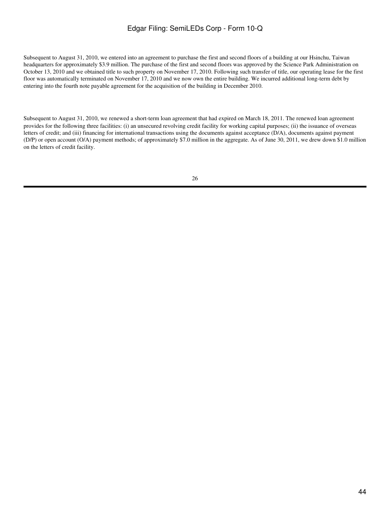Subsequent to August 31, 2010, we entered into an agreement to purchase the first and second floors of a building at our Hsinchu, Taiwan headquarters for approximately \$3.9 million. The purchase of the first and second floors was approved by the Science Park Administration on October 13, 2010 and we obtained title to such property on November 17, 2010. Following such transfer of title, our operating lease for the first floor was automatically terminated on November 17, 2010 and we now own the entire building. We incurred additional long-term debt by entering into the fourth note payable agreement for the acquisition of the building in December 2010.

Subsequent to August 31, 2010, we renewed a short-term loan agreement that had expired on March 18, 2011. The renewed loan agreement provides for the following three facilities: (i) an unsecured revolving credit facility for working capital purposes; (ii) the issuance of overseas letters of credit; and (iii) financing for international transactions using the documents against acceptance (D/A), documents against payment (D/P) or open account (O/A) payment methods; of approximately \$7.0 million in the aggregate. As of June 30, 2011, we drew down \$1.0 million on the letters of credit facility.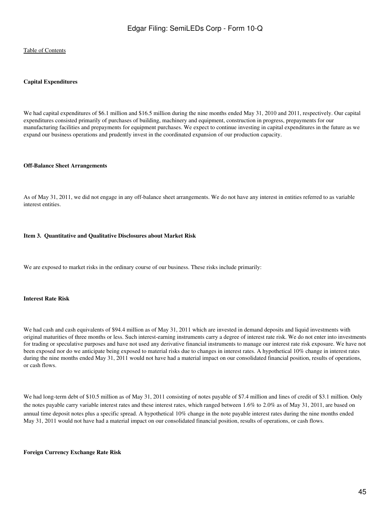#### **Capital Expenditures**

We had capital expenditures of \$6.1 million and \$16.5 million during the nine months ended May 31, 2010 and 2011, respectively. Our capital expenditures consisted primarily of purchases of building, machinery and equipment, construction in progress, prepayments for our manufacturing facilities and prepayments for equipment purchases. We expect to continue investing in capital expenditures in the future as we expand our business operations and prudently invest in the coordinated expansion of our production capacity.

#### **Off-Balance Sheet Arrangements**

As of May 31, 2011, we did not engage in any off-balance sheet arrangements. We do not have any interest in entities referred to as variable interest entities.

#### **Item 3. Quantitative and Qualitative Disclosures about Market Risk**

We are exposed to market risks in the ordinary course of our business. These risks include primarily:

#### **Interest Rate Risk**

We had cash and cash equivalents of \$94.4 million as of May 31, 2011 which are invested in demand deposits and liquid investments with original maturities of three months or less. Such interest-earning instruments carry a degree of interest rate risk. We do not enter into investments for trading or speculative purposes and have not used any derivative financial instruments to manage our interest rate risk exposure. We have not been exposed nor do we anticipate being exposed to material risks due to changes in interest rates. A hypothetical 10% change in interest rates during the nine months ended May 31, 2011 would not have had a material impact on our consolidated financial position, results of operations, or cash flows.

We had long-term debt of \$10.5 million as of May 31, 2011 consisting of notes payable of \$7.4 million and lines of credit of \$3.1 million. Only the notes payable carry variable interest rates and these interest rates, which ranged between 1.6% to 2.0% as of May 31, 2011, are based on annual time deposit notes plus a specific spread. A hypothetical 10% change in the note payable interest rates during the nine months ended May 31, 2011 would not have had a material impact on our consolidated financial position, results of operations, or cash flows.

**Foreign Currency Exchange Rate Risk**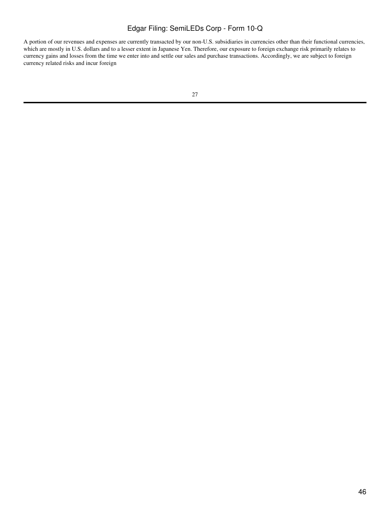A portion of our revenues and expenses are currently transacted by our non-U.S. subsidiaries in currencies other than their functional currencies, which are mostly in U.S. dollars and to a lesser extent in Japanese Yen. Therefore, our exposure to foreign exchange risk primarily relates to currency gains and losses from the time we enter into and settle our sales and purchase transactions. Accordingly, we are subject to foreign currency related risks and incur foreign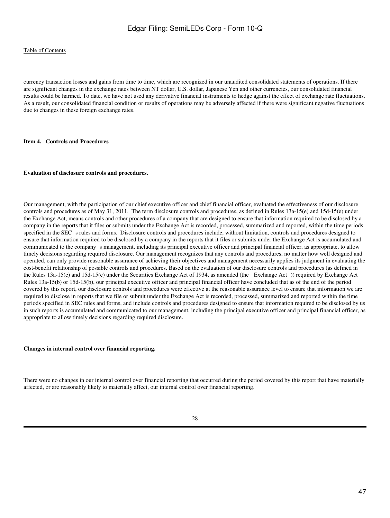currency transaction losses and gains from time to time, which are recognized in our unaudited consolidated statements of operations. If there are significant changes in the exchange rates between NT dollar, U.S. dollar, Japanese Yen and other currencies, our consolidated financial results could be harmed. To date, we have not used any derivative financial instruments to hedge against the effect of exchange rate fluctuations. As a result, our consolidated financial condition or results of operations may be adversely affected if there were significant negative fluctuations due to changes in these foreign exchange rates.

#### **Item 4. Controls and Procedures**

#### **Evaluation of disclosure controls and procedures.**

Our management, with the participation of our chief executive officer and chief financial officer, evaluated the effectiveness of our disclosure controls and procedures as of May 31, 2011. The term disclosure controls and procedures, as defined in Rules 13a-15(e) and 15d-15(e) under the Exchange Act, means controls and other procedures of a company that are designed to ensure that information required to be disclosed by a company in the reports that it files or submits under the Exchange Act is recorded, processed, summarized and reported, within the time periods specified in the SEC s rules and forms. Disclosure controls and procedures include, without limitation, controls and procedures designed to ensure that information required to be disclosed by a company in the reports that it files or submits under the Exchange Act is accumulated and communicated to the companys management, including its principal executive officer and principal financial officer, as appropriate, to allow timely decisions regarding required disclosure. Our management recognizes that any controls and procedures, no matter how well designed and operated, can only provide reasonable assurance of achieving their objectives and management necessarily applies its judgment in evaluating the cost-benefit relationship of possible controls and procedures. Based on the evaluation of our disclosure controls and procedures (as defined in the Rules 13a-15(e) and 15d-15(e) under the Securities Exchange Act of 1934, as amended (the Exchange Act)) required by Exchange Act Rules 13a-15(b) or 15d-15(b), our principal executive officer and principal financial officer have concluded that as of the end of the period covered by this report, our disclosure controls and procedures were effective at the reasonable assurance level to ensure that information we are required to disclose in reports that we file or submit under the Exchange Act is recorded, processed, summarized and reported within the time periods specified in SEC rules and forms, and include controls and procedures designed to ensure that information required to be disclosed by us in such reports is accumulated and communicated to our management, including the principal executive officer and principal financial officer, as appropriate to allow timely decisions regarding required disclosure.

#### **Changes in internal control over financial reporting.**

There were no changes in our internal control over financial reporting that occurred during the period covered by this report that have materially affected, or are reasonably likely to materially affect, our internal control over financial reporting.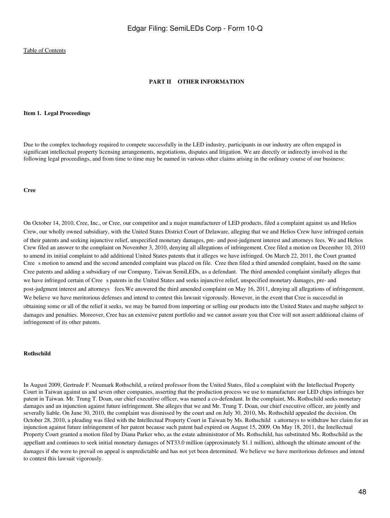#### **PART II OTHER INFORMATION**

#### **Item 1. Legal Proceedings**

Due to the complex technology required to compete successfully in the LED industry, participants in our industry are often engaged in significant intellectual property licensing arrangements, negotiations, disputes and litigation. We are directly or indirectly involved in the following legal proceedings, and from time to time may be named in various other claims arising in the ordinary course of our business:

#### **Cree**

On October 14, 2010, Cree, Inc., or Cree, our competitor and a major manufacturer of LED products, filed a complaint against us and Helios Crew, our wholly owned subsidiary, with the United States District Court of Delaware, alleging that we and Helios Crew have infringed certain of their patents and seeking injunctive relief, unspecified monetary damages, pre- and post-judgment interest and attorneysfees. We and Helios Crew filed an answer to the complaint on November 3, 2010, denying all allegations of infringement. Cree filed a motion on December 10, 2010 to amend its initial complaint to add additional United States patents that it alleges we have infringed. On March 22, 2011, the Court granted Cree s motion to amend and the second amended complaint was placed on file. Cree then filed a third amended complaint, based on the same Cree patents and adding a subsidiary of our Company, Taiwan SemiLEDs, as a defendant. The third amended complaint similarly alleges that we have infringed certain of Cree s patents in the United States and seeks injunctive relief, unspecified monetary damages, pre- and post-judgment interest and attorneys fees. We answered the third amended complaint on May 16, 2011, denying all allegations of infringement. We believe we have meritorious defenses and intend to contest this lawsuit vigorously. However, in the event that Cree is successful in obtaining some or all of the relief it seeks, we may be barred from importing or selling our products into the United States and maybe subject to damages and penalties. Moreover, Cree has an extensive patent portfolio and we cannot assure you that Cree will not assert additional claims of infringement of its other patents.

#### **Rothschild**

In August 2009, Gertrude F. Neumark Rothschild, a retired professor from the United States, filed a complaint with the Intellectual Property Court in Taiwan against us and seven other companies, asserting that the production process we use to manufacture our LED chips infringes her patent in Taiwan. Mr. Trung T. Doan, our chief executive officer, was named a co-defendant. In the complaint, Ms. Rothschild seeks monetary damages and an injunction against future infringement. She alleges that we and Mr. Trung T. Doan, our chief executive officer, are jointly and severally liable. On June 30, 2010, the complaint was dismissed by the court and on July 30, 2010, Ms. Rothschild appealed the decision. On October 28, 2010, a pleading was filed with the Intellectual Property Court in Taiwan by Ms. Rothschild s attorneys to withdraw her claim for an injunction against future infringement of her patent because such patent had expired on August 15, 2009. On May 18, 2011, the Intellectual Property Court granted a motion filed by Diana Parker who, as the estate administrator of Ms. Rothschild, has substituted Ms. Rothschild as the appellant and continues to seek initial monetary damages of NT33.0 million (approximately \$1.1 million), although the ultimate amount of the damages if she were to prevail on appeal is unpredictable and has not yet been determined. We believe we have meritorious defenses and intend to contest this lawsuit vigorously.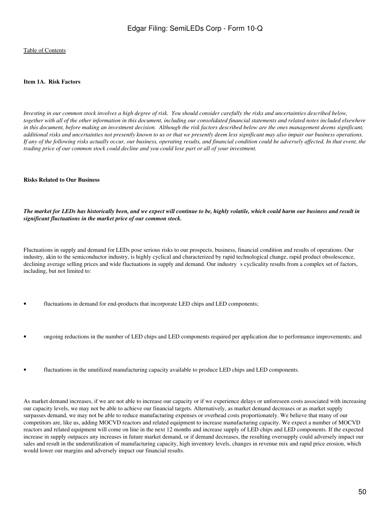#### **Item 1A. Risk Factors**

*Investing in our common stock involves a high degree of risk. You should consider carefully the risks and uncertainties described below, together with all of the other information in this document, including our consolidated financial statements and related notes included elsewhere in this document, before making an investment decision. Although the risk factors described below are the ones management deems significant, additional risks and uncertainties not presently known to us or that we presently deem less significant may also impair our business operations. If any of the following risks actually occur, our business, operating results, and financial condition could be adversely affected. In that event, the trading price of our common stock could decline and you could lose part or all of your investment.*

#### **Risks Related to Our Business**

*The market for LEDs has historically been, and we expect will continue to be, highly volatile, which could harm our business and result in significant fluctuations in the market price of our common stock.*

Fluctuations in supply and demand for LEDs pose serious risks to our prospects, business, financial condition and results of operations. Our industry, akin to the semiconductor industry, is highly cyclical and characterized by rapid technological change, rapid product obsolescence, declining average selling prices and wide fluctuations in supply and demand. Our industry s cyclicality results from a complex set of factors, including, but not limited to:

- fluctuations in demand for end-products that incorporate LED chips and LED components;
- ongoing reductions in the number of LED chips and LED components required per application due to performance improvements; and
- fluctuations in the unutilized manufacturing capacity available to produce LED chips and LED components.

As market demand increases, if we are not able to increase our capacity or if we experience delays or unforeseen costs associated with increasing our capacity levels, we may not be able to achieve our financial targets. Alternatively, as market demand decreases or as market supply surpasses demand, we may not be able to reduce manufacturing expenses or overhead costs proportionately. We believe that many of our competitors are, like us, adding MOCVD reactors and related equipment to increase manufacturing capacity. We expect a number of MOCVD reactors and related equipment will come on line in the next 12 months and increase supply of LED chips and LED components. If the expected increase in supply outpaces any increases in future market demand, or if demand decreases, the resulting oversupply could adversely impact our sales and result in the underutilization of manufacturing capacity, high inventory levels, changes in revenue mix and rapid price erosion, which would lower our margins and adversely impact our financial results.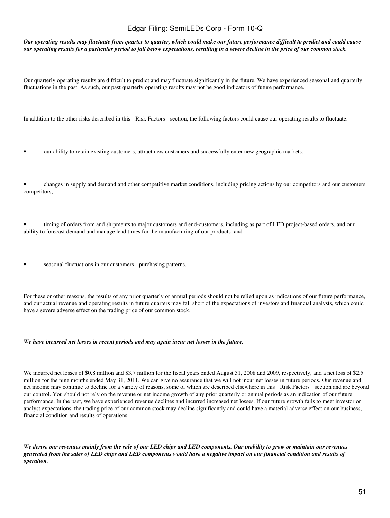*Our operating results may fluctuate from quarter to quarter, which could make our future performance difficult to predict and could cause our operating results for a particular period to fall below expectations, resulting in a severe decline in the price of our common stock.*

Our quarterly operating results are difficult to predict and may fluctuate significantly in the future. We have experienced seasonal and quarterly fluctuations in the past. As such, our past quarterly operating results may not be good indicators of future performance.

In addition to the other risks described in this Risk Factors section, the following factors could cause our operating results to fluctuate:

- our ability to retain existing customers, attract new customers and successfully enter new geographic markets;
- changes in supply and demand and other competitive market conditions, including pricing actions by our competitors and our customers competitors;

• timing of orders from and shipments to major customers and end-customers, including as part of LED project-based orders, and our ability to forecast demand and manage lead times for the manufacturing of our products; and

seasonal fluctuations in our customers purchasing patterns.

For these or other reasons, the results of any prior quarterly or annual periods should not be relied upon as indications of our future performance, and our actual revenue and operating results in future quarters may fall short of the expectations of investors and financial analysts, which could have a severe adverse effect on the trading price of our common stock.

#### *We have incurred net losses in recent periods and may again incur net losses in the future.*

We incurred net losses of \$0.8 million and \$3.7 million for the fiscal years ended August 31, 2008 and 2009, respectively, and a net loss of \$2.5 million for the nine months ended May 31, 2011. We can give no assurance that we will not incur net losses in future periods. Our revenue and net income may continue to decline for a variety of reasons, some of which are described elsewhere in this Risk Factors section and are beyond our control. You should not rely on the revenue or net income growth of any prior quarterly or annual periods as an indication of our future performance. In the past, we have experienced revenue declines and incurred increased net losses. If our future growth fails to meet investor or analyst expectations, the trading price of our common stock may decline significantly and could have a material adverse effect on our business, financial condition and results of operations.

*We derive our revenues mainly from the sale of our LED chips and LED components. Our inability to grow or maintain our revenues generated from the sales of LED chips and LED components would have a negative impact on our financial condition and results of operation.*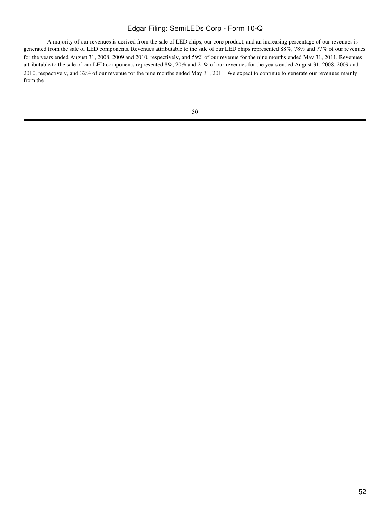A majority of our revenues is derived from the sale of LED chips, our core product, and an increasing percentage of our revenues is generated from the sale of LED components. Revenues attributable to the sale of our LED chips represented 88%, 78% and 77% of our revenues for the years ended August 31, 2008, 2009 and 2010, respectively, and 59% of our revenue for the nine months ended May 31, 2011. Revenues attributable to the sale of our LED components represented 8%, 20% and 21% of our revenues for the years ended August 31, 2008, 2009 and 2010, respectively, and 32% of our revenue for the nine months ended May 31, 2011. We expect to continue to generate our revenues mainly from the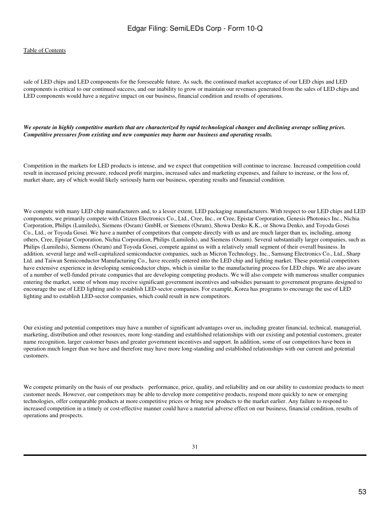#### [Table of Contents](#page-3-0)

sale of LED chips and LED components for the foreseeable future. As such, the continued market acceptance of our LED chips and LED components is critical to our continued success, and our inability to grow or maintain our revenues generated from the sales of LED chips and LED components would have a negative impact on our business, financial condition and results of operations.

*We operate in highly competitive markets that are characterized by rapid technological changes and declining average selling prices. Competitive pressures from existing and new companies may harm our business and operating results.*

Competition in the markets for LED products is intense, and we expect that competition will continue to increase. Increased competition could result in increased pricing pressure, reduced profit margins, increased sales and marketing expenses, and failure to increase, or the loss of, market share, any of which would likely seriously harm our business, operating results and financial condition.

We compete with many LED chip manufacturers and, to a lesser extent, LED packaging manufacturers. With respect to our LED chips and LED components, we primarily compete with Citizen Electronics Co., Ltd., Cree, Inc., or Cree, Epistar Corporation, Genesis Photonics Inc., Nichia Corporation, Philips (Lumileds), Siemens (Osram) GmbH, or Siemens (Osram), Showa Denko K.K., or Showa Denko, and Toyoda Gosei Co., Ltd., or Toyoda Gosei. We have a number of competitors that compete directly with us and are much larger than us, including, among others, Cree, Epistar Corporation, Nichia Corporation, Philips (Lumileds), and Siemens (Osram). Several substantially larger companies, such as Philips (Lumileds), Siemens (Osram) and Toyoda Gosei, compete against us with a relatively small segment of their overall business. In addition, several large and well-capitalized semiconductor companies, such as Micron Technology, Inc., Samsung Electronics Co., Ltd., Sharp Ltd. and Taiwan Semiconductor Manufacturing Co., have recently entered into the LED chip and lighting market. These potential competitors have extensive experience in developing semiconductor chips, which is similar to the manufacturing process for LED chips. We are also aware of a number of well-funded private companies that are developing competing products. We will also compete with numerous smaller companies entering the market, some of whom may receive significant government incentives and subsidies pursuant to government programs designed to encourage the use of LED lighting and to establish LED-sector companies. For example, Korea has programs to encourage the use of LED lighting and to establish LED-sector companies, which could result in new competitors.

Our existing and potential competitors may have a number of significant advantages over us, including greater financial, technical, managerial, marketing, distribution and other resources, more long-standing and established relationships with our existing and potential customers, greater name recognition, larger customer bases and greater government incentives and support. In addition, some of our competitors have been in operation much longer than we have and therefore may have more long-standing and established relationships with our current and potential customers.

We compete primarily on the basis of our products performance, price, quality, and reliability and on our ability to customize products to meet customer needs. However, our competitors may be able to develop more competitive products, respond more quickly to new or emerging technologies, offer comparable products at more competitive prices or bring new products to the market earlier. Any failure to respond to increased competition in a timely or cost-effective manner could have a material adverse effect on our business, financial condition, results of operations and prospects.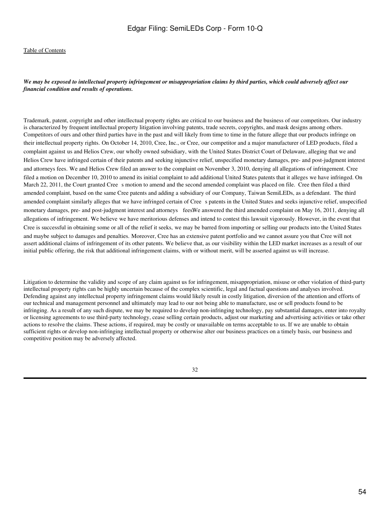#### *We may be exposed to intellectual property infringement or misappropriation claims by third parties, which could adversely affect our financial condition and results of operations.*

Trademark, patent, copyright and other intellectual property rights are critical to our business and the business of our competitors. Our industry is characterized by frequent intellectual property litigation involving patents, trade secrets, copyrights, and mask designs among others. Competitors of ours and other third parties have in the past and will likely from time to time in the future allege that our products infringe on their intellectual property rights. On October 14, 2010, Cree, Inc., or Cree, our competitor and a major manufacturer of LED products, filed a complaint against us and Helios Crew, our wholly owned subsidiary, with the United States District Court of Delaware, alleging that we and Helios Crew have infringed certain of their patents and seeking injunctive relief, unspecified monetary damages, pre- and post-judgment interest and attorneys fees. We and Helios Crew filed an answer to the complaint on November 3, 2010, denying all allegations of infringement. Cree filed a motion on December 10, 2010 to amend its initial complaint to add additional United States patents that it alleges we have infringed. On March 22, 2011, the Court granted Cree s motion to amend and the second amended complaint was placed on file. Cree then filed a third amended complaint, based on the same Cree patents and adding a subsidiary of our Company, Taiwan SemiLEDs, as a defendant. The third amended complaint similarly alleges that we have infringed certain of Crees patents in the United States and seeks injunctive relief, unspecified monetary damages, pre- and post-judgment interest and attorneys fees. We answered the third amended complaint on May 16, 2011, denying all allegations of infringement. We believe we have meritorious defenses and intend to contest this lawsuit vigorously. However, in the event that Cree is successful in obtaining some or all of the relief it seeks, we may be barred from importing or selling our products into the United States and maybe subject to damages and penalties. Moreover, Cree has an extensive patent portfolio and we cannot assure you that Cree will not assert additional claims of infringement of its other patents. We believe that, as our visibility within the LED market increases as a result of our initial public offering, the risk that additional infringement claims, with or without merit, will be asserted against us will increase.

Litigation to determine the validity and scope of any claim against us for infringement, misappropriation, misuse or other violation of third-party intellectual property rights can be highly uncertain because of the complex scientific, legal and factual questions and analyses involved. Defending against any intellectual property infringement claims would likely result in costly litigation, diversion of the attention and efforts of our technical and management personnel and ultimately may lead to our not being able to manufacture, use or sell products found to be infringing. As a result of any such dispute, we may be required to develop non-infringing technology, pay substantial damages, enter into royalty or licensing agreements to use third-party technology, cease selling certain products, adjust our marketing and advertising activities or take other actions to resolve the claims. These actions, if required, may be costly or unavailable on terms acceptable to us. If we are unable to obtain sufficient rights or develop non-infringing intellectual property or otherwise alter our business practices on a timely basis, our business and competitive position may be adversely affected.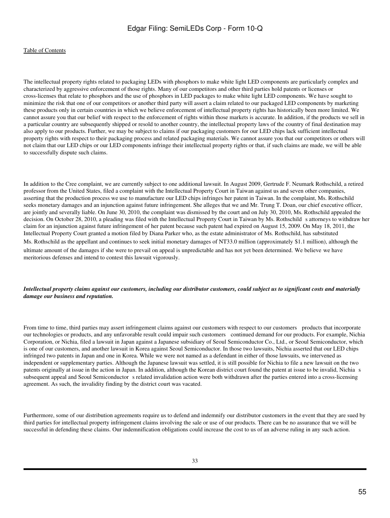The intellectual property rights related to packaging LEDs with phosphors to make white light LED components are particularly complex and characterized by aggressive enforcement of those rights. Many of our competitors and other third parties hold patents or licenses or cross-licenses that relate to phosphors and the use of phosphors in LED packages to make white light LED components. We have sought to minimize the risk that one of our competitors or another third party will assert a claim related to our packaged LED components by marketing these products only in certain countries in which we believe enforcement of intellectual property rights has historically been more limited. We cannot assure you that our belief with respect to the enforcement of rights within those markets is accurate. In addition, if the products we sell in a particular country are subsequently shipped or resold to another country, the intellectual property laws of the country of final destination may also apply to our products. Further, we may be subject to claims if our packaging customers for our LED chips lack sufficient intellectual property rights with respect to their packaging process and related packaging materials. We cannot assure you that our competitors or others will not claim that our LED chips or our LED components infringe their intellectual property rights or that, if such claims are made, we will be able to successfully dispute such claims.

In addition to the Cree complaint, we are currently subject to one additional lawsuit. In August 2009, Gertrude F. Neumark Rothschild, a retired professor from the United States, filed a complaint with the Intellectual Property Court in Taiwan against us and seven other companies, asserting that the production process we use to manufacture our LED chips infringes her patent in Taiwan. In the complaint, Ms. Rothschild seeks monetary damages and an injunction against future infringement. She alleges that we and Mr. Trung T. Doan, our chief executive officer, are jointly and severally liable. On June 30, 2010, the complaint was dismissed by the court and on July 30, 2010, Ms. Rothschild appealed the decision. On October 28, 2010, a pleading was filed with the Intellectual Property Court in Taiwan by Ms. Rothschild s attorneys to withdraw her claim for an injunction against future infringement of her patent because such patent had expired on August 15, 2009. On May 18, 2011, the Intellectual Property Court granted a motion filed by Diana Parker who, as the estate administrator of Ms. Rothschild, has substituted Ms. Rothschild as the appellant and continues to seek initial monetary damages of NT33.0 million (approximately \$1.1 million), although the ultimate amount of the damages if she were to prevail on appeal is unpredictable and has not yet been determined. We believe we have meritorious defenses and intend to contest this lawsuit vigorously.

### *Intellectual property claims against our customers, including our distributor customers, could subject us to significant costs and materially damage our business and reputation.*

From time to time, third parties may assert infringement claims against our customers with respect to our customers products that incorporate our technologies or products, and any unfavorable result could impair such customers continued demand for our products. For example, Nichia Corporation, or Nichia, filed a lawsuit in Japan against a Japanese subsidiary of Seoul Semiconductor Co., Ltd., or Seoul Semiconductor, which is one of our customers, and another lawsuit in Korea against Seoul Semiconductor. In those two lawsuits, Nichia asserted that our LED chips infringed two patents in Japan and one in Korea. While we were not named as a defendant in either of those lawsuits, we intervened as independent or supplementary parties. Although the Japanese lawsuit was settled, it is still possible for Nichia to file a new lawsuit on the two patents originally at issue in the action in Japan. In addition, although the Korean district court found the patent at issue to be invalid, Nichias subsequent appeal and Seoul Semiconductor s related invalidation action were both withdrawn after the parties entered into a cross-licensing agreement. As such, the invalidity finding by the district court was vacated.

Furthermore, some of our distribution agreements require us to defend and indemnify our distributor customers in the event that they are sued by third parties for intellectual property infringement claims involving the sale or use of our products. There can be no assurance that we will be successful in defending these claims. Our indemnification obligations could increase the cost to us of an adverse ruling in any such action.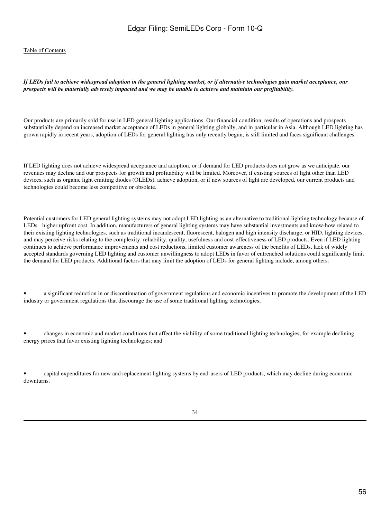#### *If LEDs fail to achieve widespread adoption in the general lighting market, or if alternative technologies gain market acceptance, our prospects will be materially adversely impacted and we may be unable to achieve and maintain our profitability.*

Our products are primarily sold for use in LED general lighting applications. Our financial condition, results of operations and prospects substantially depend on increased market acceptance of LEDs in general lighting globally, and in particular in Asia. Although LED lighting has grown rapidly in recent years, adoption of LEDs for general lighting has only recently begun, is still limited and faces significant challenges.

If LED lighting does not achieve widespread acceptance and adoption, or if demand for LED products does not grow as we anticipate, our revenues may decline and our prospects for growth and profitability will be limited. Moreover, if existing sources of light other than LED devices, such as organic light emitting diodes (OLEDs), achieve adoption, or if new sources of light are developed, our current products and technologies could become less competitive or obsolete.

Potential customers for LED general lighting systems may not adopt LED lighting as an alternative to traditional lighting technology because of LEDs higher upfront cost. In addition, manufacturers of general lighting systems may have substantial investments and know-how related to their existing lighting technologies, such as traditional incandescent, fluorescent, halogen and high intensity discharge, or HID, lighting devices, and may perceive risks relating to the complexity, reliability, quality, usefulness and cost-effectiveness of LED products. Even if LED lighting continues to achieve performance improvements and cost reductions, limited customer awareness of the benefits of LEDs, lack of widely accepted standards governing LED lighting and customer unwillingness to adopt LEDs in favor of entrenched solutions could significantly limit the demand for LED products. Additional factors that may limit the adoption of LEDs for general lighting include, among others:

• a significant reduction in or discontinuation of government regulations and economic incentives to promote the development of the LED industry or government regulations that discourage the use of some traditional lighting technologies;

• changes in economic and market conditions that affect the viability of some traditional lighting technologies, for example declining energy prices that favor existing lighting technologies; and

• capital expenditures for new and replacement lighting systems by end-users of LED products, which may decline during economic downturns.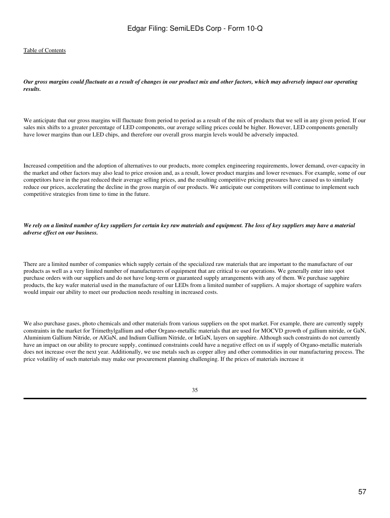*Our gross margins could fluctuate as a result of changes in our product mix and other factors, which may adversely impact our operating results.*

We anticipate that our gross margins will fluctuate from period to period as a result of the mix of products that we sell in any given period. If our sales mix shifts to a greater percentage of LED components, our average selling prices could be higher. However, LED components generally have lower margins than our LED chips, and therefore our overall gross margin levels would be adversely impacted.

Increased competition and the adoption of alternatives to our products, more complex engineering requirements, lower demand, over-capacity in the market and other factors may also lead to price erosion and, as a result, lower product margins and lower revenues. For example, some of our competitors have in the past reduced their average selling prices, and the resulting competitive pricing pressures have caused us to similarly reduce our prices, accelerating the decline in the gross margin of our products. We anticipate our competitors will continue to implement such competitive strategies from time to time in the future.

#### *We rely on a limited number of key suppliers for certain key raw materials and equipment. The loss of key suppliers may have a material adverse effect on our business.*

There are a limited number of companies which supply certain of the specialized raw materials that are important to the manufacture of our products as well as a very limited number of manufacturers of equipment that are critical to our operations. We generally enter into spot purchase orders with our suppliers and do not have long-term or guaranteed supply arrangements with any of them. We purchase sapphire products, the key wafer material used in the manufacture of our LEDs from a limited number of suppliers. A major shortage of sapphire wafers would impair our ability to meet our production needs resulting in increased costs.

We also purchase gases, photo chemicals and other materials from various suppliers on the spot market. For example, there are currently supply constraints in the market for Trimethylgallium and other Organo-metallic materials that are used for MOCVD growth of gallium nitride, or GaN, Aluminium Gallium Nitride, or AlGaN, and Indium Gallium Nitride, or InGaN, layers on sapphire. Although such constraints do not currently have an impact on our ability to procure supply, continued constraints could have a negative effect on us if supply of Organo-metallic materials does not increase over the next year. Additionally, we use metals such as copper alloy and other commodities in our manufacturing process. The price volatility of such materials may make our procurement planning challenging. If the prices of materials increase it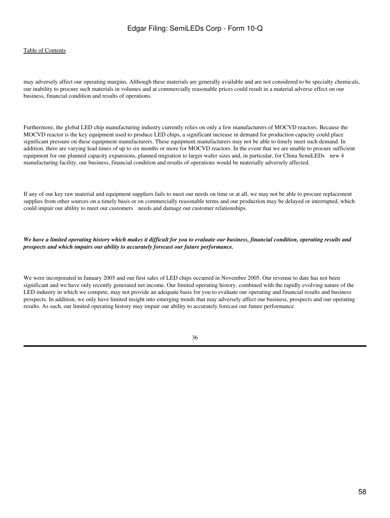#### [Table of Contents](#page-3-0)

may adversely affect our operating margins. Although these materials are generally available and are not considered to be specialty chemicals, our inability to procure such materials in volumes and at commercially reasonable prices could result in a material adverse effect on our business, financial condition and results of operations.

Furthermore, the global LED chip manufacturing industry currently relies on only a few manufacturers of MOCVD reactors. Because the MOCVD reactor is the key equipment used to produce LED chips, a significant increase in demand for production capacity could place significant pressure on these equipment manufacturers. These equipment manufacturers may not be able to timely meet such demand. In addition, there are varying lead times of up to six months or more for MOCVD reactors. In the event that we are unable to procure sufficient equipment for our planned capacity expansions, planned migration to larger wafer sizes and, in particular, for China SemiLEDs new 4 manufacturing facility, our business, financial condition and results of operations would be materially adversely affected.

If any of our key raw material and equipment suppliers fails to meet our needs on time or at all, we may not be able to procure replacement supplies from other sources on a timely basis or on commercially reasonable terms and our production may be delayed or interrupted, which could impair our ability to meet our customers needs and damage our customer relationships.

*We have a limited operating history which makes it difficult for you to evaluate our business, financial condition, operating results and prospects and which impairs our ability to accurately forecast our future performance.*

We were incorporated in January 2005 and our first sales of LED chips occurred in November 2005. Our revenue to date has not been significant and we have only recently generated net income. Our limited operating history, combined with the rapidly evolving nature of the LED industry in which we compete, may not provide an adequate basis for you to evaluate our operating and financial results and business prospects. In addition, we only have limited insight into emerging trends that may adversely affect our business, prospects and our operating results. As such, our limited operating history may impair our ability to accurately forecast our future performance.

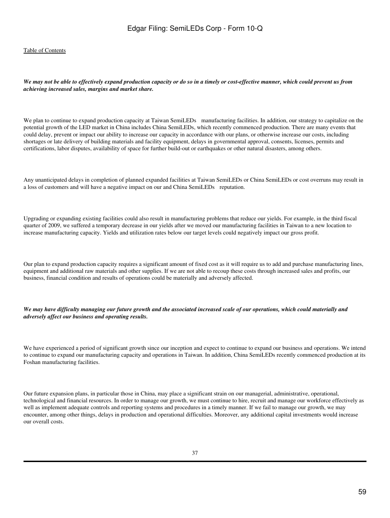#### *We may not be able to effectively expand production capacity or do so in a timely or cost-effective manner, which could prevent us from achieving increased sales, margins and market share.*

We plan to continue to expand production capacity at Taiwan SemiLEDs manufacturing facilities. In addition, our strategy to capitalize on the potential growth of the LED market in China includes China SemiLEDs, which recently commenced production. There are many events that could delay, prevent or impact our ability to increase our capacity in accordance with our plans, or otherwise increase our costs, including shortages or late delivery of building materials and facility equipment, delays in governmental approval, consents, licenses, permits and certifications, labor disputes, availability of space for further build-out or earthquakes or other natural disasters, among others.

Any unanticipated delays in completion of planned expanded facilities at Taiwan SemiLEDs or China SemiLEDs or cost overruns may result in a loss of customers and will have a negative impact on our and China SemiLEDs reputation.

Upgrading or expanding existing facilities could also result in manufacturing problems that reduce our yields. For example, in the third fiscal quarter of 2009, we suffered a temporary decrease in our yields after we moved our manufacturing facilities in Taiwan to a new location to increase manufacturing capacity. Yields and utilization rates below our target levels could negatively impact our gross profit.

Our plan to expand production capacity requires a significant amount of fixed cost as it will require us to add and purchase manufacturing lines, equipment and additional raw materials and other supplies. If we are not able to recoup these costs through increased sales and profits, our business, financial condition and results of operations could be materially and adversely affected.

#### *We may have difficulty managing our future growth and the associated increased scale of our operations, which could materially and adversely affect our business and operating results.*

We have experienced a period of significant growth since our inception and expect to continue to expand our business and operations. We intend to continue to expand our manufacturing capacity and operations in Taiwan. In addition, China SemiLEDs recently commenced production at its Foshan manufacturing facilities.

Our future expansion plans, in particular those in China, may place a significant strain on our managerial, administrative, operational, technological and financial resources. In order to manage our growth, we must continue to hire, recruit and manage our workforce effectively as well as implement adequate controls and reporting systems and procedures in a timely manner. If we fail to manage our growth, we may encounter, among other things, delays in production and operational difficulties. Moreover, any additional capital investments would increase our overall costs.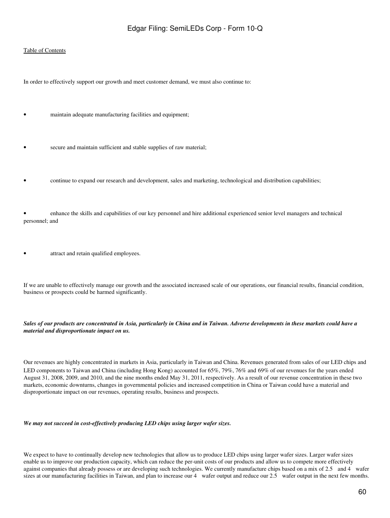#### [Table of Contents](#page-3-0)

In order to effectively support our growth and meet customer demand, we must also continue to:

- maintain adequate manufacturing facilities and equipment;
- secure and maintain sufficient and stable supplies of raw material;
- continue to expand our research and development, sales and marketing, technological and distribution capabilities;

• enhance the skills and capabilities of our key personnel and hire additional experienced senior level managers and technical personnel; and

attract and retain qualified employees.

If we are unable to effectively manage our growth and the associated increased scale of our operations, our financial results, financial condition, business or prospects could be harmed significantly.

#### *Sales of our products are concentrated in Asia, particularly in China and in Taiwan. Adverse developments in these markets could have a material and disproportionate impact on us.*

Our revenues are highly concentrated in markets in Asia, particularly in Taiwan and China. Revenues generated from sales of our LED chips and LED components to Taiwan and China (including Hong Kong) accounted for 65%, 79%, 76% and 69% of our revenues for the years ended August 31, 2008, 2009, and 2010, and the nine months ended May 31, 2011, respectively. As a result of our revenue concentration in these two markets, economic downturns, changes in governmental policies and increased competition in China or Taiwan could have a material and disproportionate impact on our revenues, operating results, business and prospects.

*We may not succeed in cost-effectively producing LED chips using larger wafer sizes.*

We expect to have to continually develop new technologies that allow us to produce LED chips using larger wafer sizes. Larger wafer sizes enable us to improve our production capacity, which can reduce the per-unit costs of our products and allow us to compete more effectively against companies that already possess or are developing such technologies. We currently manufacture chips based on a mix of 2.5 and 4 wafer sizes at our manufacturing facilities in Taiwan, and plan to increase our 4 wafer output and reduce our 2.5 wafer output in the next few months.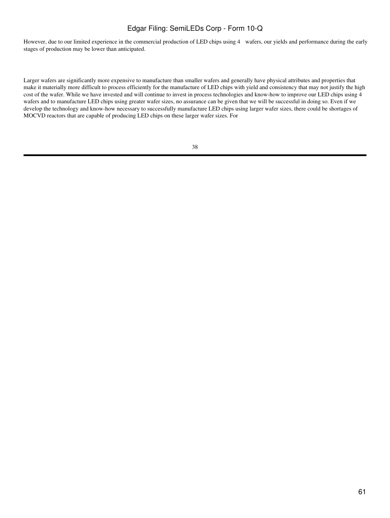However, due to our limited experience in the commercial production of LED chips using 4 wafers, our yields and performance during the early stages of production may be lower than anticipated.

Larger wafers are significantly more expensive to manufacture than smaller wafers and generally have physical attributes and properties that make it materially more difficult to process efficiently for the manufacture of LED chips with yield and consistency that may not justify the high cost of the wafer. While we have invested and will continue to invest in process technologies and know-how to improve our LED chips using 4 wafers and to manufacture LED chips using greater wafer sizes, no assurance can be given that we will be successful in doing so. Even if we develop the technology and know-how necessary to successfully manufacture LED chips using larger wafer sizes, there could be shortages of MOCVD reactors that are capable of producing LED chips on these larger wafer sizes. For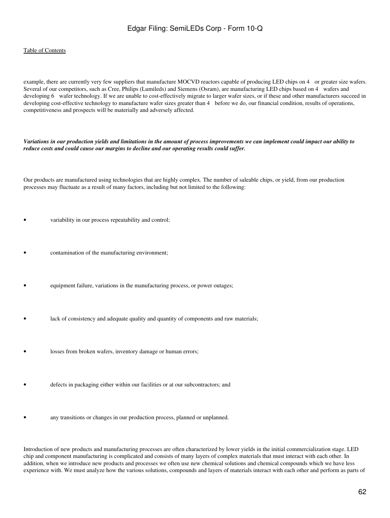#### [Table of Contents](#page-3-0)

example, there are currently very few suppliers that manufacture MOCVD reactors capable of producing LED chips on 4 or greater size wafers. Several of our competitors, such as Cree, Philips (Lumileds) and Siemens (Osram), are manufacturing LED chips based on 4 wafers and developing 6 wafer technology. If we are unable to cost-effectively migrate to larger wafer sizes, or if these and other manufacturers succeed in developing cost-effective technology to manufacture wafer sizes greater than 4 before we do, our financial condition, results of operations, competitiveness and prospects will be materially and adversely affected.

*Variations in our production yields and limitations in the amount of process improvements we can implement could impact our ability to reduce costs and could cause our margins to decline and our operating results could suffer.*

Our products are manufactured using technologies that are highly complex. The number of saleable chips, or yield, from our production processes may fluctuate as a result of many factors, including but not limited to the following:

- variability in our process repeatability and control;
- contamination of the manufacturing environment;
- equipment failure, variations in the manufacturing process, or power outages;
- lack of consistency and adequate quality and quantity of components and raw materials;
- losses from broken wafers, inventory damage or human errors;
- defects in packaging either within our facilities or at our subcontractors; and
- any transitions or changes in our production process, planned or unplanned.

Introduction of new products and manufacturing processes are often characterized by lower yields in the initial commercialization stage. LED chip and component manufacturing is complicated and consists of many layers of complex materials that must interact with each other. In addition, when we introduce new products and processes we often use new chemical solutions and chemical compounds which we have less experience with. We must analyze how the various solutions, compounds and layers of materials interact with each other and perform as parts of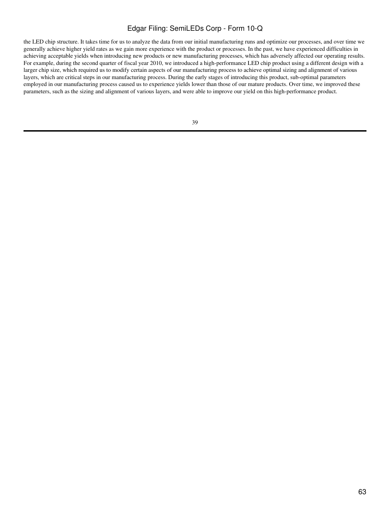the LED chip structure. It takes time for us to analyze the data from our initial manufacturing runs and optimize our processes, and over time we generally achieve higher yield rates as we gain more experience with the product or processes. In the past, we have experienced difficulties in achieving acceptable yields when introducing new products or new manufacturing processes, which has adversely affected our operating results. For example, during the second quarter of fiscal year 2010, we introduced a high-performance LED chip product using a different design with a larger chip size, which required us to modify certain aspects of our manufacturing process to achieve optimal sizing and alignment of various layers, which are critical steps in our manufacturing process. During the early stages of introducing this product, sub-optimal parameters employed in our manufacturing process caused us to experience yields lower than those of our mature products. Over time, we improved these parameters, such as the sizing and alignment of various layers, and were able to improve our yield on this high-performance product.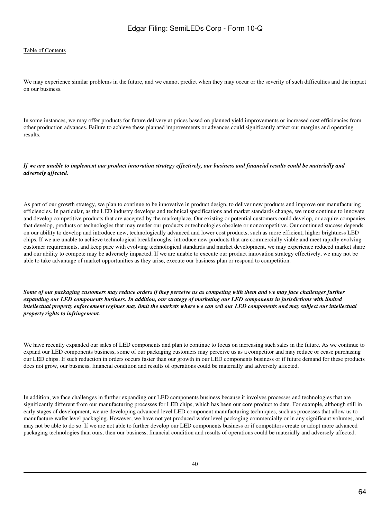We may experience similar problems in the future, and we cannot predict when they may occur or the severity of such difficulties and the impact on our business.

In some instances, we may offer products for future delivery at prices based on planned yield improvements or increased cost efficiencies from other production advances. Failure to achieve these planned improvements or advances could significantly affect our margins and operating results.

#### *If we are unable to implement our product innovation strategy effectively, our business and financial results could be materially and adversely affected.*

As part of our growth strategy, we plan to continue to be innovative in product design, to deliver new products and improve our manufacturing efficiencies. In particular, as the LED industry develops and technical specifications and market standards change, we must continue to innovate and develop competitive products that are accepted by the marketplace. Our existing or potential customers could develop, or acquire companies that develop, products or technologies that may render our products or technologies obsolete or noncompetitive. Our continued success depends on our ability to develop and introduce new, technologically advanced and lower cost products, such as more efficient, higher brightness LED chips. If we are unable to achieve technological breakthroughs, introduce new products that are commercially viable and meet rapidly evolving customer requirements, and keep pace with evolving technological standards and market development, we may experience reduced market share and our ability to compete may be adversely impacted. If we are unable to execute our product innovation strategy effectively, we may not be able to take advantage of market opportunities as they arise, execute our business plan or respond to competition.

*Some of our packaging customers may reduce orders if they perceive us as competing with them and we may face challenges further expanding our LED components business. In addition, our strategy of marketing our LED components in jurisdictions with limited intellectual property enforcement regimes may limit the markets where we can sell our LED components and may subject our intellectual property rights to infringement.*

We have recently expanded our sales of LED components and plan to continue to focus on increasing such sales in the future. As we continue to expand our LED components business, some of our packaging customers may perceive us as a competitor and may reduce or cease purchasing our LED chips. If such reduction in orders occurs faster than our growth in our LED components business or if future demand for these products does not grow, our business, financial condition and results of operations could be materially and adversely affected.

In addition, we face challenges in further expanding our LED components business because it involves processes and technologies that are significantly different from our manufacturing processes for LED chips, which has been our core product to date. For example, although still in early stages of development, we are developing advanced level LED component manufacturing techniques, such as processes that allow us to manufacture wafer level packaging. However, we have not yet produced wafer level packaging commercially or in any significant volumes, and may not be able to do so. If we are not able to further develop our LED components business or if competitors create or adopt more advanced packaging technologies than ours, then our business, financial condition and results of operations could be materially and adversely affected.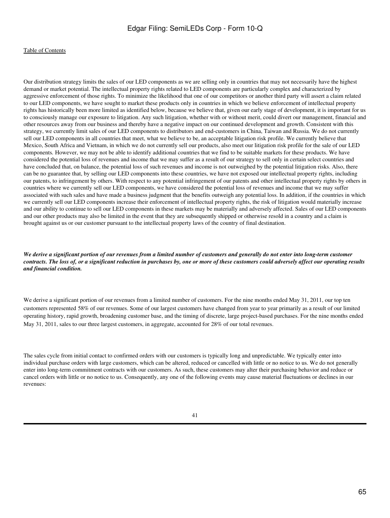Our distribution strategy limits the sales of our LED components as we are selling only in countries that may not necessarily have the highest demand or market potential. The intellectual property rights related to LED components are particularly complex and characterized by aggressive enforcement of those rights. To minimize the likelihood that one of our competitors or another third party will assert a claim related to our LED components, we have sought to market these products only in countries in which we believe enforcement of intellectual property rights has historically been more limited as identified below, because we believe that, given our early stage of development, it is important for us to consciously manage our exposure to litigation. Any such litigation, whether with or without merit, could divert our management, financial and other resources away from our business and thereby have a negative impact on our continued development and growth. Consistent with this strategy, we currently limit sales of our LED components to distributors and end-customers in China, Taiwan and Russia. We do not currently sell our LED components in all countries that meet, what we believe to be, an acceptable litigation risk profile. We currently believe that Mexico, South Africa and Vietnam, in which we do not currently sell our products, also meet our litigation risk profile for the sale of our LED components*.* However, we may not be able to identify additional countries that we find to be suitable markets for these products. We have considered the potential loss of revenues and income that we may suffer as a result of our strategy to sell only in certain select countries and have concluded that, on balance, the potential loss of such revenues and income is not outweighed by the potential litigation risks. Also, there can be no guarantee that, by selling our LED components into these countries, we have not exposed our intellectual property rights, including our patents, to infringement by others. With respect to any potential infringement of our patents and other intellectual property rights by others in countries where we currently sell our LED components, we have considered the potential loss of revenues and income that we may suffer associated with such sales and have made a business judgment that the benefits outweigh any potential loss. In addition, if the countries in which we currently sell our LED components increase their enforcement of intellectual property rights, the risk of litigation would materially increase and our ability to continue to sell our LED components in these markets may be materially and adversely affected. Sales of our LED components and our other products may also be limited in the event that they are subsequently shipped or otherwise resold in a country and a claim is brought against us or our customer pursuant to the intellectual property laws of the country of final destination.

*We derive a significant portion of our revenues from a limited number of customers and generally do not enter into long-term customer contracts. The loss of, or a significant reduction in purchases by, one or more of these customers could adversely affect our operating results and financial condition.*

We derive a significant portion of our revenues from a limited number of customers. For the nine months ended May 31, 2011, our top ten customers represented 58% of our revenues. Some of our largest customers have changed from year to year primarily as a result of our limited operating history, rapid growth, broadening customer base, and the timing of discrete, large project-based purchases. For the nine months ended May 31, 2011, sales to our three largest customers, in aggregate, accounted for 28% of our total revenues.

The sales cycle from initial contact to confirmed orders with our customers is typically long and unpredictable. We typically enter into individual purchase orders with large customers, which can be altered, reduced or cancelled with little or no notice to us. We do not generally enter into long-term commitment contracts with our customers. As such, these customers may alter their purchasing behavior and reduce or cancel orders with little or no notice to us. Consequently, any one of the following events may cause material fluctuations or declines in our revenues: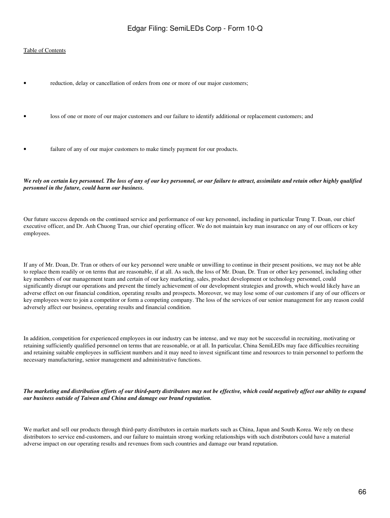#### [Table of Contents](#page-3-0)

- reduction, delay or cancellation of orders from one or more of our major customers;
- loss of one or more of our major customers and our failure to identify additional or replacement customers; and
- failure of any of our major customers to make timely payment for our products.

*We rely on certain key personnel. The loss of any of our key personnel, or our failure to attract, assimilate and retain other highly qualified personnel in the future, could harm our business.*

Our future success depends on the continued service and performance of our key personnel, including in particular Trung T. Doan, our chief executive officer, and Dr. Anh Chuong Tran, our chief operating officer. We do not maintain key man insurance on any of our officers or key employees.

If any of Mr. Doan, Dr. Tran or others of our key personnel were unable or unwilling to continue in their present positions, we may not be able to replace them readily or on terms that are reasonable, if at all. As such, the loss of Mr. Doan, Dr. Tran or other key personnel, including other key members of our management team and certain of our key marketing, sales, product development or technology personnel, could significantly disrupt our operations and prevent the timely achievement of our development strategies and growth, which would likely have an adverse effect on our financial condition, operating results and prospects. Moreover, we may lose some of our customers if any of our officers or key employees were to join a competitor or form a competing company. The loss of the services of our senior management for any reason could adversely affect our business, operating results and financial condition.

In addition, competition for experienced employees in our industry can be intense, and we may not be successful in recruiting, motivating or retaining sufficiently qualified personnel on terms that are reasonable, or at all. In particular, China SemiLEDs may face difficulties recruiting and retaining suitable employees in sufficient numbers and it may need to invest significant time and resources to train personnel to perform the necessary manufacturing, senior management and administrative functions.

*The marketing and distribution efforts of our third-party distributors may not be effective, which could negatively affect our ability to expand our business outside of Taiwan and China and damage our brand reputation.*

We market and sell our products through third-party distributors in certain markets such as China, Japan and South Korea. We rely on these distributors to service end-customers, and our failure to maintain strong working relationships with such distributors could have a material adverse impact on our operating results and revenues from such countries and damage our brand reputation.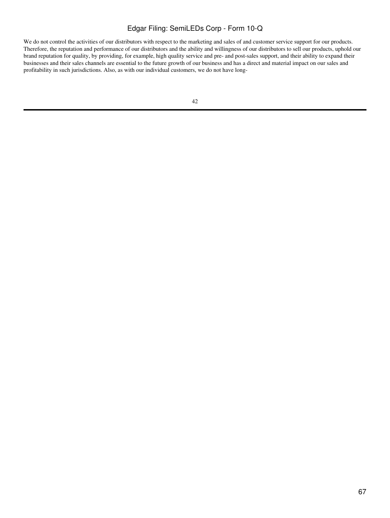We do not control the activities of our distributors with respect to the marketing and sales of and customer service support for our products. Therefore, the reputation and performance of our distributors and the ability and willingness of our distributors to sell our products, uphold our brand reputation for quality, by providing, for example, high quality service and pre- and post-sales support, and their ability to expand their businesses and their sales channels are essential to the future growth of our business and has a direct and material impact on our sales and profitability in such jurisdictions. Also, as with our individual customers, we do not have long-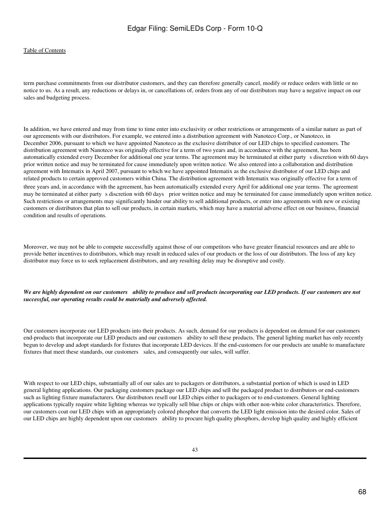### [Table of Contents](#page-3-0)

term purchase commitments from our distributor customers, and they can therefore generally cancel, modify or reduce orders with little or no notice to us. As a result, any reductions or delays in, or cancellations of, orders from any of our distributors may have a negative impact on our sales and budgeting process.

In addition, we have entered and may from time to time enter into exclusivity or other restrictions or arrangements of a similar nature as part of our agreements with our distributors. For example, we entered into a distribution agreement with Nanoteco Corp., or Nanoteco, in December 2006, pursuant to which we have appointed Nanoteco as the exclusive distributor of our LED chips to specified customers. The distribution agreement with Nanoteco was originally effective for a term of two years and, in accordance with the agreement, has been automatically extended every December for additional one year terms. The agreement may be terminated at either party s discretion with 60 days prior written notice and may be terminated for cause immediately upon written notice. We also entered into a collaboration and distribution agreement with Intematix in April 2007, pursuant to which we have appointed Intematix as the exclusive distributor of our LED chips and related products to certain approved customers within China. The distribution agreement with Intematix was originally effective for a term of three years and, in accordance with the agreement, has been automatically extended every April for additional one year terms. The agreement may be terminated at either party s discretion with 60 days prior written notice and may be terminated for cause immediately upon written notice. Such restrictions or arrangements may significantly hinder our ability to sell additional products, or enter into agreements with new or existing customers or distributors that plan to sell our products, in certain markets, which may have a material adverse effect on our business, financial condition and results of operations.

Moreover, we may not be able to compete successfully against those of our competitors who have greater financial resources and are able to provide better incentives to distributors, which may result in reduced sales of our products or the loss of our distributors. The loss of any key distributor may force us to seek replacement distributors, and any resulting delay may be disruptive and costly.

#### *We are highly dependent on our customers ability to produce and sell products incorporating our LED products. If our customers are not successful, our operating results could be materially and adversely affected.*

Our customers incorporate our LED products into their products. As such, demand for our products is dependent on demand for our customers end-products that incorporate our LED products and our customers ability to sell these products. The general lighting market has only recently begun to develop and adopt standards for fixtures that incorporate LED devices. If the end-customers for our products are unable to manufacture fixtures that meet these standards, our customers sales, and consequently our sales, will suffer.

With respect to our LED chips, substantially all of our sales are to packagers or distributors, a substantial portion of which is used in LED general lighting applications. Our packaging customers package our LED chips and sell the packaged product to distributors or end-customers such as lighting fixture manufacturers. Our distributors resell our LED chips either to packagers or to end-customers. General lighting applications typically require white lighting whereas we typically sell blue chips or chips with other non-white color characteristics. Therefore, our customers coat our LED chips with an appropriately colored phosphor that converts the LED light emission into the desired color. Sales of our LED chips are highly dependent upon our customers ability to procure high quality phosphors, develop high quality and highly efficient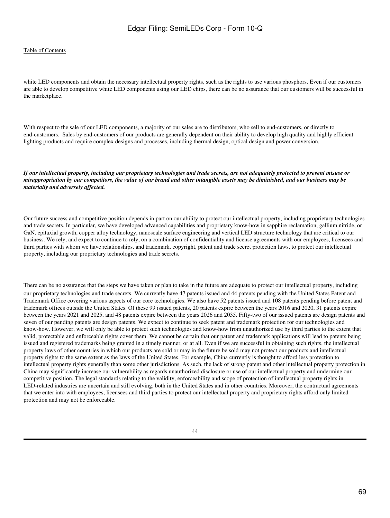white LED components and obtain the necessary intellectual property rights, such as the rights to use various phosphors. Even if our customers are able to develop competitive white LED components using our LED chips, there can be no assurance that our customers will be successful in the marketplace.

With respect to the sale of our LED components, a majority of our sales are to distributors, who sell to end-customers, or directly to end-customers. Sales by end-customers of our products are generally dependent on their ability to develop high quality and highly efficient lighting products and require complex designs and processes, including thermal design, optical design and power conversion.

*If our intellectual property, including our proprietary technologies and trade secrets, are not adequately protected to prevent misuse or misappropriation by our competitors, the value of our brand and other intangible assets may be diminished, and our business may be materially and adversely affected.*

Our future success and competitive position depends in part on our ability to protect our intellectual property, including proprietary technologies and trade secrets. In particular, we have developed advanced capabilities and proprietary know-how in sapphire reclamation, gallium nitride, or GaN, epitaxial growth, copper alloy technology, nanoscale surface engineering and vertical LED structure technology that are critical to our business. We rely, and expect to continue to rely, on a combination of confidentiality and license agreements with our employees, licensees and third parties with whom we have relationships, and trademark, copyright, patent and trade secret protection laws, to protect our intellectual property, including our proprietary technologies and trade secrets.

There can be no assurance that the steps we have taken or plan to take in the future are adequate to protect our intellectual property, including our proprietary technologies and trade secrets. We currently have 47 patents issued and 44 patents pending with the United States Patent and Trademark Office covering various aspects of our core technologies. We also have 52 patents issued and 108 patents pending before patent and trademark offices outside the United States. Of these 99 issued patents, 20 patents expire between the years 2016 and 2020, 31 patents expire between the years 2021 and 2025, and 48 patents expire between the years 2026 and 2035. Fifty-two of our issued patents are design patents and seven of our pending patents are design patents. We expect to continue to seek patent and trademark protection for our technologies and know-how. However, we will only be able to protect such technologies and know-how from unauthorized use by third parties to the extent that valid, protectable and enforceable rights cover them. We cannot be certain that our patent and trademark applications will lead to patents being issued and registered trademarks being granted in a timely manner, or at all. Even if we are successful in obtaining such rights, the intellectual property laws of other countries in which our products are sold or may in the future be sold may not protect our products and intellectual property rights to the same extent as the laws of the United States. For example, China currently is thought to afford less protection to intellectual property rights generally than some other jurisdictions. As such, the lack of strong patent and other intellectual property protection in China may significantly increase our vulnerability as regards unauthorized disclosure or use of our intellectual property and undermine our competitive position. The legal standards relating to the validity, enforceability and scope of protection of intellectual property rights in LED-related industries are uncertain and still evolving, both in the United States and in other countries. Moreover, the contractual agreements that we enter into with employees, licensees and third parties to protect our intellectual property and proprietary rights afford only limited protection and may not be enforceable.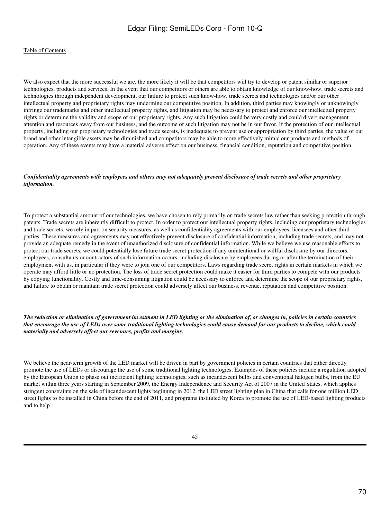We also expect that the more successful we are, the more likely it will be that competitors will try to develop or patent similar or superior technologies, products and services. In the event that our competitors or others are able to obtain knowledge of our know-how, trade secrets and technologies through independent development, our failure to protect such know-how, trade secrets and technologies and/or our other intellectual property and proprietary rights may undermine our competitive position. In addition, third parties may knowingly or unknowingly infringe our trademarks and other intellectual property rights, and litigation may be necessary to protect and enforce our intellectual property rights or determine the validity and scope of our proprietary rights. Any such litigation could be very costly and could divert management attention and resources away from our business, and the outcome of such litigation may not be in our favor. If the protection of our intellectual property, including our proprietary technologies and trade secrets, is inadequate to prevent use or appropriation by third parties, the value of our brand and other intangible assets may be diminished and competitors may be able to more effectively mimic our products and methods of operation. Any of these events may have a material adverse effect on our business, financial condition, reputation and competitive position.

#### *Confidentiality agreements with employees and others may not adequately prevent disclosure of trade secrets and other proprietary information.*

To protect a substantial amount of our technologies, we have chosen to rely primarily on trade secrets law rather than seeking protection through patents. Trade secrets are inherently difficult to protect. In order to protect our intellectual property rights, including our proprietary technologies and trade secrets, we rely in part on security measures, as well as confidentiality agreements with our employees, licensees and other third parties. These measures and agreements may not effectively prevent disclosure of confidential information, including trade secrets, and may not provide an adequate remedy in the event of unauthorized disclosure of confidential information. While we believe we use reasonable efforts to protect our trade secrets, we could potentially lose future trade secret protection if any unintentional or willful disclosure by our directors, employees, consultants or contractors of such information occurs, including disclosure by employees during or after the termination of their employment with us, in particular if they were to join one of our competitors. Laws regarding trade secret rights in certain markets in which we operate may afford little or no protection. The loss of trade secret protection could make it easier for third parties to compete with our products by copying functionality. Costly and time-consuming litigation could be necessary to enforce and determine the scope of our proprietary rights, and failure to obtain or maintain trade secret protection could adversely affect our business, revenue, reputation and competitive position.

#### *The reduction or elimination of government investment in LED lighting or the elimination of, or changes in, policies in certain countries that encourage the use of LEDs over some traditional lighting technologies could cause demand for our products to decline, which could materially and adversely affect our revenues, profits and margins.*

We believe the near-term growth of the LED market will be driven in part by government policies in certain countries that either directly promote the use of LEDs or discourage the use of some traditional lighting technologies. Examples of these policies include a regulation adopted by the European Union to phase out inefficient lighting technologies, such as incandescent bulbs and conventional halogen bulbs, from the EU market within three years starting in September 2009, the Energy Independence and Security Act of 2007 in the United States, which applies stringent constraints on the sale of incandescent lights beginning in 2012, the LED street lighting plan in China that calls for one million LED street lights to be installed in China before the end of 2011, and programs instituted by Korea to promote the use of LED-based lighting products and to help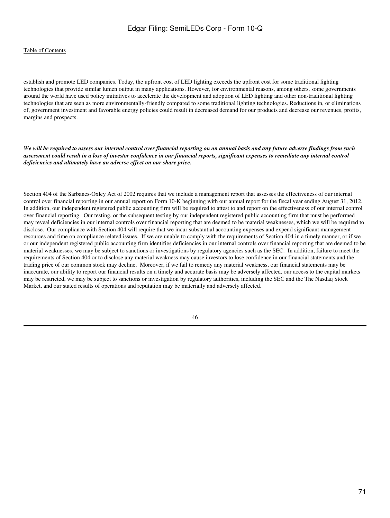#### [Table of Contents](#page-3-0)

establish and promote LED companies. Today, the upfront cost of LED lighting exceeds the upfront cost for some traditional lighting technologies that provide similar lumen output in many applications. However, for environmental reasons, among others, some governments around the world have used policy initiatives to accelerate the development and adoption of LED lighting and other non-traditional lighting technologies that are seen as more environmentally-friendly compared to some traditional lighting technologies. Reductions in, or eliminations of, government investment and favorable energy policies could result in decreased demand for our products and decrease our revenues, profits, margins and prospects.

*We will be required to assess our internal control over financial reporting on an annual basis and any future adverse findings from such assessment could result in a loss of investor confidence in our financial reports, significant expenses to remediate any internal control deficiencies and ultimately have an adverse effect on our share price.*

Section 404 of the Sarbanes-Oxley Act of 2002 requires that we include a management report that assesses the effectiveness of our internal control over financial reporting in our annual report on Form 10-K beginning with our annual report for the fiscal year ending August 31, 2012. In addition, our independent registered public accounting firm will be required to attest to and report on the effectiveness of our internal control over financial reporting. Our testing, or the subsequent testing by our independent registered public accounting firm that must be performed may reveal deficiencies in our internal controls over financial reporting that are deemed to be material weaknesses, which we will be required to disclose. Our compliance with Section 404 will require that we incur substantial accounting expenses and expend significant management resources and time on compliance related issues. If we are unable to comply with the requirements of Section 404 in a timely manner, or if we or our independent registered public accounting firm identifies deficiencies in our internal controls over financial reporting that are deemed to be material weaknesses, we may be subject to sanctions or investigations by regulatory agencies such as the SEC. In addition, failure to meet the requirements of Section 404 or to disclose any material weakness may cause investors to lose confidence in our financial statements and the trading price of our common stock may decline. Moreover, if we fail to remedy any material weakness, our financial statements may be inaccurate, our ability to report our financial results on a timely and accurate basis may be adversely affected, our access to the capital markets may be restricted, we may be subject to sanctions or investigation by regulatory authorities, including the SEC and the The Nasdaq Stock Market, and our stated results of operations and reputation may be materially and adversely affected.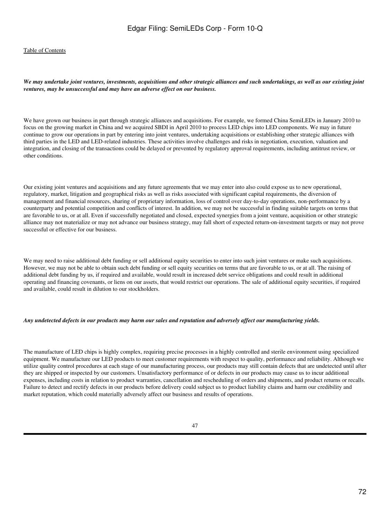*We may undertake joint ventures, investments, acquisitions and other strategic alliances and such undertakings, as well as our existing joint ventures, may be unsuccessful and may have an adverse effect on our business.*

We have grown our business in part through strategic alliances and acquisitions. For example, we formed China SemiLEDs in January 2010 to focus on the growing market in China and we acquired SBDI in April 2010 to process LED chips into LED components. We may in future continue to grow our operations in part by entering into joint ventures, undertaking acquisitions or establishing other strategic alliances with third parties in the LED and LED-related industries. These activities involve challenges and risks in negotiation, execution, valuation and integration, and closing of the transactions could be delayed or prevented by regulatory approval requirements, including antitrust review, or other conditions.

Our existing joint ventures and acquisitions and any future agreements that we may enter into also could expose us to new operational, regulatory, market, litigation and geographical risks as well as risks associated with significant capital requirements, the diversion of management and financial resources, sharing of proprietary information, loss of control over day-to-day operations, non-performance by a counterparty and potential competition and conflicts of interest. In addition, we may not be successful in finding suitable targets on terms that are favorable to us, or at all. Even if successfully negotiated and closed, expected synergies from a joint venture, acquisition or other strategic alliance may not materialize or may not advance our business strategy, may fall short of expected return-on-investment targets or may not prove successful or effective for our business.

We may need to raise additional debt funding or sell additional equity securities to enter into such joint ventures or make such acquisitions. However, we may not be able to obtain such debt funding or sell equity securities on terms that are favorable to us, or at all. The raising of additional debt funding by us, if required and available, would result in increased debt service obligations and could result in additional operating and financing covenants, or liens on our assets, that would restrict our operations. The sale of additional equity securities, if required and available, could result in dilution to our stockholders.

#### *Any undetected defects in our products may harm our sales and reputation and adversely affect our manufacturing yields.*

The manufacture of LED chips is highly complex, requiring precise processes in a highly controlled and sterile environment using specialized equipment. We manufacture our LED products to meet customer requirements with respect to quality, performance and reliability. Although we utilize quality control procedures at each stage of our manufacturing process, our products may still contain defects that are undetected until after they are shipped or inspected by our customers. Unsatisfactory performance of or defects in our products may cause us to incur additional expenses, including costs in relation to product warranties, cancellation and rescheduling of orders and shipments, and product returns or recalls. Failure to detect and rectify defects in our products before delivery could subject us to product liability claims and harm our credibility and market reputation, which could materially adversely affect our business and results of operations.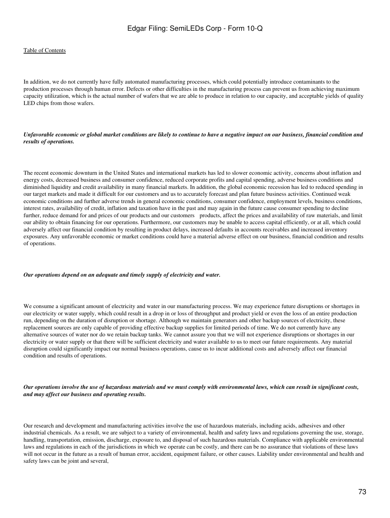#### [Table of Contents](#page-3-0)

In addition, we do not currently have fully automated manufacturing processes, which could potentially introduce contaminants to the production processes through human error. Defects or other difficulties in the manufacturing process can prevent us from achieving maximum capacity utilization, which is the actual number of wafers that we are able to produce in relation to our capacity, and acceptable yields of quality LED chips from those wafers.

#### *Unfavorable economic or global market conditions are likely to continue to have a negative impact on our business, financial condition and results of operations.*

The recent economic downturn in the United States and international markets has led to slower economic activity, concerns about inflation and energy costs, decreased business and consumer confidence, reduced corporate profits and capital spending, adverse business conditions and diminished liquidity and credit availability in many financial markets. In addition, the global economic recession has led to reduced spending in our target markets and made it difficult for our customers and us to accurately forecast and plan future business activities. Continued weak economic conditions and further adverse trends in general economic conditions, consumer confidence, employment levels, business conditions, interest rates, availability of credit, inflation and taxation have in the past and may again in the future cause consumer spending to decline further, reduce demand for and prices of our products and our customers products, affect the prices and availability of raw materials, and limit our ability to obtain financing for our operations. Furthermore, our customers may be unable to access capital efficiently, or at all, which could adversely affect our financial condition by resulting in product delays, increased defaults in accounts receivables and increased inventory exposures. Any unfavorable economic or market conditions could have a material adverse effect on our business, financial condition and results of operations.

### *Our operations depend on an adequate and timely supply of electricity and water.*

We consume a significant amount of electricity and water in our manufacturing process. We may experience future disruptions or shortages in our electricity or water supply, which could result in a drop in or loss of throughput and product yield or even the loss of an entire production run, depending on the duration of disruption or shortage. Although we maintain generators and other backup sources of electricity, these replacement sources are only capable of providing effective backup supplies for limited periods of time. We do not currently have any alternative sources of water nor do we retain backup tanks. We cannot assure you that we will not experience disruptions or shortages in our electricity or water supply or that there will be sufficient electricity and water available to us to meet our future requirements. Any material disruption could significantly impact our normal business operations, cause us to incur additional costs and adversely affect our financial condition and results of operations.

*Our operations involve the use of hazardous materials and we must comply with environmental laws, which can result in significant costs, and may affect our business and operating results.*

Our research and development and manufacturing activities involve the use of hazardous materials, including acids, adhesives and other industrial chemicals. As a result, we are subject to a variety of environmental, health and safety laws and regulations governing the use, storage, handling, transportation, emission, discharge, exposure to, and disposal of such hazardous materials. Compliance with applicable environmental laws and regulations in each of the jurisdictions in which we operate can be costly, and there can be no assurance that violations of these laws will not occur in the future as a result of human error, accident, equipment failure, or other causes. Liability under environmental and health and safety laws can be joint and several,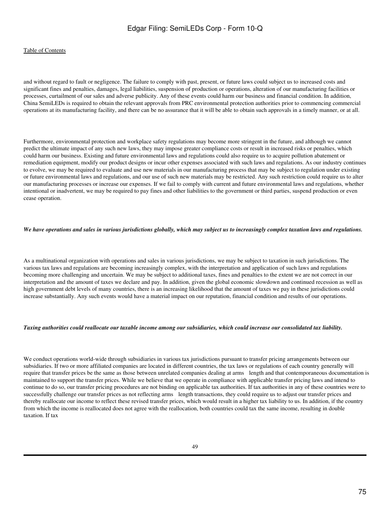## [Table of Contents](#page-3-0)

and without regard to fault or negligence. The failure to comply with past, present, or future laws could subject us to increased costs and significant fines and penalties, damages, legal liabilities, suspension of production or operations, alteration of our manufacturing facilities or processes, curtailment of our sales and adverse publicity. Any of these events could harm our business and financial condition. In addition, China SemiLEDs is required to obtain the relevant approvals from PRC environmental protection authorities prior to commencing commercial operations at its manufacturing facility, and there can be no assurance that it will be able to obtain such approvals in a timely manner, or at all.

Furthermore, environmental protection and workplace safety regulations may become more stringent in the future, and although we cannot predict the ultimate impact of any such new laws, they may impose greater compliance costs or result in increased risks or penalties, which could harm our business. Existing and future environmental laws and regulations could also require us to acquire pollution abatement or remediation equipment, modify our product designs or incur other expenses associated with such laws and regulations. As our industry continues to evolve, we may be required to evaluate and use new materials in our manufacturing process that may be subject to regulation under existing or future environmental laws and regulations, and our use of such new materials may be restricted. Any such restriction could require us to alter our manufacturing processes or increase our expenses. If we fail to comply with current and future environmental laws and regulations, whether intentional or inadvertent, we may be required to pay fines and other liabilities to the government or third parties, suspend production or even cease operation.

### *We have operations and sales in various jurisdictions globally, which may subject us to increasingly complex taxation laws and regulations.*

As a multinational organization with operations and sales in various jurisdictions, we may be subject to taxation in such jurisdictions. The various tax laws and regulations are becoming increasingly complex, with the interpretation and application of such laws and regulations becoming more challenging and uncertain. We may be subject to additional taxes, fines and penalties to the extent we are not correct in our interpretation and the amount of taxes we declare and pay. In addition, given the global economic slowdown and continued recession as well as high government debt levels of many countries, there is an increasing likelihood that the amount of taxes we pay in these jurisdictions could increase substantially. Any such events would have a material impact on our reputation, financial condition and results of our operations.

#### *Taxing authorities could reallocate our taxable income among our subsidiaries, which could increase our consolidated tax liability.*

We conduct operations world-wide through subsidiaries in various tax jurisdictions pursuant to transfer pricing arrangements between our subsidiaries. If two or more affiliated companies are located in different countries, the tax laws or regulations of each country generally will require that transfer prices be the same as those between unrelated companies dealing at arms length and that contemporaneous documentation is maintained to support the transfer prices. While we believe that we operate in compliance with applicable transfer pricing laws and intend to continue to do so, our transfer pricing procedures are not binding on applicable tax authorities. If tax authorities in any of these countries were to successfully challenge our transfer prices as not reflecting arms length transactions, they could require us to adjust our transfer prices and thereby reallocate our income to reflect these revised transfer prices, which would result in a higher tax liability to us. In addition, if the country from which the income is reallocated does not agree with the reallocation, both countries could tax the same income, resulting in double taxation. If tax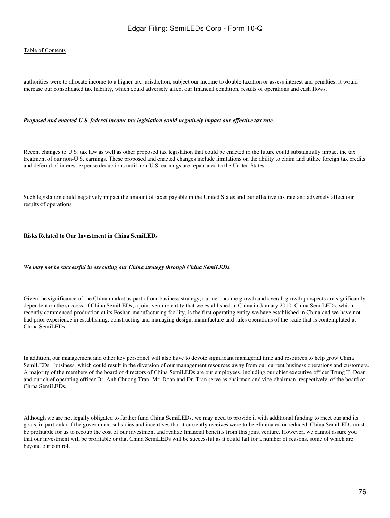### [Table of Contents](#page-3-0)

authorities were to allocate income to a higher tax jurisdiction, subject our income to double taxation or assess interest and penalties, it would increase our consolidated tax liability, which could adversely affect our financial condition, results of operations and cash flows.

#### *Proposed and enacted U.S. federal income tax legislation could negatively impact our effective tax rate.*

Recent changes to U.S. tax law as well as other proposed tax legislation that could be enacted in the future could substantially impact the tax treatment of our non-U.S. earnings. These proposed and enacted changes include limitations on the ability to claim and utilize foreign tax credits and deferral of interest expense deductions until non-U.S. earnings are repatriated to the United States.

Such legislation could negatively impact the amount of taxes payable in the United States and our effective tax rate and adversely affect our results of operations.

#### **Risks Related to Our Investment in China SemiLEDs**

#### *We may not be successful in executing our China strategy through China SemiLEDs.*

Given the significance of the China market as part of our business strategy, our net income growth and overall growth prospects are significantly dependent on the success of China SemiLEDs, a joint venture entity that we established in China in January 2010. China SemiLEDs, which recently commenced production at its Foshan manufacturing facility, is the first operating entity we have established in China and we have not had prior experience in establishing, constructing and managing design, manufacture and sales operations of the scale that is contemplated at China SemiLEDs.

In addition, our management and other key personnel will also have to devote significant managerial time and resources to help grow China SemiLEDs business, which could result in the diversion of our management resources away from our current business operations and customers. A majority of the members of the board of directors of China SemiLEDs are our employees, including our chief executive officer Trung T. Doan and our chief operating officer Dr. Anh Chuong Tran. Mr. Doan and Dr. Tran serve as chairman and vice-chairman, respectively, of the board of China SemiLEDs.

Although we are not legally obligated to further fund China SemiLEDs, we may need to provide it with additional funding to meet our and its goals, in particular if the government subsidies and incentives that it currently receives were to be eliminated or reduced. China SemiLEDs must be profitable for us to recoup the cost of our investment and realize financial benefits from this joint venture. However, we cannot assure you that our investment will be profitable or that China SemiLEDs will be successful as it could fail for a number of reasons, some of which are beyond our control.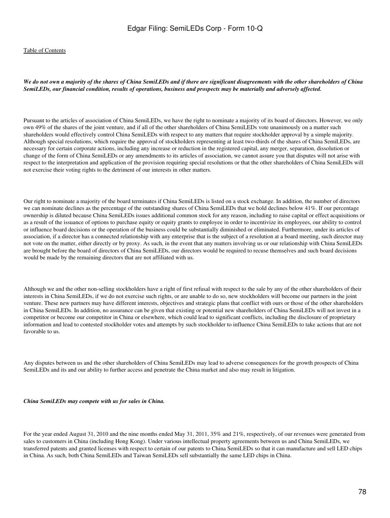#### *We do not own a majority of the shares of China SemiLEDs and if there are significant disagreements with the other shareholders of China SemiLEDs, our financial condition, results of operations, business and prospects may be materially and adversely affected.*

Pursuant to the articles of association of China SemiLEDs, we have the right to nominate a majority of its board of directors. However, we only own 49% of the shares of the joint venture, and if all of the other shareholders of China SemiLEDs vote unanimously on a matter such shareholders would effectively control China SemiLEDs with respect to any matters that require stockholder approval by a simple majority. Although special resolutions, which require the approval of stockholders representing at least two-thirds of the shares of China SemiLEDs, are necessary for certain corporate actions, including any increase or reduction in the registered capital, any merger, separation, dissolution or change of the form of China SemiLEDs or any amendments to its articles of association, we cannot assure you that disputes will not arise with respect to the interpretation and application of the provision requiring special resolutions or that the other shareholders of China SemiLEDs will not exercise their voting rights to the detriment of our interests in other matters.

Our right to nominate a majority of the board terminates if China SemiLEDs is listed on a stock exchange. In addition, the number of directors we can nominate declines as the percentage of the outstanding shares of China SemiLEDs that we hold declines below 41%. If our percentage ownership is diluted because China SemiLEDs issues additional common stock for any reason, including to raise capital or effect acquisitions or as a result of the issuance of options to purchase equity or equity grants to employee in order to incentivize its employees, our ability to control or influence board decisions or the operation of the business could be substantially diminished or eliminated. Furthermore, under its articles of association, if a director has a connected relationship with any enterprise that is the subject of a resolution at a board meeting, such director may not vote on the matter, either directly or by proxy. As such, in the event that any matters involving us or our relationship with China SemiLEDs are brought before the board of directors of China SemiLEDs, our directors would be required to recuse themselves and such board decisions would be made by the remaining directors that are not affiliated with us.

Although we and the other non-selling stockholders have a right of first refusal with respect to the sale by any of the other shareholders of their interests in China SemiLEDs, if we do not exercise such rights, or are unable to do so, new stockholders will become our partners in the joint venture. These new partners may have different interests, objectives and strategic plans that conflict with ours or those of the other shareholders in China SemiLEDs. In addition, no assurance can be given that existing or potential new shareholders of China SemiLEDs will not invest in a competitor or become our competitor in China or elsewhere, which could lead to significant conflicts, including the disclosure of proprietary information and lead to contested stockholder votes and attempts by such stockholder to influence China SemiLEDs to take actions that are not favorable to us.

Any disputes between us and the other shareholders of China SemiLEDs may lead to adverse consequences for the growth prospects of China SemiLEDs and its and our ability to further access and penetrate the China market and also may result in litigation.

*China SemiLEDs may compete with us for sales in China.*

For the year ended August 31, 2010 and the nine months ended May 31, 2011, 35% and 21%, respectively, of our revenues were generated from sales to customers in China (including Hong Kong). Under various intellectual property agreements between us and China SemiLEDs, we transferred patents and granted licenses with respect to certain of our patents to China SemiLEDs so that it can manufacture and sell LED chips in China. As such, both China SemiLEDs and Taiwan SemiLEDs sell substantially the same LED chips in China.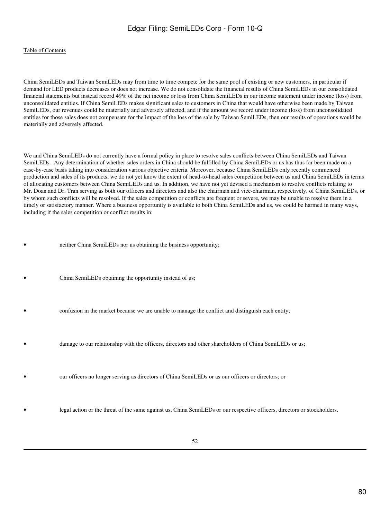## [Table of Contents](#page-3-0)

China SemiLEDs and Taiwan SemiLEDs may from time to time compete for the same pool of existing or new customers, in particular if demand for LED products decreases or does not increase. We do not consolidate the financial results of China SemiLEDs in our consolidated financial statements but instead record 49% of the net income or loss from China SemiLEDs in our income statement under income (loss) from unconsolidated entities. If China SemiLEDs makes significant sales to customers in China that would have otherwise been made by Taiwan SemiLEDs, our revenues could be materially and adversely affected, and if the amount we record under income (loss) from unconsolidated entities for those sales does not compensate for the impact of the loss of the sale by Taiwan SemiLEDs, then our results of operations would be materially and adversely affected.

We and China SemiLEDs do not currently have a formal policy in place to resolve sales conflicts between China SemiLEDs and Taiwan SemiLEDs. Any determination of whether sales orders in China should be fulfilled by China SemiLEDs or us has thus far been made on a case-by-case basis taking into consideration various objective criteria. Moreover, because China SemiLEDs only recently commenced production and sales of its products, we do not yet know the extent of head-to-head sales competition between us and China SemiLEDs in terms of allocating customers between China SemiLEDs and us. In addition, we have not yet devised a mechanism to resolve conflicts relating to Mr. Doan and Dr. Tran serving as both our officers and directors and also the chairman and vice-chairman, respectively, of China SemiLEDs, or by whom such conflicts will be resolved. If the sales competition or conflicts are frequent or severe, we may be unable to resolve them in a timely or satisfactory manner. Where a business opportunity is available to both China SemiLEDs and us, we could be harmed in many ways, including if the sales competition or conflict results in:

- neither China SemiLEDs nor us obtaining the business opportunity;
- China SemiLEDs obtaining the opportunity instead of us;
- confusion in the market because we are unable to manage the conflict and distinguish each entity;
- damage to our relationship with the officers, directors and other shareholders of China SemiLEDs or us;
	- our officers no longer serving as directors of China SemiLEDs or as our officers or directors; or
	- legal action or the threat of the same against us, China SemiLEDs or our respective officers, directors or stockholders.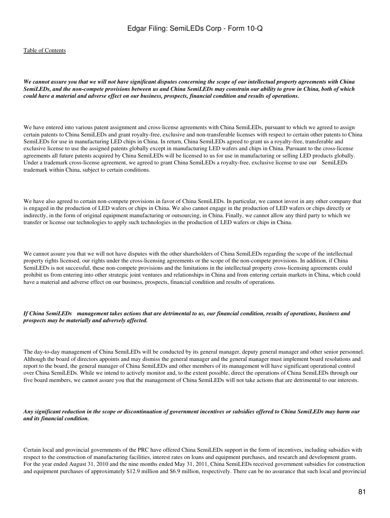*We cannot assure you that we will not have significant disputes concerning the scope of our intellectual property agreements with China SemiLEDs, and the non-compete provisions between us and China SemiLEDs may constrain our ability to grow in China, both of which could have a material and adverse effect on our business, prospects, financial condition and results of operations.*

We have entered into various patent assignment and cross-license agreements with China SemiLEDs, pursuant to which we agreed to assign certain patents to China SemiLEDs and grant royalty-free, exclusive and non-transferable licenses with respect to certain other patents to China SemiLEDs for use in manufacturing LED chips in China. In return, China SemiLEDs agreed to grant us a royalty-free, transferable and exclusive license to use the assigned patents globally except in manufacturing LED wafers and chips in China. Pursuant to the cross-license agreements all future patents acquired by China SemiLEDs will be licensed to us for use in manufacturing or selling LED products globally. Under a trademark cross-license agreement, we agreed to grant China SemiLEDs a royalty-free, exclusive license to use our SemiLEDs trademark within China, subject to certain conditions.

We have also agreed to certain non-compete provisions in favor of China SemiLEDs. In particular, we cannot invest in any other company that is engaged in the production of LED wafers or chips in China. We also cannot engage in the production of LED wafers or chips directly or indirectly, in the form of original equipment manufacturing or outsourcing, in China. Finally, we cannot allow any third party to which we transfer or license our technologies to apply such technologies in the production of LED wafers or chips in China.

We cannot assure you that we will not have disputes with the other shareholders of China SemiLEDs regarding the scope of the intellectual property rights licensed, our rights under the cross-licensing agreements or the scope of the non-compete provisions. In addition, if China SemiLEDs is not successful, these non-compete provisions and the limitations in the intellectual property cross-licensing agreements could prohibit us from entering into other strategic joint ventures and relationships in China and from entering certain markets in China, which could have a material and adverse effect on our business, prospects, financial condition and results of operations.

#### *If China SemiLEDs management takes actions that are detrimental to us, our financial condition, results of operations, business and prospects may be materially and adversely affected.*

The day-to-day management of China SemiLEDs will be conducted by its general manager, deputy general manager and other senior personnel. Although the board of directors appoints and may dismiss the general manager and the general manager must implement board resolutions and report to the board, the general manager of China SemiLEDs and other members of its management will have significant operational control over China SemiLEDs. While we intend to actively monitor and, to the extent possible, direct the operations of China SemiLEDs through our five board members, we cannot assure you that the management of China SemiLEDs will not take actions that are detrimental to our interests.

#### *Any significant reduction in the scope or discontinuation of government incentives or subsidies offered to China SemiLEDs may harm our and its financial condition.*

Certain local and provincial governments of the PRC have offered China SemiLEDs support in the form of incentives, including subsidies with respect to the construction of manufacturing facilities, interest rates on loans and equipment purchases, and research and development grants. For the year ended August 31, 2010 and the nine months ended May 31, 2011, China SemiLEDs received government subsidies for construction and equipment purchases of approximately \$12.9 million and \$6.9 million, respectively. There can be no assurance that such local and provincial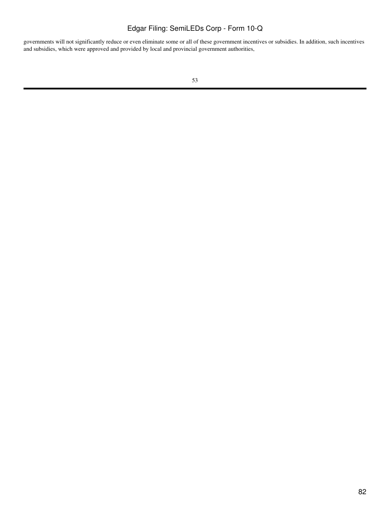governments will not significantly reduce or even eliminate some or all of these government incentives or subsidies. In addition, such incentives and subsidies, which were approved and provided by local and provincial government authorities,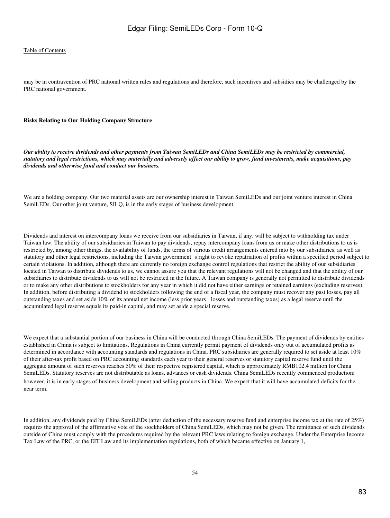may be in contravention of PRC national written rules and regulations and therefore, such incentives and subsidies may be challenged by the PRC national government.

#### **Risks Relating to Our Holding Company Structure**

*Our ability to receive dividends and other payments from Taiwan SemiLEDs and China SemiLEDs may be restricted by commercial, statutory and legal restrictions, which may materially and adversely affect our ability to grow, fund investments, make acquisitions, pay dividends and otherwise fund and conduct our business.*

We are a holding company. Our two material assets are our ownership interest in Taiwan SemiLEDs and our joint venture interest in China SemiLEDs. Our other joint venture, SILQ, is in the early stages of business development.

Dividends and interest on intercompany loans we receive from our subsidiaries in Taiwan, if any, will be subject to withholding tax under Taiwan law. The ability of our subsidiaries in Taiwan to pay dividends, repay intercompany loans from us or make other distributions to us is restricted by, among other things, the availability of funds, the terms of various credit arrangements entered into by our subsidiaries, as well as statutory and other legal restrictions, including the Taiwan government s right to revoke repatriation of profits within a specified period subject to certain violations. In addition, although there are currently no foreign exchange control regulations that restrict the ability of our subsidiaries located in Taiwan to distribute dividends to us, we cannot assure you that the relevant regulations will not be changed and that the ability of our subsidiaries to distribute dividends to us will not be restricted in the future. A Taiwan company is generally not permitted to distribute dividends or to make any other distributions to stockholders for any year in which it did not have either earnings or retained earnings (excluding reserves). In addition, before distributing a dividend to stockholders following the end of a fiscal year, the company must recover any past losses, pay all outstanding taxes and set aside 10% of its annual net income (less prior years losses and outstanding taxes) as a legal reserve until the accumulated legal reserve equals its paid-in capital, and may set aside a special reserve.

We expect that a substantial portion of our business in China will be conducted through China SemiLEDs. The payment of dividends by entities established in China is subject to limitations. Regulations in China currently permit payment of dividends only out of accumulated profits as determined in accordance with accounting standards and regulations in China. PRC subsidiaries are generally required to set aside at least 10% of their after-tax profit based on PRC accounting standards each year to their general reserves or statutory capital reserve fund until the aggregate amount of such reserves reaches 50% of their respective registered capital, which is approximately RMB102.4 million for China SemiLEDs. Statutory reserves are not distributable as loans, advances or cash dividends. China SemiLEDs recently commenced production; however, it is in early stages of business development and selling products in China. We expect that it will have accumulated deficits for the near term.

In addition, any dividends paid by China SemiLEDs (after deduction of the necessary reserve fund and enterprise income tax at the rate of 25%) requires the approval of the affirmative vote of the stockholders of China SemiLEDs, which may not be given. The remittance of such dividends outside of China must comply with the procedures required by the relevant PRC laws relating to foreign exchange. Under the Enterprise Income Tax Law of the PRC, or the EIT Law and its implementation regulations, both of which became effective on January 1,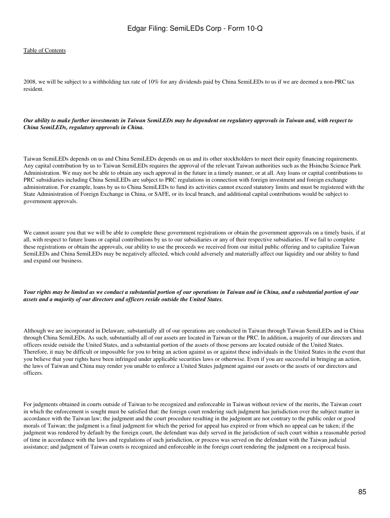2008, we will be subject to a withholding tax rate of 10% for any dividends paid by China SemiLEDs to us if we are deemed a non-PRC tax resident.

### *Our ability to make further investments in Taiwan SemiLEDs may be dependent on regulatory approvals in Taiwan and, with respect to China SemiLEDs, regulatory approvals in China.*

Taiwan SemiLEDs depends on us and China SemiLEDs depends on us and its other stockholders to meet their equity financing requirements. Any capital contribution by us to Taiwan SemiLEDs requires the approval of the relevant Taiwan authorities such as the Hsinchu Science Park Administration. We may not be able to obtain any such approval in the future in a timely manner, or at all. Any loans or capital contributions to PRC subsidiaries including China SemiLEDs are subject to PRC regulations in connection with foreign investment and foreign exchange administration. For example, loans by us to China SemiLEDs to fund its activities cannot exceed statutory limits and must be registered with the State Administration of Foreign Exchange in China, or SAFE, or its local branch, and additional capital contributions would be subject to government approvals.

We cannot assure you that we will be able to complete these government registrations or obtain the government approvals on a timely basis, if at all, with respect to future loans or capital contributions by us to our subsidiaries or any of their respective subsidiaries. If we fail to complete these registrations or obtain the approvals, our ability to use the proceeds we received from our initial public offering and to capitalize Taiwan SemiLEDs and China SemiLEDs may be negatively affected, which could adversely and materially affect our liquidity and our ability to fund and expand our business.

#### *Your rights may be limited as we conduct a substantial portion of our operations in Taiwan and in China, and a substantial portion of our assets and a majority of our directors and officers reside outside the United States.*

Although we are incorporated in Delaware, substantially all of our operations are conducted in Taiwan through Taiwan SemiLEDs and in China through China SemiLEDs. As such, substantially all of our assets are located in Taiwan or the PRC. In addition, a majority of our directors and officers reside outside the United States, and a substantial portion of the assets of those persons are located outside of the United States. Therefore, it may be difficult or impossible for you to bring an action against us or against these individuals in the United States in the event that you believe that your rights have been infringed under applicable securities laws or otherwise. Even if you are successful in bringing an action, the laws of Taiwan and China may render you unable to enforce a United States judgment against our assets or the assets of our directors and officers.

For judgments obtained in courts outside of Taiwan to be recognized and enforceable in Taiwan without review of the merits, the Taiwan court in which the enforcement is sought must be satisfied that: the foreign court rendering such judgment has jurisdiction over the subject matter in accordance with the Taiwan law; the judgment and the court procedure resulting in the judgment are not contrary to the public order or good morals of Taiwan; the judgment is a final judgment for which the period for appeal has expired or from which no appeal can be taken; if the judgment was rendered by default by the foreign court, the defendant was duly served in the jurisdiction of such court within a reasonable period of time in accordance with the laws and regulations of such jurisdiction, or process was served on the defendant with the Taiwan judicial assistance; and judgment of Taiwan courts is recognized and enforceable in the foreign court rendering the judgment on a reciprocal basis.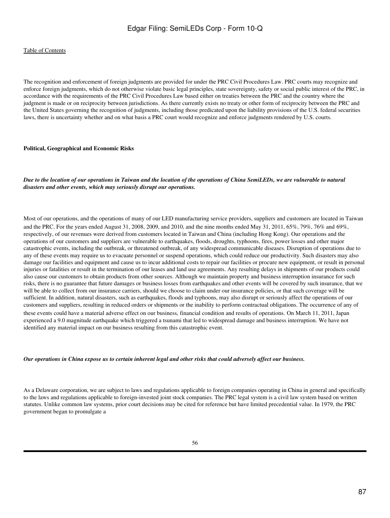The recognition and enforcement of foreign judgments are provided for under the PRC Civil Procedures Law. PRC courts may recognize and enforce foreign judgments, which do not otherwise violate basic legal principles, state sovereignty, safety or social public interest of the PRC, in accordance with the requirements of the PRC Civil Procedures Law based either on treaties between the PRC and the country where the judgment is made or on reciprocity between jurisdictions. As there currently exists no treaty or other form of reciprocity between the PRC and the United States governing the recognition of judgments, including those predicated upon the liability provisions of the U.S. federal securities laws, there is uncertainty whether and on what basis a PRC court would recognize and enforce judgments rendered by U.S. courts.

#### **Political, Geographical and Economic Risks**

*Due to the location of our operations in Taiwan and the location of the operations of China SemiLEDs, we are vulnerable to natural disasters and other events, which may seriously disrupt our operations.*

Most of our operations, and the operations of many of our LED manufacturing service providers, suppliers and customers are located in Taiwan and the PRC. For the years ended August 31, 2008, 2009, and 2010, and the nine months ended May 31, 2011, 65%, 79%, 76% and 69%, respectively, of our revenues were derived from customers located in Taiwan and China (including Hong Kong). Our operations and the operations of our customers and suppliers are vulnerable to earthquakes, floods, droughts, typhoons, fires, power losses and other major catastrophic events, including the outbreak, or threatened outbreak, of any widespread communicable diseases. Disruption of operations due to any of these events may require us to evacuate personnel or suspend operations, which could reduce our productivity. Such disasters may also damage our facilities and equipment and cause us to incur additional costs to repair our facilities or procure new equipment, or result in personal injuries or fatalities or result in the termination of our leases and land use agreements. Any resulting delays in shipments of our products could also cause our customers to obtain products from other sources. Although we maintain property and business interruption insurance for such risks, there is no guarantee that future damages or business losses from earthquakes and other events will be covered by such insurance, that we will be able to collect from our insurance carriers, should we choose to claim under our insurance policies, or that such coverage will be sufficient. In addition, natural disasters, such as earthquakes, floods and typhoons, may also disrupt or seriously affect the operations of our customers and suppliers, resulting in reduced orders or shipments or the inability to perform contractual obligations. The occurrence of any of these events could have a material adverse effect on our business, financial condition and results of operations. On March 11, 2011, Japan experienced a 9.0 magnitude earthquake which triggered a tsunami that led to widespread damage and business interruption. We have not identified any material impact on our business resulting from this catastrophic event.

*Our operations in China expose us to certain inherent legal and other risks that could adversely affect our business.*

As a Delaware corporation, we are subject to laws and regulations applicable to foreign companies operating in China in general and specifically to the laws and regulations applicable to foreign-invested joint stock companies. The PRC legal system is a civil law system based on written statutes. Unlike common law systems, prior court decisions may be cited for reference but have limited precedential value. In 1979, the PRC government began to promulgate a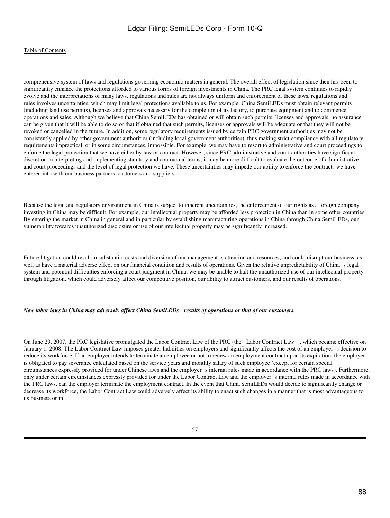comprehensive system of laws and regulations governing economic matters in general. The overall effect of legislation since then has been to significantly enhance the protections afforded to various forms of foreign investments in China. The PRC legal system continues to rapidly evolve and the interpretations of many laws, regulations and rules are not always uniform and enforcement of these laws, regulations and rules involves uncertainties, which may limit legal protections available to us. For example, China SemiLEDs must obtain relevant permits (including land use permits), licenses and approvals necessary for the completion of its factory, to purchase equipment and to commence operations and sales. Although we believe that China SemiLEDs has obtained or will obtain such permits, licenses and approvals, no assurance can be given that it will be able to do so or that if obtained that such permits, licenses or approvals will be adequate or that they will not be revoked or cancelled in the future. In addition, some regulatory requirements issued by certain PRC government authorities may not be consistently applied by other government authorities (including local government authorities), thus making strict compliance with all regulatory requirements impractical, or in some circumstances, impossible. For example, we may have to resort to administrative and court proceedings to enforce the legal protection that we have either by law or contract. However, since PRC administrative and court authorities have significant discretion in interpreting and implementing statutory and contractual terms, it may be more difficult to evaluate the outcome of administrative and court proceedings and the level of legal protection we have. These uncertainties may impede our ability to enforce the contracts we have entered into with our business partners, customers and suppliers.

Because the legal and regulatory environment in China is subject to inherent uncertainties, the enforcement of our rights as a foreign company investing in China may be difficult. For example, our intellectual property may be afforded less protection in China than in some other countries. By entering the market in China in general and in particular by establishing manufacturing operations in China through China SemiLEDs, our vulnerability towards unauthorized disclosure or use of our intellectual property may be significantly increased.

Future litigation could result in substantial costs and diversion of our management s attention and resources, and could disrupt our business, as well as have a material adverse effect on our financial condition and results of operations. Given the relative unpredictability of China s legal system and potential difficulties enforcing a court judgment in China, we may be unable to halt the unauthorized use of our intellectual property through litigation, which could adversely affect our competitive position, our ability to attract customers, and our results of operations.

#### *New labor laws in China may adversely affect China SemiLEDs results of operations or that of our customers.*

On June 29, 2007, the PRC legislative promulgated the Labor Contract Law of the PRC (the Labor Contract Law), which became effective on January 1, 2008. The Labor Contract Law imposes greater liabilities on employers and significantly affects the cost of an employers decision to reduce its workforce. If an employer intends to terminate an employee or not to renew an employment contract upon its expiration, the employer is obligated to pay severance calculated based on the service years and monthly salary of such employee (except for certain special circumstances expressly provided for under Chinese laws and the employer s internal rules made in accordance with the PRC laws). Furthermore, only under certain circumstances expressly provided for under the Labor Contract Law and the employer s internal rules made in accordance with the PRC laws, can the employer terminate the employment contract. In the event that China SemiLEDs would decide to significantly change or decrease its workforce, the Labor Contract Law could adversely affect its ability to enact such changes in a manner that is most advantageous to its business or in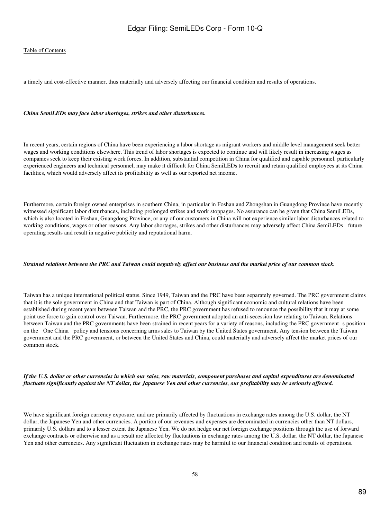a timely and cost-effective manner, thus materially and adversely affecting our financial condition and results of operations.

#### *China SemiLEDs may face labor shortages, strikes and other disturbances.*

In recent years, certain regions of China have been experiencing a labor shortage as migrant workers and middle level management seek better wages and working conditions elsewhere. This trend of labor shortages is expected to continue and will likely result in increasing wages as companies seek to keep their existing work forces. In addition, substantial competition in China for qualified and capable personnel, particularly experienced engineers and technical personnel, may make it difficult for China SemiLEDs to recruit and retain qualified employees at its China facilities, which would adversely affect its profitability as well as our reported net income.

Furthermore, certain foreign owned enterprises in southern China, in particular in Foshan and Zhongshan in Guangdong Province have recently witnessed significant labor disturbances, including prolonged strikes and work stoppages. No assurance can be given that China SemiLEDs, which is also located in Foshan, Guangdong Province, or any of our customers in China will not experience similar labor disturbances related to working conditions, wages or other reasons. Any labor shortages, strikes and other disturbances may adversely affect China SemiLEDs future operating results and result in negative publicity and reputational harm.

#### *Strained relations between the PRC and Taiwan could negatively affect our business and the market price of our common stock.*

Taiwan has a unique international political status. Since 1949, Taiwan and the PRC have been separately governed. The PRC government claims that it is the sole government in China and that Taiwan is part of China. Although significant economic and cultural relations have been established during recent years between Taiwan and the PRC, the PRC government has refused to renounce the possibility that it may at some point use force to gain control over Taiwan. Furthermore, the PRC government adopted an anti-secession law relating to Taiwan. Relations between Taiwan and the PRC governments have been strained in recent years for a variety of reasons, including the PRC governments position on the One China policy and tensions concerning arms sales to Taiwan by the United States government. Any tension between the Taiwan government and the PRC government, or between the United States and China, could materially and adversely affect the market prices of our common stock.

#### *If the U.S. dollar or other currencies in which our sales, raw materials, component purchases and capital expenditures are denominated fluctuate significantly against the NT dollar, the Japanese Yen and other currencies, our profitability may be seriously affected.*

We have significant foreign currency exposure, and are primarily affected by fluctuations in exchange rates among the U.S. dollar, the NT dollar, the Japanese Yen and other currencies. A portion of our revenues and expenses are denominated in currencies other than NT dollars, primarily U.S. dollars and to a lesser extent the Japanese Yen. We do not hedge our net foreign exchange positions through the use of forward exchange contracts or otherwise and as a result are affected by fluctuations in exchange rates among the U.S. dollar, the NT dollar, the Japanese Yen and other currencies. Any significant fluctuation in exchange rates may be harmful to our financial condition and results of operations.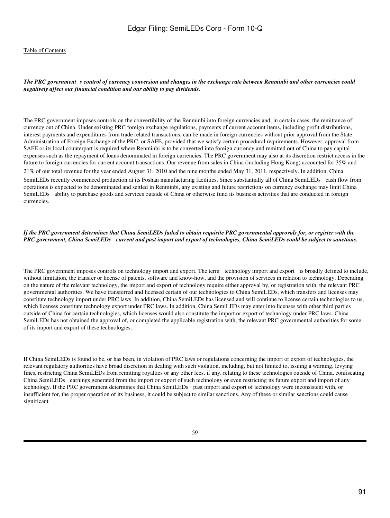#### The PRC government s control of currency conversion and changes in the exchange rate between Renminbi and other currencies could *negatively affect our financial condition and our ability to pay dividends.*

The PRC government imposes controls on the convertibility of the Renminbi into foreign currencies and, in certain cases, the remittance of currency out of China. Under existing PRC foreign exchange regulations, payments of current account items, including profit distributions, interest payments and expenditures from trade related transactions, can be made in foreign currencies without prior approval from the State Administration of Foreign Exchange of the PRC, or SAFE, provided that we satisfy certain procedural requirements. However, approval from SAFE or its local counterpart is required where Renminbi is to be converted into foreign currency and remitted out of China to pay capital expenses such as the repayment of loans denominated in foreign currencies. The PRC government may also at its discretion restrict access in the future to foreign currencies for current account transactions. Our revenue from sales in China (including Hong Kong) accounted for 35% and 21% of our total revenue for the year ended August 31, 2010 and the nine months ended May 31, 2011, respectively. In addition, China SemiLEDs recently commenced production at its Foshan manufacturing facilities. Since substantially all of China SemiLEDs cash flow from operations is expected to be denominated and settled in Renminbi, any existing and future restrictions on currency exchange may limit China SemiLEDs ability to purchase goods and services outside of China or otherwise fund its business activities that are conducted in foreign currencies.

## *If the PRC government determines that China SemiLEDs failed to obtain requisite PRC governmental approvals for, or register with the PRC government, China SemiLEDs current and past import and export of technologies, China SemiLEDs could be subject to sanctions.*

The PRC government imposes controls on technology import and export. The term technology import and export is broadly defined to include, without limitation, the transfer or license of patents, software and know-how, and the provision of services in relation to technology. Depending on the nature of the relevant technology, the import and export of technology require either approval by, or registration with, the relevant PRC governmental authorities. We have transferred and licensed certain of our technologies to China SemiLEDs, which transfers and licenses may constitute technology import under PRC laws. In addition, China SemiLEDs has licensed and will continue to license certain technologies to us, which licenses constitute technology export under PRC laws. In addition, China SemiLEDs may enter into licenses with other third parties outside of China for certain technologies, which licenses would also constitute the import or export of technology under PRC laws. China SemiLEDs has not obtained the approval of, or completed the applicable registration with, the relevant PRC governmental authorities for some of its import and export of these technologies.

If China SemiLEDs is found to be, or has been, in violation of PRC laws or regulations concerning the import or export of technologies, the relevant regulatory authorities have broad discretion in dealing with such violation, including, but not limited to, issuing a warning, levying fines, restricting China SemiLEDs from remitting royalties or any other fees, if any, relating to these technologies outside of China, confiscating China SemiLEDs earnings generated from the import or export of such technology or even restricting its future export and import of any technology. If the PRC government determines that China SemiLEDs past import and export of technology were inconsistent with, or insufficient for, the proper operation of its business, it could be subject to similar sanctions. Any of these or similar sanctions could cause significant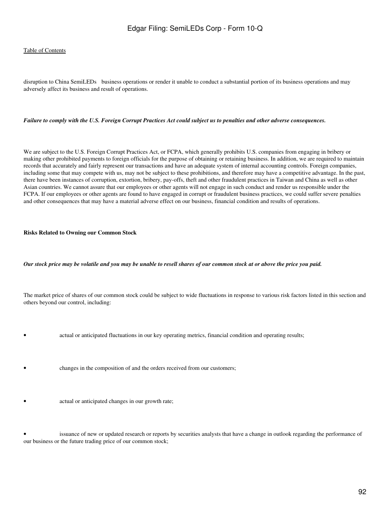disruption to China SemiLEDs business operations or render it unable to conduct a substantial portion of its business operations and may adversely affect its business and result of operations.

#### *Failure to comply with the U.S. Foreign Corrupt Practices Act could subject us to penalties and other adverse consequences.*

We are subject to the U.S. Foreign Corrupt Practices Act, or FCPA, which generally prohibits U.S. companies from engaging in bribery or making other prohibited payments to foreign officials for the purpose of obtaining or retaining business. In addition, we are required to maintain records that accurately and fairly represent our transactions and have an adequate system of internal accounting controls. Foreign companies, including some that may compete with us, may not be subject to these prohibitions, and therefore may have a competitive advantage. In the past, there have been instances of corruption, extortion, bribery, pay-offs, theft and other fraudulent practices in Taiwan and China as well as other Asian countries. We cannot assure that our employees or other agents will not engage in such conduct and render us responsible under the FCPA. If our employees or other agents are found to have engaged in corrupt or fraudulent business practices, we could suffer severe penalties and other consequences that may have a material adverse effect on our business, financial condition and results of operations.

#### **Risks Related to Owning our Common Stock**

#### *Our stock price may be volatile and you may be unable to resell shares of our common stock at or above the price you paid.*

The market price of shares of our common stock could be subject to wide fluctuations in response to various risk factors listed in this section and others beyond our control, including:

• actual or anticipated fluctuations in our key operating metrics, financial condition and operating results;

- changes in the composition of and the orders received from our customers;
- **actual or anticipated changes in our growth rate;**

issuance of new or updated research or reports by securities analysts that have a change in outlook regarding the performance of our business or the future trading price of our common stock;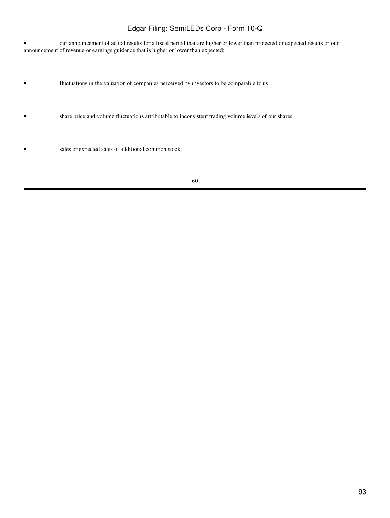• our announcement of actual results for a fiscal period that are higher or lower than projected or expected results or our announcement of revenue or earnings guidance that is higher or lower than expected;

- fluctuations in the valuation of companies perceived by investors to be comparable to us;
- share price and volume fluctuations attributable to inconsistent trading volume levels of our shares;
- sales or expected sales of additional common stock;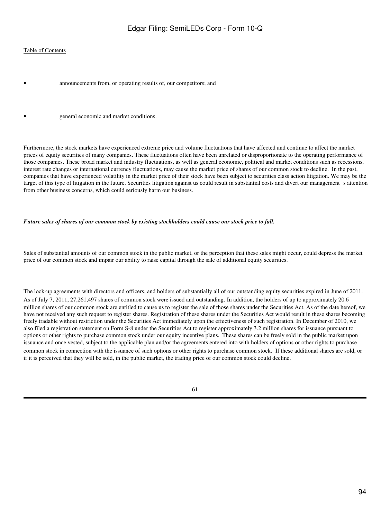### [Table of Contents](#page-3-0)

announcements from, or operating results of, our competitors; and

• general economic and market conditions.

Furthermore, the stock markets have experienced extreme price and volume fluctuations that have affected and continue to affect the market prices of equity securities of many companies. These fluctuations often have been unrelated or disproportionate to the operating performance of those companies. These broad market and industry fluctuations, as well as general economic, political and market conditions such as recessions, interest rate changes or international currency fluctuations, may cause the market price of shares of our common stock to decline. In the past, companies that have experienced volatility in the market price of their stock have been subject to securities class action litigation. We may be the target of this type of litigation in the future. Securities litigation against us could result in substantial costs and divert our management s attention from other business concerns, which could seriously harm our business.

#### *Future sales of shares of our common stock by existing stockholders could cause our stock price to fall.*

Sales of substantial amounts of our common stock in the public market, or the perception that these sales might occur, could depress the market price of our common stock and impair our ability to raise capital through the sale of additional equity securities.

The lock-up agreements with directors and officers, and holders of substantially all of our outstanding equity securities expired in June of 2011. As of July 7, 2011, 27,261,497 shares of common stock were issued and outstanding. In addition, the holders of up to approximately 20.6 million shares of our common stock are entitled to cause us to register the sale of those shares under the Securities Act. As of the date hereof, we have not received any such request to register shares. Registration of these shares under the Securities Act would result in these shares becoming freely tradable without restriction under the Securities Act immediately upon the effectiveness of such registration. In December of 2010, we also filed a registration statement on Form S-8 under the Securities Act to register approximately 3.2 million shares for issuance pursuant to options or other rights to purchase common stock under our equity incentive plans. These shares can be freely sold in the public market upon issuance and once vested, subject to the applicable plan and/or the agreements entered into with holders of options or other rights to purchase common stock in connection with the issuance of such options or other rights to purchase common stock. If these additional shares are sold, or if it is perceived that they will be sold, in the public market, the trading price of our common stock could decline.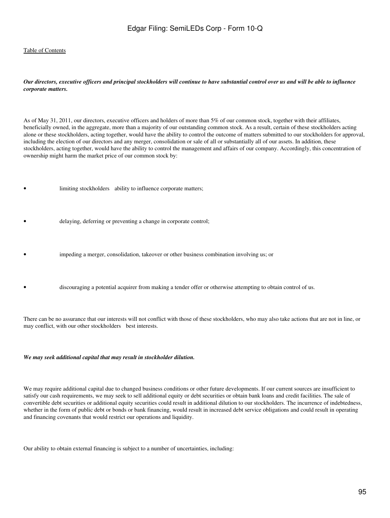### *Our directors, executive officers and principal stockholders will continue to have substantial control over us and will be able to influence corporate matters.*

As of May 31, 2011, our directors, executive officers and holders of more than 5% of our common stock, together with their affiliates, beneficially owned, in the aggregate, more than a majority of our outstanding common stock. As a result, certain of these stockholders acting alone or these stockholders, acting together, would have the ability to control the outcome of matters submitted to our stockholders for approval, including the election of our directors and any merger, consolidation or sale of all or substantially all of our assets. In addition, these stockholders, acting together, would have the ability to control the management and affairs of our company. Accordingly, this concentration of ownership might harm the market price of our common stock by:

- limiting stockholders ability to influence corporate matters;
- delaying, deferring or preventing a change in corporate control;
- impeding a merger, consolidation, takeover or other business combination involving us; or
- discouraging a potential acquirer from making a tender offer or otherwise attempting to obtain control of us.

There can be no assurance that our interests will not conflict with those of these stockholders, who may also take actions that are not in line, or may conflict, with our other stockholders best interests.

#### *We may seek additional capital that may result in stockholder dilution.*

We may require additional capital due to changed business conditions or other future developments. If our current sources are insufficient to satisfy our cash requirements, we may seek to sell additional equity or debt securities or obtain bank loans and credit facilities. The sale of convertible debt securities or additional equity securities could result in additional dilution to our stockholders. The incurrence of indebtedness, whether in the form of public debt or bonds or bank financing, would result in increased debt service obligations and could result in operating and financing covenants that would restrict our operations and liquidity.

Our ability to obtain external financing is subject to a number of uncertainties, including: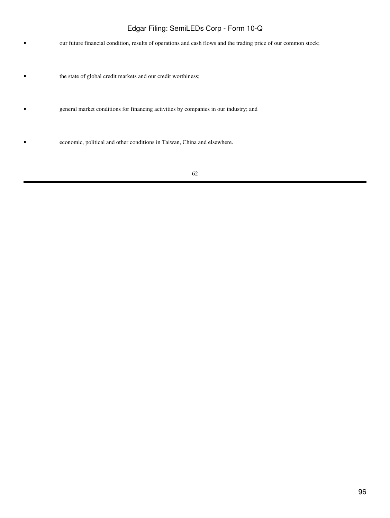• our future financial condition, results of operations and cash flows and the trading price of our common stock;

• the state of global credit markets and our credit worthiness;

• general market conditions for financing activities by companies in our industry; and

• economic, political and other conditions in Taiwan, China and elsewhere.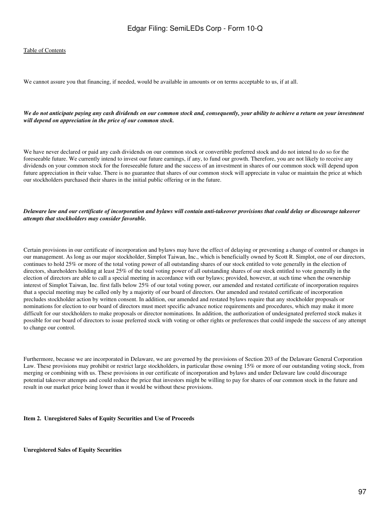We cannot assure you that financing, if needed, would be available in amounts or on terms acceptable to us, if at all.

*We do not anticipate paying any cash dividends on our common stock and, consequently, your ability to achieve a return on your investment will depend on appreciation in the price of our common stock.*

We have never declared or paid any cash dividends on our common stock or convertible preferred stock and do not intend to do so for the foreseeable future. We currently intend to invest our future earnings, if any, to fund our growth. Therefore, you are not likely to receive any dividends on your common stock for the foreseeable future and the success of an investment in shares of our common stock will depend upon future appreciation in their value. There is no guarantee that shares of our common stock will appreciate in value or maintain the price at which our stockholders purchased their shares in the initial public offering or in the future.

#### *Delaware law and our certificate of incorporation and bylaws will contain anti-takeover provisions that could delay or discourage takeover attempts that stockholders may consider favorable.*

Certain provisions in our certificate of incorporation and bylaws may have the effect of delaying or preventing a change of control or changes in our management. As long as our major stockholder, Simplot Taiwan, Inc., which is beneficially owned by Scott R. Simplot, one of our directors, continues to hold 25% or more of the total voting power of all outstanding shares of our stock entitled to vote generally in the election of directors, shareholders holding at least 25% of the total voting power of all outstanding shares of our stock entitled to vote generally in the election of directors are able to call a special meeting in accordance with our bylaws; provided, however, at such time when the ownership interest of Simplot Taiwan, Inc. first falls below 25% of our total voting power, our amended and restated certificate of incorporation requires that a special meeting may be called only by a majority of our board of directors. Our amended and restated certificate of incorporation precludes stockholder action by written consent. In addition, our amended and restated bylaws require that any stockholder proposals or nominations for election to our board of directors must meet specific advance notice requirements and procedures, which may make it more difficult for our stockholders to make proposals or director nominations. In addition, the authorization of undesignated preferred stock makes it possible for our board of directors to issue preferred stock with voting or other rights or preferences that could impede the success of any attempt to change our control.

Furthermore, because we are incorporated in Delaware, we are governed by the provisions of Section 203 of the Delaware General Corporation Law. These provisions may prohibit or restrict large stockholders, in particular those owning 15% or more of our outstanding voting stock, from merging or combining with us. These provisions in our certificate of incorporation and bylaws and under Delaware law could discourage potential takeover attempts and could reduce the price that investors might be willing to pay for shares of our common stock in the future and result in our market price being lower than it would be without these provisions.

#### **Item 2. Unregistered Sales of Equity Securities and Use of Proceeds**

**Unregistered Sales of Equity Securities**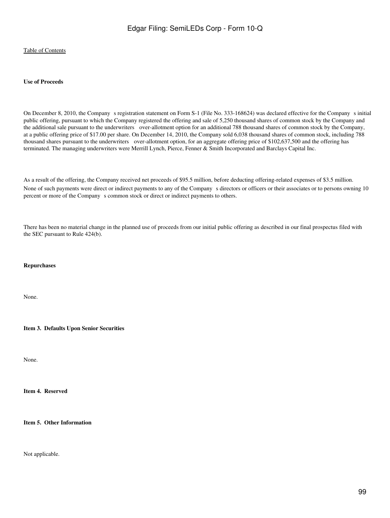#### **Use of Proceeds**

On December 8, 2010, the Company s registration statement on Form S-1 (File No. 333-168624) was declared effective for the Company s initial public offering, pursuant to which the Company registered the offering and sale of 5,250 thousand shares of common stock by the Company and the additional sale pursuant to the underwriters over-allotment option for an additional 788 thousand shares of common stock by the Company, at a public offering price of \$17.00 per share. On December 14, 2010, the Company sold 6,038 thousand shares of common stock, including 788 thousand shares pursuant to the underwriters over-allotment option, for an aggregate offering price of \$102,637,500 and the offering has terminated. The managing underwriters were Merrill Lynch, Pierce, Fenner & Smith Incorporated and Barclays Capital Inc.

As a result of the offering, the Company received net proceeds of \$95.5 million, before deducting offering-related expenses of \$3.5 million. None of such payments were direct or indirect payments to any of the Company s directors or officers or their associates or to persons owning 10 percent or more of the Company s common stock or direct or indirect payments to others.

There has been no material change in the planned use of proceeds from our initial public offering as described in our final prospectus filed with the SEC pursuant to Rule 424(b).

### **Repurchases**

None.

**Item 3. Defaults Upon Senior Securities**

None.

**Item 4. Reserved**

**Item 5. Other Information**

Not applicable.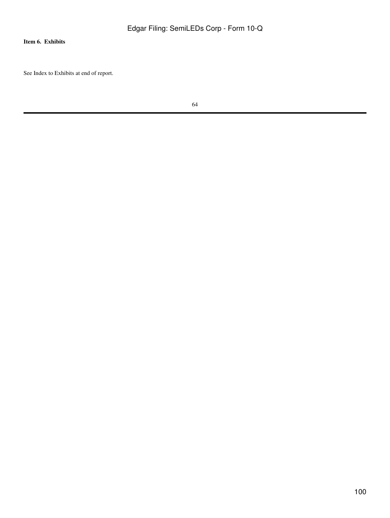## **Item 6. Exhibits**

See Index to Exhibits at end of report.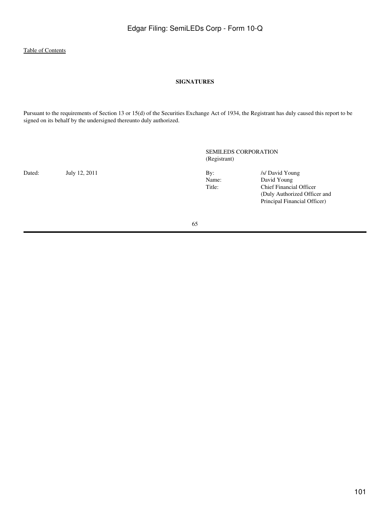## **SIGNATURES**

Pursuant to the requirements of Section 13 or 15(d) of the Securities Exchange Act of 1934, the Registrant has duly caused this report to be signed on its behalf by the undersigned thereunto duly authorized.

SEMILEDS CORPORATION (Registrant)

Dated: July 12, 2011 By: *Islamic By: Islamic By: Islamic By: Islamic By: Islamic Bavid Young* Name: Name: David Young<br>Title: Chief Financia Chief Financial Officer (Duly Authorized Officer and Principal Financial Officer)